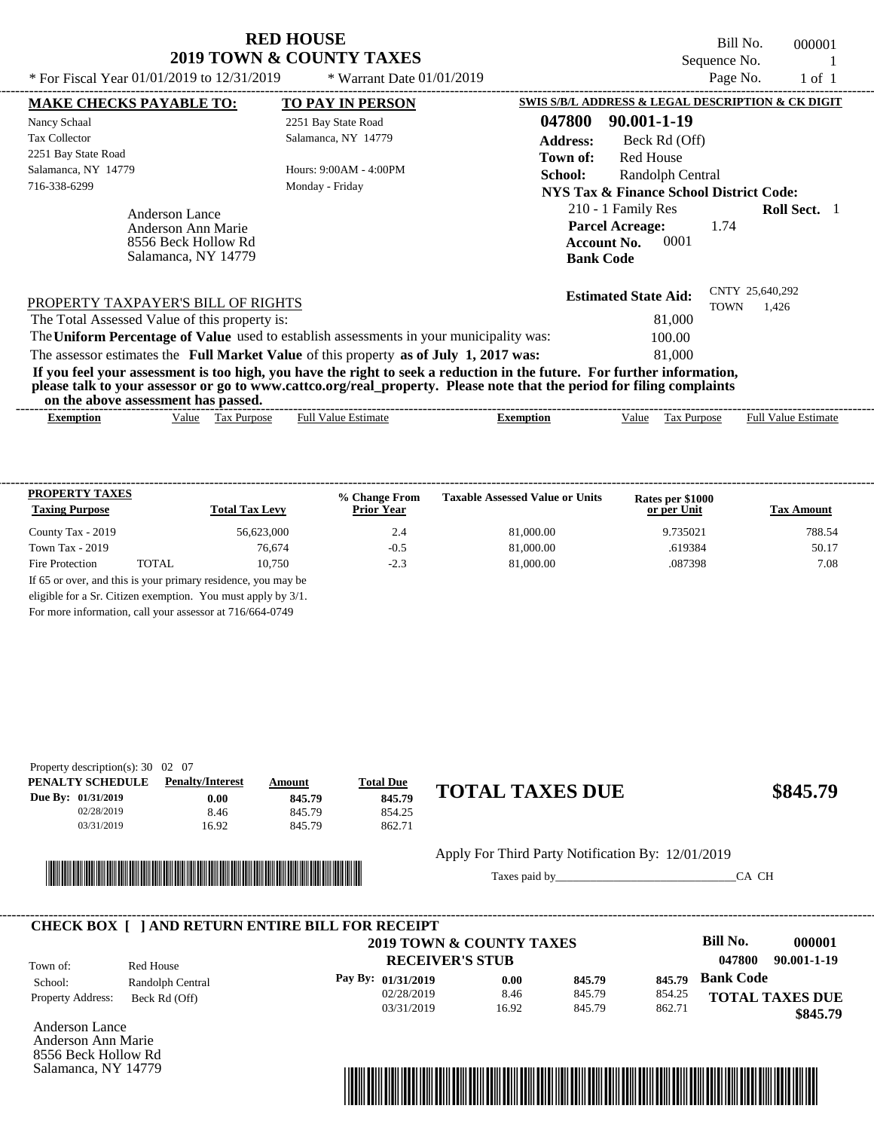Bill No. 000001 Sequence No. 1<br>Page No. 1 of 1

| * For Fiscal Year 01/01/2019 to 12/31/2019                                         | * Warrant Date $01/01/2019$                                                                                                                                                                                                                      |                                                                                                | Page No.    | 1 of 1                   |  |
|------------------------------------------------------------------------------------|--------------------------------------------------------------------------------------------------------------------------------------------------------------------------------------------------------------------------------------------------|------------------------------------------------------------------------------------------------|-------------|--------------------------|--|
| <b>MAKE CHECKS PAYABLE TO:</b>                                                     | <b>TO PAY IN PERSON</b>                                                                                                                                                                                                                          | SWIS S/B/L ADDRESS & LEGAL DESCRIPTION & CK DIGIT                                              |             |                          |  |
| Nancy Schaal                                                                       | 2251 Bay State Road                                                                                                                                                                                                                              | 047800<br>90.001-1-19                                                                          |             |                          |  |
| <b>Tax Collector</b>                                                               | Salamanca, NY 14779                                                                                                                                                                                                                              | <b>Address:</b><br>Beck Rd (Off)                                                               |             |                          |  |
| 2251 Bay State Road                                                                |                                                                                                                                                                                                                                                  | Red House<br>Town of:                                                                          |             |                          |  |
| Salamanca, NY 14779                                                                | Hours: $9:00AM - 4:00PM$                                                                                                                                                                                                                         | School:<br>Randolph Central                                                                    |             |                          |  |
| 716-338-6299                                                                       | Monday - Friday                                                                                                                                                                                                                                  | NYS Tax & Finance School District Code:                                                        |             |                          |  |
| Anderson Lance<br>Anderson Ann Marie<br>8556 Beck Hollow Rd<br>Salamanca, NY 14779 |                                                                                                                                                                                                                                                  | 210 - 1 Family Res<br><b>Parcel Acreage:</b><br>0001<br><b>Account No.</b><br><b>Bank Code</b> | 1.74        | <b>Roll Sect.</b> 1      |  |
| PROPERTY TAXPAYER'S BILL OF RIGHTS                                                 |                                                                                                                                                                                                                                                  | <b>Estimated State Aid:</b>                                                                    | <b>TOWN</b> | CNTY 25,640,292<br>1,426 |  |
| The Total Assessed Value of this property is:                                      |                                                                                                                                                                                                                                                  | 81,000                                                                                         |             |                          |  |
|                                                                                    | The Uniform Percentage of Value used to establish assessments in your municipality was:                                                                                                                                                          | 100.00                                                                                         |             |                          |  |
|                                                                                    | The assessor estimates the Full Market Value of this property as of July 1, 2017 was:                                                                                                                                                            | 81,000                                                                                         |             |                          |  |
| on the above assessment has passed.                                                | If you feel your assessment is too high, you have the right to seek a reduction in the future. For further information,<br>please talk to your assessor or go to www.cattco.org/real_property. Please note that the period for filing complaints |                                                                                                |             |                          |  |
|                                                                                    |                                                                                                                                                                                                                                                  |                                                                                                |             |                          |  |

| --------------------------------<br>xemptio | 'alue | 1a)<br><b>Purpose</b><br>__ | <br>Full<br>∤alue<br>Estimau | emptioi | Value | urpose'<br>1 aa | -----------<br>Full<br>Value<br>:stimate |
|---------------------------------------------|-------|-----------------------------|------------------------------|---------|-------|-----------------|------------------------------------------|
|                                             |       |                             |                              |         |       |                 |                                          |

| <b>PROPERTY TAXES</b><br><b>Taxing Purpose</b> |       | <b>Total Tax Levy</b> | % Change From<br><b>Prior Year</b> | <b>Taxable Assessed Value or Units</b> | Rates per \$1000<br>or per Unit | <b>Tax Amount</b> |
|------------------------------------------------|-------|-----------------------|------------------------------------|----------------------------------------|---------------------------------|-------------------|
| County Tax - 2019                              |       | 56.623,000            | 2.4                                | 81,000.00                              | 9.735021                        | 788.54            |
| Town Tax $-2019$                               |       | 76,674                | $-0.5$                             | 81,000.00                              | .619384                         | 50.17             |
| Fire Protection                                | TOTAL | 10.750                | $-2.3$                             | 81,000.00                              | .087398                         | 7.08              |

For more information, call your assessor at 716/664-0749

| Property description(s): $30 \quad 02 \quad 07$ |                         |        |                  |                        |          |
|-------------------------------------------------|-------------------------|--------|------------------|------------------------|----------|
| PENALTY SCHEDULE                                | <b>Penalty/Interest</b> | Amount | <b>Total Due</b> |                        |          |
| <b>Due By: 01/31/2019</b>                       | 0.00                    | 845.79 | 845.79           | <b>TOTAL TAXES DUE</b> | \$845.79 |
| 02/28/2019                                      | 8.46                    | 845.79 | 854.25           |                        |          |
| 03/31/2019                                      | 16.92                   | 845.79 | 862.71           |                        |          |



#### Apply For Third Party Notification By: 12/01/2019

Taxes paid by\_\_\_\_\_\_\_\_\_\_\_\_\_\_\_\_\_\_\_\_\_\_\_\_\_\_\_\_\_\_\_CA CH

|                          |                  | <b>CHECK BOX   JAND RETURN ENTIRE BILL FOR RECEIPT</b><br>2019 TOWN & COUNTY TAXES |       |        |        | Bill No.         | 000001                 |
|--------------------------|------------------|------------------------------------------------------------------------------------|-------|--------|--------|------------------|------------------------|
| Town of:                 | Red House        | <b>RECEIVER'S STUB</b>                                                             |       |        |        | 047800           | 90.001-1-19            |
| School:                  | Randolph Central | Pay By: 01/31/2019                                                                 | 0.00  | 845.79 | 845.79 | <b>Bank Code</b> |                        |
| <b>Property Address:</b> | Beck Rd (Off)    | 02/28/2019                                                                         | 8.46  | 845.79 | 854.25 |                  | <b>TOTAL TAXES DUE</b> |
|                          |                  | 03/31/2019                                                                         | 16.92 | 845.79 | 862.71 |                  | \$845.79               |

Anderson Lance Anderson Ann Marie 8556 Beck Hollow Rd Salamanca, NY 14779

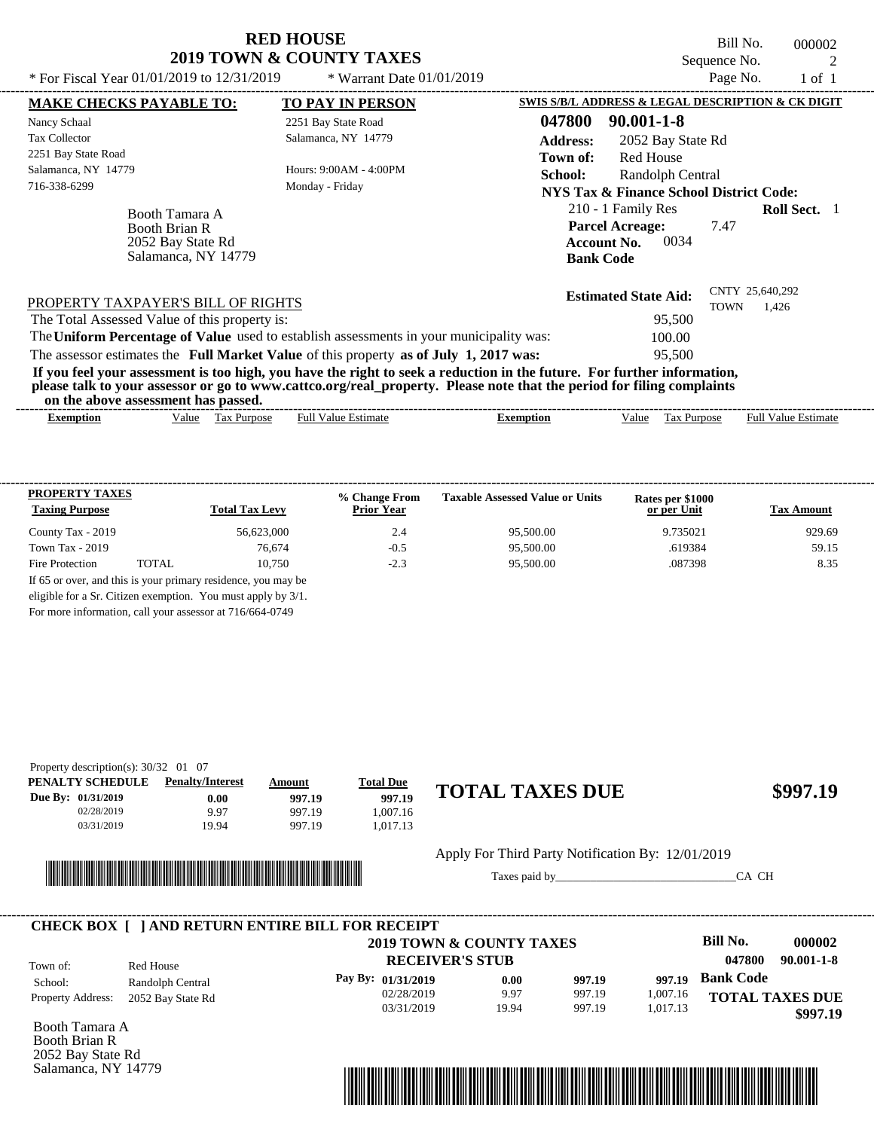Bill No. 000002 Sequence No. 2<br>
Page No. 2<br>  $1 \circ f$  1

| * For Fiscal Year 01/01/2019 to 12/31/2019                                         | * Warrant Date $01/01/2019$                                                                                                                                                                                                                      |                                                                                                | Page No.                       | 1 of 1                     |
|------------------------------------------------------------------------------------|--------------------------------------------------------------------------------------------------------------------------------------------------------------------------------------------------------------------------------------------------|------------------------------------------------------------------------------------------------|--------------------------------|----------------------------|
| <b>MAKE CHECKS PAYABLE TO:</b>                                                     | <b>TO PAY IN PERSON</b>                                                                                                                                                                                                                          | SWIS S/B/L ADDRESS & LEGAL DESCRIPTION & CK DIGIT                                              |                                |                            |
| Nancy Schaal                                                                       | 2251 Bay State Road                                                                                                                                                                                                                              | 047800<br>$90.001 - 1 - 8$                                                                     |                                |                            |
| <b>Tax Collector</b>                                                               | Salamanca, NY 14779                                                                                                                                                                                                                              | <b>Address:</b><br>2052 Bay State Rd                                                           |                                |                            |
| 2251 Bay State Road                                                                |                                                                                                                                                                                                                                                  | <b>Red House</b><br>Town of:                                                                   |                                |                            |
| Salamanca, NY 14779                                                                | Hours: $9:00AM - 4:00PM$                                                                                                                                                                                                                         | School:<br>Randolph Central                                                                    |                                |                            |
| 716-338-6299                                                                       | Monday - Friday                                                                                                                                                                                                                                  | <b>NYS Tax &amp; Finance School District Code:</b>                                             |                                |                            |
| Booth Tamara A<br><b>Booth Brian R</b><br>2052 Bay State Rd<br>Salamanca, NY 14779 |                                                                                                                                                                                                                                                  | 210 - 1 Family Res<br><b>Parcel Acreage:</b><br>0034<br><b>Account No.</b><br><b>Bank Code</b> | 7.47                           | <b>Roll Sect.</b> 1        |
| PROPERTY TAXPAYER'S BILL OF RIGHTS                                                 |                                                                                                                                                                                                                                                  | <b>Estimated State Aid:</b>                                                                    | CNTY 25,640,292<br><b>TOWN</b> | 1.426                      |
| The Total Assessed Value of this property is:                                      |                                                                                                                                                                                                                                                  | 95,500                                                                                         |                                |                            |
|                                                                                    | The Uniform Percentage of Value used to establish assessments in your municipality was:                                                                                                                                                          | 100.00                                                                                         |                                |                            |
|                                                                                    | The assessor estimates the Full Market Value of this property as of July 1, 2017 was:                                                                                                                                                            | 95,500                                                                                         |                                |                            |
| on the above assessment has passed.                                                | If you feel your assessment is too high, you have the right to seek a reduction in the future. For further information,<br>please talk to your assessor or go to www.cattco.org/real_property. Please note that the period for filing complaints |                                                                                                |                                |                            |
| Value Tax Purpose<br>Exemption                                                     | <b>Full Value Estimate</b>                                                                                                                                                                                                                       | <b>Exemption</b><br>Value                                                                      | Tax Purpose                    | <b>Full Value Estimate</b> |

| <b>PROPERTY TAXES</b><br><b>Taxing Purpose</b> |       | <b>Total Tax Levy</b>                                         | % Change From<br><b>Prior Year</b> | <b>Taxable Assessed Value or Units</b> | Rates per \$1000<br>or per Unit | <b>Tax Amount</b> |
|------------------------------------------------|-------|---------------------------------------------------------------|------------------------------------|----------------------------------------|---------------------------------|-------------------|
| County Tax - 2019                              |       | 56.623,000                                                    | 2.4                                | 95,500.00                              | 9.735021                        | 929.69            |
| Town Tax $-2019$                               |       | 76.674                                                        | $-0.5$                             | 95,500.00                              | .619384                         | 59.15             |
| Fire Protection                                | TOTAL | 10.750                                                        | $-2.3$                             | 95,500.00                              | .087398                         | 8.35              |
|                                                |       | If 65 or over, and this is your primary residence, you may be |                                    |                                        |                                 |                   |
|                                                |       | eligible for a Sr. Citizen exemption. You must apply by 3/1.  |                                    |                                        |                                 |                   |

For more information, call your assessor at 716/664-0749

| Property description(s): $30/32$ 01 07 |                         |               |                  |                        |          |
|----------------------------------------|-------------------------|---------------|------------------|------------------------|----------|
| PENALTY SCHEDULE                       | <b>Penalty/Interest</b> | <b>Amount</b> | <b>Total Due</b> |                        |          |
| Due By: 01/31/2019                     | 0.00                    | 997.19        | 997.19           | <b>TOTAL TAXES DUE</b> | \$997.19 |
| 02/28/2019                             | 9.97                    | 997.19        | 1.007.16         |                        |          |
| 03/31/2019                             | 19.94                   | 997.19        | 1.017.13         |                        |          |



Apply For Third Party Notification By: 12/01/2019

Taxes paid by\_\_\_\_\_\_\_\_\_\_\_\_\_\_\_\_\_\_\_\_\_\_\_\_\_\_\_\_\_\_\_CA CH

|                          |                   | <b>CHECK BOX [ ] AND RETURN ENTIRE BILL FOR RECEIPT</b><br>2019 TOWN & COUNTY TAXES |       |        |          | Bill No.               | 000002           |
|--------------------------|-------------------|-------------------------------------------------------------------------------------|-------|--------|----------|------------------------|------------------|
| Town of:                 | Red House         | <b>RECEIVER'S STUB</b>                                                              |       |        |          | 047800                 | $90.001 - 1 - 8$ |
| School:                  | Randolph Central  | Pay By: 01/31/2019                                                                  | 0.00  | 997.19 | 997.19   | <b>Bank Code</b>       |                  |
| <b>Property Address:</b> | 2052 Bay State Rd | 02/28/2019                                                                          | 9.97  | 997.19 | 1.007.16 | <b>TOTAL TAXES DUE</b> |                  |
|                          |                   | 03/31/2019                                                                          | 19.94 | 997.19 | 1,017.13 |                        | \$997.19         |

Booth Tamara A Booth Brian R 2052 Bay State Rd Salamanca, NY 14779

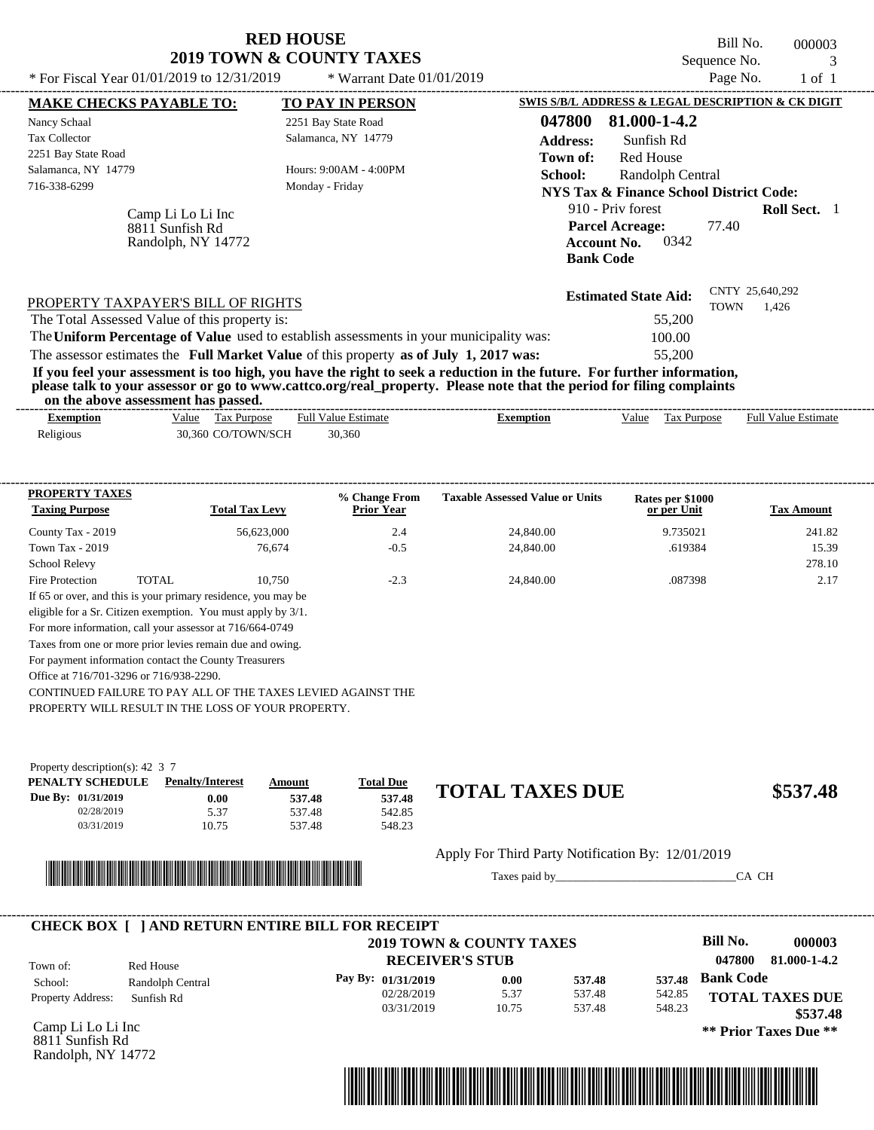| * For Fiscal Year $01/01/2019$ to $12/31/2019$ | <b>RED HOUSE</b><br><b>2019 TOWN &amp; COUNTY TAXES</b><br>* Warrant Date $01/01/2019$ | Bill No.<br>000003<br>Sequence No.<br>Page No.<br>$1$ of $1$                |
|------------------------------------------------|----------------------------------------------------------------------------------------|-----------------------------------------------------------------------------|
| <b>MAKE CHECKS PAYABLE TO:</b>                 | <b>TO PAY IN PERSON</b>                                                                | SWIS S/B/L ADDRESS & LEGAL DESCRIPTION & CK DIGIT                           |
| Nancy Schaal                                   | 2251 Bay State Road                                                                    | 81.000-1-4.2<br>047800                                                      |
| Tax Collector                                  | Salamanca, NY 14779                                                                    | <b>Address:</b><br>Sunfish Rd                                               |
| 2251 Bay State Road                            |                                                                                        | <b>Red House</b><br>Town of:                                                |
| Salamanca, NY 14779                            | Hours: 9:00AM - 4:00PM                                                                 | School:<br>Randolph Central                                                 |
| 716-338-6299                                   | Monday - Friday                                                                        | NYS Tax & Finance School District Code:                                     |
| Camp Li Lo Li Inc<br>8811 Sunfish Rd           |                                                                                        | 910 - Priv forest<br><b>Roll Sect.</b> 1<br>77.40<br><b>Parcel Acreage:</b> |

| PROPERTY TAXPAYER'S BILL OF RIGHTS                                                      | <b>Estimated State Aid:</b> | CNTY 25,640,292<br>1.426<br>TOWN |
|-----------------------------------------------------------------------------------------|-----------------------------|----------------------------------|
| The Total Assessed Value of this property is:                                           | 55,200                      |                                  |
| The Uniform Percentage of Value used to establish assessments in your municipality was: | 100.00                      |                                  |
| The assessor estimates the Full Market Value of this property as of July 1, 2017 was:   | 55,200                      |                                  |
|                                                                                         |                             |                                  |

**If you feel your assessment is too high, you have the right to seek a reduction in the future. For further information, please talk to your assessor or go to www.cattco.org/real\_property. Please note that the period for filing complaints on the above assessment has passed.** ----------------------------------------------------------------------------------------------------------------------------------------------------------------------------------------------------

| exemption | Tax Purpose<br>Value | <b>Full Value Estimate</b> | Exemption | Value | Tax Purpose | <b>Full Value Estimate</b> |
|-----------|----------------------|----------------------------|-----------|-------|-------------|----------------------------|
| Religious | 30.360 CO/TOWN/SCH   | 30.360                     |           |       |             |                            |

| <b>PROPERTY TAXES</b><br><b>Taxing Purpose</b>           |       | <b>Total Tax Levy</b>                                           | % Change From<br><b>Prior Year</b> | <b>Taxable Assessed Value or Units</b> | Rates per \$1000<br>or per Unit | <b>Tax Amount</b> |
|----------------------------------------------------------|-------|-----------------------------------------------------------------|------------------------------------|----------------------------------------|---------------------------------|-------------------|
| County Tax - 2019                                        |       | 56.623,000                                                      | 2.4                                | 24,840.00                              | 9.735021                        | 241.82            |
| Town Tax - 2019                                          |       | 76.674                                                          | $-0.5$                             | 24,840.00                              | .619384                         | 15.39             |
| <b>School Relevy</b>                                     |       |                                                                 |                                    |                                        |                                 | 278.10            |
| Fire Protection                                          | TOTAL | 10.750                                                          | $-2.3$                             | 24,840.00                              | .087398                         | 2.17              |
|                                                          |       | If 65 or over, and this is your primary residence, you may be   |                                    |                                        |                                 |                   |
|                                                          |       | eligible for a Sr. Citizen exemption. You must apply by $3/1$ . |                                    |                                        |                                 |                   |
| For more information, call your assessor at 716/664-0749 |       |                                                                 |                                    |                                        |                                 |                   |
|                                                          |       | Taxes from one or more prior levies remain due and owing.       |                                    |                                        |                                 |                   |
| For payment information contact the County Treasurers    |       |                                                                 |                                    |                                        |                                 |                   |
| Office at 716/701-3296 or 716/938-2290.                  |       |                                                                 |                                    |                                        |                                 |                   |

CONTINUED FAILURE TO PAY ALL OF THE TAXES LEVIED AGAINST THE

PROPERTY WILL RESULT IN THE LOSS OF YOUR PROPERTY.

Randolph, NY 14772

| Property description(s): $42\,3\,7$ |                         |        |                  |
|-------------------------------------|-------------------------|--------|------------------|
| PENALTY SCHEDULE                    | <b>Penalty/Interest</b> | Amount | <b>Total Due</b> |
| Due By: 01/31/2019                  | 0.00                    | 537.48 | 537.48           |
| 02/28/2019                          | 5.37                    | 537.48 | 542.85           |
| 03/31/2019                          | 10.75                   | 537.48 | 548.23           |

# \*04780000000300000000053748\*

## **537.48 TOTAL TAXES DUE \$537.48**

Apply For Third Party Notification By: 12/01/2019

Taxes paid by\_\_\_\_\_\_\_\_\_\_\_\_\_\_\_\_\_\_\_\_\_\_\_\_\_\_\_\_\_\_\_CA CH

**Account No.** 0342

**Bank Code**

|                          |                  | 2019 TOWN & COUNTY TAXES |       |        |        | Bill No.         | 000003                 |
|--------------------------|------------------|--------------------------|-------|--------|--------|------------------|------------------------|
| Town of:                 | Red House        | <b>RECEIVER'S STUB</b>   |       |        |        | 047800           | 81.000-1-4.2           |
| School:                  | Randolph Central | Pay By: $01/31/2019$     | 0.00  | 537.48 | 537.48 | <b>Bank Code</b> |                        |
| <b>Property Address:</b> | Sunfish Rd       | 02/28/2019               | 5.37  | 537.48 | 542.85 |                  | <b>TOTAL TAXES DUE</b> |
|                          |                  | 03/31/2019               | 10.75 | 537.48 | 548.23 |                  | \$537.48               |

Camp Li Lo Li Inc 8811 Sunfish Rd Randolph, NY 14772

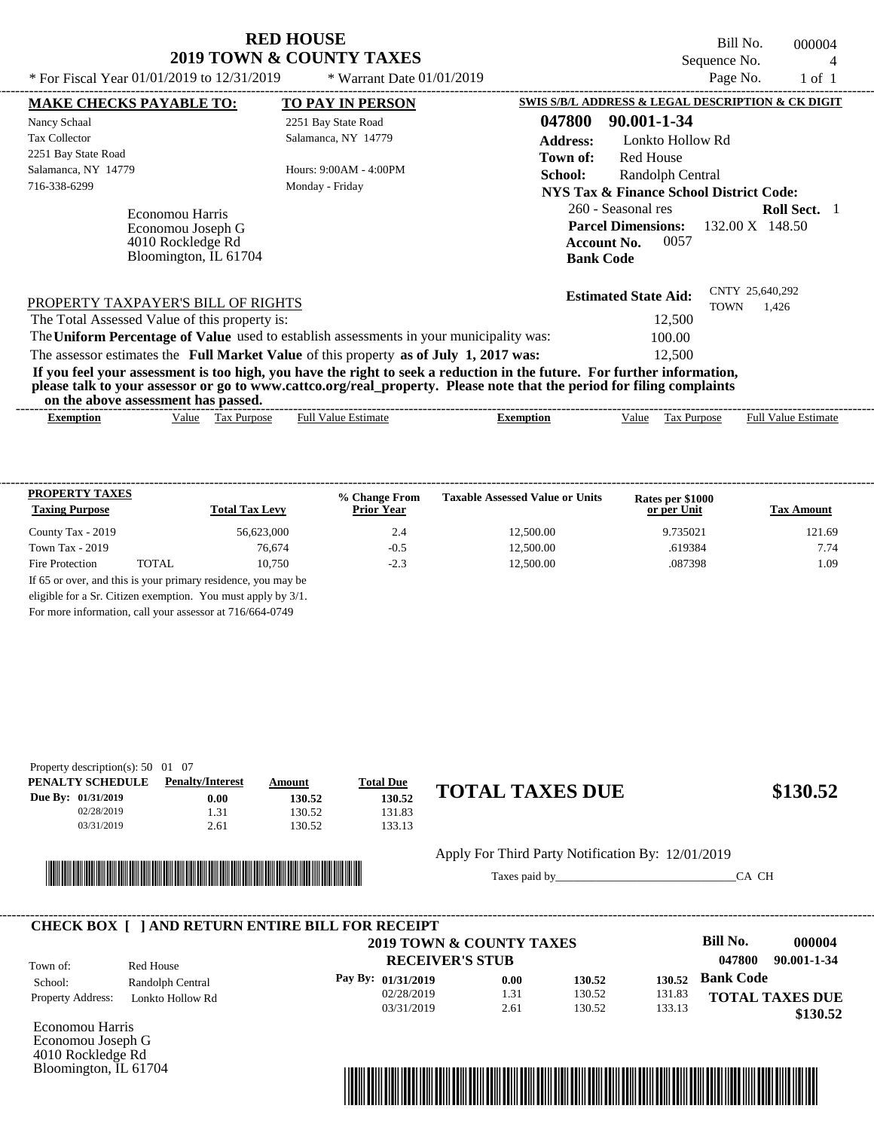Bill No. 000004 Sequence No.  $\frac{4}{\rho_{\text{app}} N_0}$  1 of 1

| * For Fiscal Year 01/01/2019 to 12/31/2019                                                                                                                                                                                                                                              | * Warrant Date $01/01/2019$               |                                                   |                                                                                           |                  | Page No.        | $1$ of $1$                                     |  |
|-----------------------------------------------------------------------------------------------------------------------------------------------------------------------------------------------------------------------------------------------------------------------------------------|-------------------------------------------|---------------------------------------------------|-------------------------------------------------------------------------------------------|------------------|-----------------|------------------------------------------------|--|
| <b>MAKE CHECKS PAYABLE TO:</b>                                                                                                                                                                                                                                                          | <b>TO PAY IN PERSON</b>                   | SWIS S/B/L ADDRESS & LEGAL DESCRIPTION & CK DIGIT |                                                                                           |                  |                 |                                                |  |
| Nancy Schaal                                                                                                                                                                                                                                                                            | 2251 Bay State Road                       | 047800                                            | 90.001-1-34                                                                               |                  |                 |                                                |  |
| <b>Tax Collector</b>                                                                                                                                                                                                                                                                    | Salamanca, NY 14779                       | <b>Address:</b>                                   |                                                                                           | Lonkto Hollow Rd |                 |                                                |  |
| 2251 Bay State Road<br>Salamanca, NY 14779<br>716-338-6299                                                                                                                                                                                                                              | Hours: 9:00AM - 4:00PM<br>Monday - Friday | Town of:<br>School:                               | Red House<br><b>NYS Tax &amp; Finance School District Code:</b>                           | Randolph Central |                 |                                                |  |
| <b>Economou Harris</b><br>Economou Joseph G<br>4010 Rockledge Rd<br>Bloomington, IL 61704                                                                                                                                                                                               |                                           |                                                   | 260 - Seasonal res<br><b>Parcel Dimensions:</b><br><b>Account No.</b><br><b>Bank Code</b> | 0057             |                 | <b>Roll Sect.</b><br>$132.00 \text{ X}$ 148.50 |  |
| PROPERTY TAXPAYER'S BILL OF RIGHTS                                                                                                                                                                                                                                                      |                                           |                                                   | <b>Estimated State Aid:</b>                                                               | <b>TOWN</b>      | CNTY 25,640,292 | 1.426                                          |  |
| The Total Assessed Value of this property is:                                                                                                                                                                                                                                           |                                           |                                                   |                                                                                           | 12,500           |                 |                                                |  |
| The Uniform Percentage of Value used to establish assessments in your municipality was:                                                                                                                                                                                                 |                                           |                                                   |                                                                                           | 100.00           |                 |                                                |  |
| The assessor estimates the Full Market Value of this property as of July 1, 2017 was:                                                                                                                                                                                                   |                                           |                                                   |                                                                                           | 12,500           |                 |                                                |  |
| If you feel your assessment is too high, you have the right to seek a reduction in the future. For further information,<br>please talk to your assessor or go to www.cattco.org/real_property. Please note that the period for filing complaints<br>on the above assessment has passed. |                                           |                                                   |                                                                                           |                  |                 |                                                |  |
| Tax Purpose<br><b>Exemption</b><br>Value                                                                                                                                                                                                                                                | <b>Full Value Estimate</b>                | <b>Exemption</b>                                  | Value                                                                                     | Tax Purpose      |                 | <b>Full Value Estimate</b>                     |  |

| <b>PROPERTY TAXES</b><br><b>Taxing Purpose</b> |       | <b>Total Tax Levy</b>                                         | % Change From<br><b>Prior Year</b> | <b>Taxable Assessed Value or Units</b> | Rates per \$1000<br>or per Unit | <b>Tax Amount</b> |
|------------------------------------------------|-------|---------------------------------------------------------------|------------------------------------|----------------------------------------|---------------------------------|-------------------|
| County Tax - 2019                              |       | 56,623,000                                                    | 2.4                                | 12,500.00                              | 9.735021                        | 121.69            |
| Town Tax $-2019$                               |       | 76.674                                                        | $-0.5$                             | 12,500.00                              | .619384                         | 7.74              |
| Fire Protection                                | TOTAL | 10.750                                                        | $-2.3$                             | 12,500.00                              | .087398                         | 1.09              |
|                                                |       | If 65 or over, and this is your primary residence, you may be |                                    |                                        |                                 |                   |
|                                                |       | eligible for a Sr. Citizen exemption. You must apply by 3/1.  |                                    |                                        |                                 |                   |

For more information, call your assessor at 716/664-0749

| Property description(s): $50\quad01\quad07$ |                         |        |                  |                        |          |
|---------------------------------------------|-------------------------|--------|------------------|------------------------|----------|
| PENALTY SCHEDULE                            | <b>Penalty/Interest</b> | Amount | <b>Total Due</b> |                        |          |
| <b>Due By: 01/31/2019</b>                   | 0.00                    | 130.52 | 130.52           | <b>TOTAL TAXES DUE</b> | \$130.52 |
| 02/28/2019                                  | 1.31                    | 130.52 | 131.83           |                        |          |
| 03/31/2019                                  | 2.61                    | 130.52 | 133.13           |                        |          |



Apply For Third Party Notification By: 12/01/2019

Taxes paid by\_\_\_\_\_\_\_\_\_\_\_\_\_\_\_\_\_\_\_\_\_\_\_\_\_\_\_\_\_\_\_CA CH

|                          |                  | <b>CHECK BOX [ ] AND RETURN ENTIRE BILL FOR RECEIPT</b><br>2019 TOWN & COUNTY TAXES |      |        |        | Bill No.         | 000004                 |
|--------------------------|------------------|-------------------------------------------------------------------------------------|------|--------|--------|------------------|------------------------|
| Town of:                 | Red House        | <b>RECEIVER'S STUB</b>                                                              |      |        |        | 047800           | 90.001-1-34            |
| School:                  | Randolph Central | Pay By: $01/31/2019$                                                                | 0.00 | 130.52 | 130.52 | <b>Bank Code</b> |                        |
| <b>Property Address:</b> | Lonkto Hollow Rd | 02/28/2019                                                                          | 1.31 | 130.52 | 131.83 |                  | <b>TOTAL TAXES DUE</b> |
|                          |                  | 03/31/2019                                                                          | 2.61 | 130.52 | 133.13 |                  | \$130.52               |

Economou Harris Economou Joseph G 4010 Rockledge Rd Bloomington, IL 61704

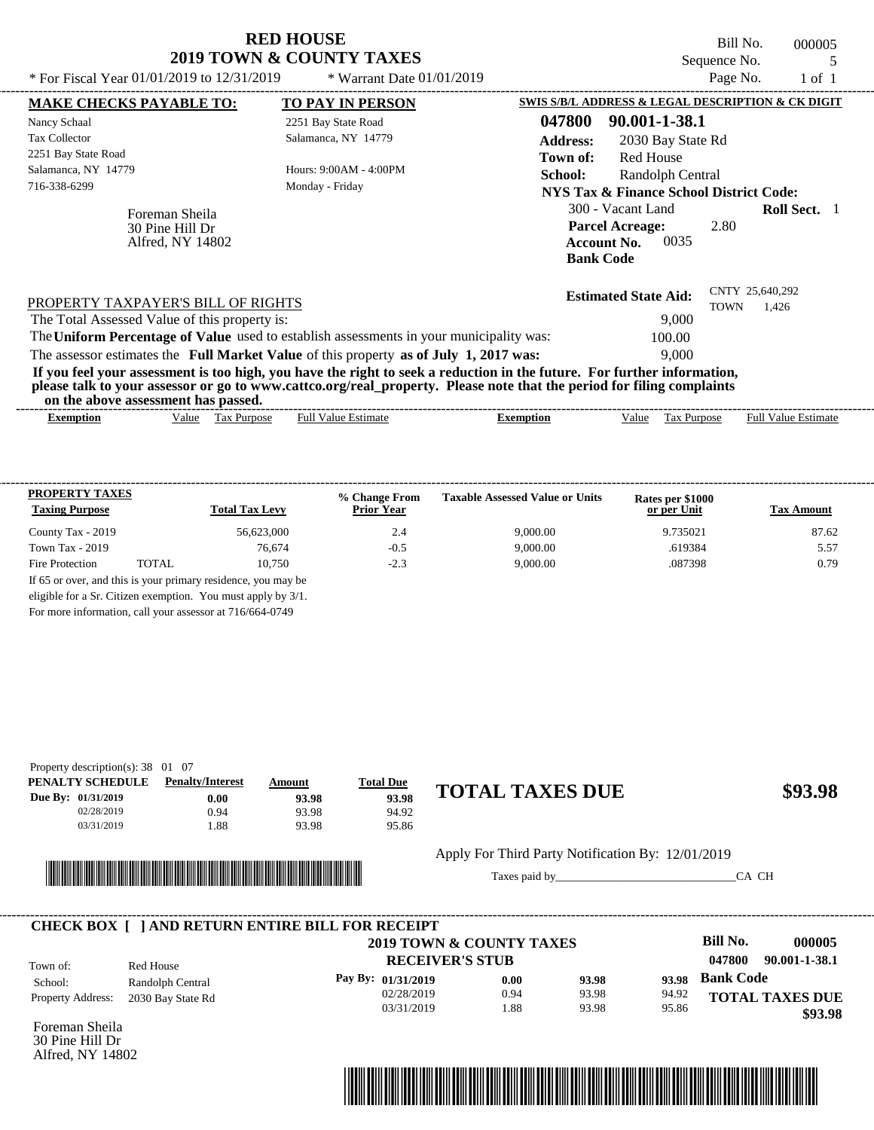|                                                                                                                                                                                                                                                                                                                                                                                                    | <b>RED HOUSE</b><br><b>2019 TOWN &amp; COUNTY TAXES</b>                                 |                                                                                                                                                                                                                                                        | Bill No.<br>Sequence No. | 000005<br>5         |
|----------------------------------------------------------------------------------------------------------------------------------------------------------------------------------------------------------------------------------------------------------------------------------------------------------------------------------------------------------------------------------------------------|-----------------------------------------------------------------------------------------|--------------------------------------------------------------------------------------------------------------------------------------------------------------------------------------------------------------------------------------------------------|--------------------------|---------------------|
| * For Fiscal Year $01/01/2019$ to $12/31/2019$                                                                                                                                                                                                                                                                                                                                                     | * Warrant Date $01/01/2019$                                                             |                                                                                                                                                                                                                                                        | Page No.                 | $1$ of $1$          |
| <b>MAKE CHECKS PAYABLE TO:</b>                                                                                                                                                                                                                                                                                                                                                                     | <b>TO PAY IN PERSON</b>                                                                 | SWIS S/B/L ADDRESS & LEGAL DESCRIPTION & CK DIGIT                                                                                                                                                                                                      |                          |                     |
| Nancy Schaal<br><b>Tax Collector</b><br>2251 Bay State Road<br>Salamanca, NY 14779<br>716-338-6299<br>Foreman Sheila<br>30 Pine Hill Dr<br>Alfred, NY 14802                                                                                                                                                                                                                                        | 2251 Bay State Road<br>Salamanca, NY 14779<br>Hours: 9:00AM - 4:00PM<br>Monday - Friday | 047800<br>90.001-1-38.1<br><b>Address:</b><br>2030 Bay State Rd<br>Red House<br>Town of:<br><b>School:</b><br>Randolph Central<br>NYS Tax & Finance School District Code:<br>300 - Vacant Land<br><b>Parcel Acreage:</b><br>0035<br><b>Account No.</b> | 2.80                     | <b>Roll Sect.</b> 1 |
| PROPERTY TAXPAYER'S BILL OF RIGHTS<br>The Total Assessed Value of this property is:<br>The Uniform Percentage of Value used to establish assessments in your municipality was:<br>The assessor estimates the Full Market Value of this property as of July 1, 2017 was:<br>If you feel your assessment is too high, you have the right to seek a reduction in the future. For further information, |                                                                                         | <b>Bank Code</b><br><b>Estimated State Aid:</b><br>9,000<br>100.00<br>9.000                                                                                                                                                                            | CNTY 25,640,292<br>TOWN  | 1,426               |

**please talk to your assessor or go to www.cattco.org/real\_property. Please note that the period for filing complaints**

**on the above assessment has passed.**

| vu uv     |       | . азэсээнісні наз базэса. |                  |         |      |                |                             |
|-----------|-------|---------------------------|------------------|---------|------|----------------|-----------------------------|
| Exemption | Value | 'ax<br><b>Purpose</b>     | -Estimate<br>Ful | emption | alue | <b>Purpose</b> | Full $V$<br>Estimate<br>alu |
|           |       |                           |                  |         |      |                |                             |

| <b>PROPERTY TAXES</b><br><b>Taxing Purpose</b> |       | <b>Total Tax Levy</b> | % Change From<br><b>Prior Year</b> | <b>Taxable Assessed Value or Units</b> | Rates per \$1000<br>or per Unit | <b>Tax Amount</b> |
|------------------------------------------------|-------|-----------------------|------------------------------------|----------------------------------------|---------------------------------|-------------------|
| County Tax - 2019                              |       | 56.623,000            | 2.4                                | 9,000.00                               | 9.735021                        | 87.62             |
| Town Tax $-2019$                               |       | 76,674                | $-0.5$                             | 9,000.00                               | .619384                         | 5.57              |
| Fire Protection                                | TOTAL | 10.750                | $-2.3$                             | 9,000.00                               | .087398                         | 0.79              |

For more information, call your assessor at 716/664-0749

| Property description(s): $38 \quad 01 \quad 07$ |                         |        |                  |                        |         |
|-------------------------------------------------|-------------------------|--------|------------------|------------------------|---------|
| PENALTY SCHEDULE                                | <b>Penalty/Interest</b> | Amount | <b>Total Due</b> |                        |         |
| Due By: 01/31/2019                              | 0.00                    | 93.98  | 93.98            | <b>TOTAL TAXES DUE</b> | \$93.98 |
| 02/28/2019                                      | 0.94                    | 93.98  | 94.92            |                        |         |
| 03/31/2019                                      | .88                     | 93.98  | 95.86            |                        |         |
|                                                 |                         |        |                  |                        |         |



Apply For Third Party Notification By: 12/01/2019

Taxes paid by\_\_\_\_\_\_\_\_\_\_\_\_\_\_\_\_\_\_\_\_\_\_\_\_\_\_\_\_\_\_\_CA CH

|                          |                   | <b>CHECK BOX   JAND RETURN ENTIRE BILL FOR RECEIPT</b> |      |       |       |                  |                        |
|--------------------------|-------------------|--------------------------------------------------------|------|-------|-------|------------------|------------------------|
|                          |                   | 2019 TOWN & COUNTY TAXES                               |      |       |       | Bill No.         | 000005                 |
| Town of:                 | Red House         | <b>RECEIVER'S STUB</b>                                 |      |       |       | 047800           | 90.001-1-38.1          |
| School:                  | Randolph Central  | Pay By: 01/31/2019                                     | 0.00 | 93.98 | 93.98 | <b>Bank Code</b> |                        |
| <b>Property Address:</b> | 2030 Bay State Rd | 02/28/2019                                             | 0.94 | 93.98 | 94.92 |                  | <b>TOTAL TAXES DUE</b> |
|                          |                   | 03/31/2019                                             | .88  | 93.98 | 95.86 |                  | \$93.98                |

Foreman Sheila 30 Pine Hill Dr Alfred, NY 14802

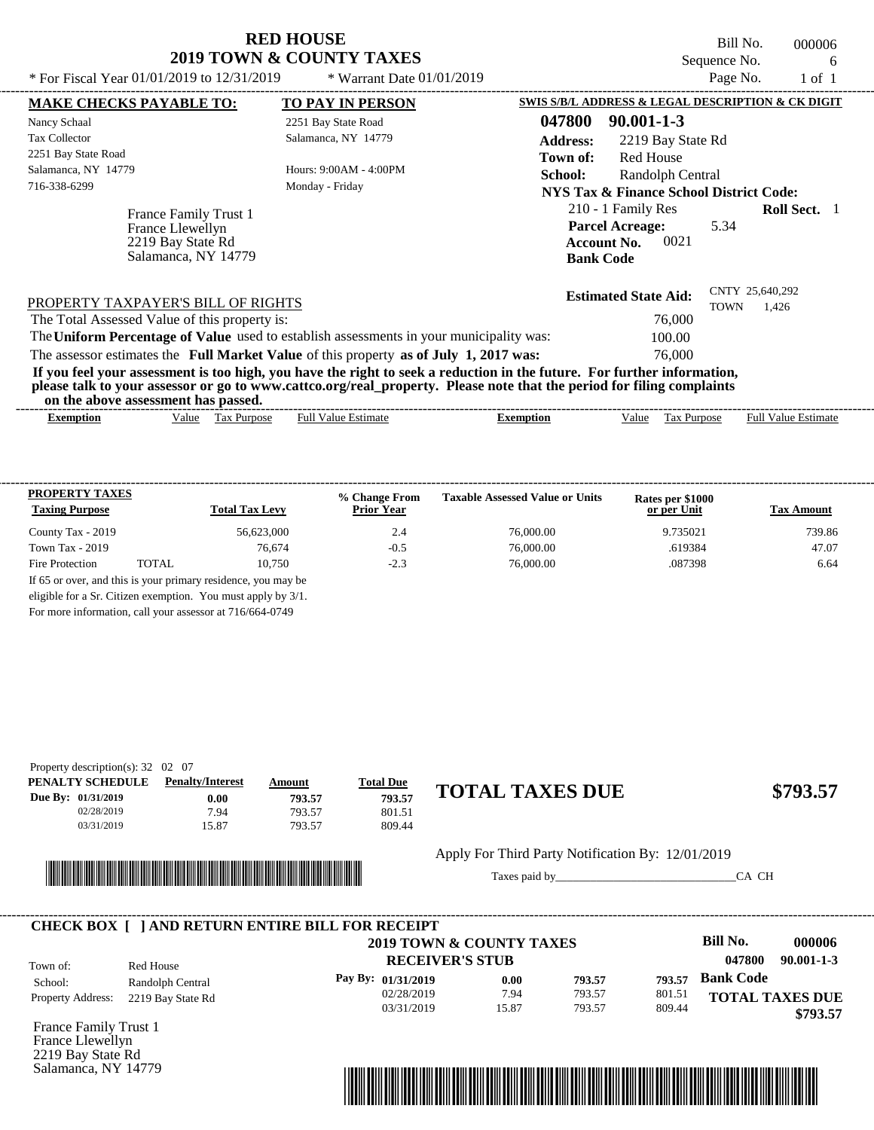Bill No. 000006 Sequence No. 6<br>Page No. 1 of 1

| * For Fiscal Year 01/01/2019 to 12/31/2019                                            | * Warrant Date $01/01/2019$                                                                                                                                                                                                                      |                                                                                        |                   | Page No.                       | 1 of 1              |  |
|---------------------------------------------------------------------------------------|--------------------------------------------------------------------------------------------------------------------------------------------------------------------------------------------------------------------------------------------------|----------------------------------------------------------------------------------------|-------------------|--------------------------------|---------------------|--|
| <b>MAKE CHECKS PAYABLE TO:</b>                                                        | <b>TO PAY IN PERSON</b>                                                                                                                                                                                                                          | SWIS S/B/L ADDRESS & LEGAL DESCRIPTION & CK DIGIT                                      |                   |                                |                     |  |
| Nancy Schaal                                                                          | 2251 Bay State Road                                                                                                                                                                                                                              | 047800<br>$90.001 - 1 - 3$                                                             |                   |                                |                     |  |
| <b>Tax Collector</b>                                                                  | Salamanca, NY 14779                                                                                                                                                                                                                              | <b>Address:</b>                                                                        | 2219 Bay State Rd |                                |                     |  |
| 2251 Bay State Road                                                                   |                                                                                                                                                                                                                                                  | Town of:                                                                               | <b>Red House</b>  |                                |                     |  |
| Salamanca, NY 14779                                                                   | Hours: 9:00AM - 4:00PM                                                                                                                                                                                                                           | School:                                                                                | Randolph Central  |                                |                     |  |
| 716-338-6299                                                                          | Monday - Friday                                                                                                                                                                                                                                  | NYS Tax & Finance School District Code:                                                |                   |                                |                     |  |
| France Family Trust 1<br>France Llewellyn<br>2219 Bay State Rd<br>Salamanca, NY 14779 |                                                                                                                                                                                                                                                  | 210 - 1 Family Res<br><b>Parcel Acreage:</b><br><b>Account No.</b><br><b>Bank Code</b> | 0021              | 5.34                           | <b>Roll Sect.</b> 1 |  |
| PROPERTY TAXPAYER'S BILL OF RIGHTS                                                    |                                                                                                                                                                                                                                                  | <b>Estimated State Aid:</b>                                                            |                   | CNTY 25,640,292<br><b>TOWN</b> | 1,426               |  |
| The Total Assessed Value of this property is:                                         |                                                                                                                                                                                                                                                  |                                                                                        | 76,000            |                                |                     |  |
|                                                                                       | The Uniform Percentage of Value used to establish assessments in your municipality was:                                                                                                                                                          |                                                                                        | 100.00            |                                |                     |  |
|                                                                                       | The assessor estimates the Full Market Value of this property as of July 1, 2017 was:                                                                                                                                                            |                                                                                        | 76,000            |                                |                     |  |
| on the above assessment has passed.                                                   | If you feel your assessment is too high, you have the right to seek a reduction in the future. For further information,<br>please talk to your assessor or go to www.cattco.org/real_property. Please note that the period for filing complaints |                                                                                        |                   |                                |                     |  |
|                                                                                       |                                                                                                                                                                                                                                                  |                                                                                        |                   |                                |                     |  |

| -------------------<br>.xemntio | /alue | l ax<br>Purpose<br>__ | - Full <sup>v</sup><br>alue.<br>stımate | xemption | ∨alue | –<br>יים.<br><b>Purpos</b><br>ι αλ | -------------<br>Full<br>Value.<br>tstimate |
|---------------------------------|-------|-----------------------|-----------------------------------------|----------|-------|------------------------------------|---------------------------------------------|
|                                 |       |                       |                                         |          |       |                                    |                                             |

| <b>PROPERTY TAXES</b><br><b>Taxing Purpose</b> |       | <b>Total Tax Levy</b>                                         | % Change From<br><b>Prior Year</b> | <b>Taxable Assessed Value or Units</b> | Rates per \$1000<br>or per Unit | <b>Tax Amount</b> |
|------------------------------------------------|-------|---------------------------------------------------------------|------------------------------------|----------------------------------------|---------------------------------|-------------------|
| County Tax - 2019                              |       | 56.623,000                                                    | 2.4                                | 76,000.00                              | 9.735021                        | 739.86            |
| Town Tax $-2019$                               |       | 76.674                                                        | $-0.5$                             | 76,000.00                              | .619384                         | 47.07             |
| Fire Protection                                | TOTAL | 10.750                                                        | $-2.3$                             | 76,000.00                              | .087398                         | 6.64              |
|                                                |       | If 65 or over, and this is your primary residence, you may be |                                    |                                        |                                 |                   |
|                                                |       | eligible for a Sr. Citizen exemption. You must apply by 3/1.  |                                    |                                        |                                 |                   |

For more information, call your assessor at 716/664-0749

|                    | Property description(s): $32 \quad 02 \quad 07$ |                         |        |                  |                        |          |
|--------------------|-------------------------------------------------|-------------------------|--------|------------------|------------------------|----------|
|                    | PENALTY SCHEDULE                                | <b>Penalty/Interest</b> | Amount | <b>Total Due</b> |                        |          |
| Due By: 01/31/2019 |                                                 | $0.00\,$                | 793.57 | 793.57           | <b>TOTAL TAXES DUE</b> | \$793.57 |
|                    | 02/28/2019                                      | 7.94                    | 793.57 | 801.51           |                        |          |
|                    | 03/31/2019                                      | 15.87                   | 793.57 | 809.44           |                        |          |
|                    |                                                 |                         |        |                  |                        |          |



Apply For Third Party Notification By: 12/01/2019

Taxes paid by\_\_\_\_\_\_\_\_\_\_\_\_\_\_\_\_\_\_\_\_\_\_\_\_\_\_\_\_\_\_\_CA CH

|                          |                   | 2019 TOWN & COUNTY TAXES |       |        |        | Bill No.         | 000006                 |
|--------------------------|-------------------|--------------------------|-------|--------|--------|------------------|------------------------|
| Town of:                 | Red House         | <b>RECEIVER'S STUB</b>   |       |        |        | 047800           | $90.001 - 1 - 3$       |
| School:                  | Randolph Central  | Pay By: 01/31/2019       | 0.00  | 793.57 | 793.57 | <b>Bank Code</b> |                        |
| <b>Property Address:</b> | 2219 Bay State Rd | 02/28/2019               | 7.94  | 793.57 | 801.51 |                  | <b>TOTAL TAXES DUE</b> |
|                          |                   | 03/31/2019               | 15.87 | 793.57 | 809.44 |                  | \$793.57               |

France Family Trust 1 France Llewellyn 2219 Bay State Rd Salamanca, NY 14779

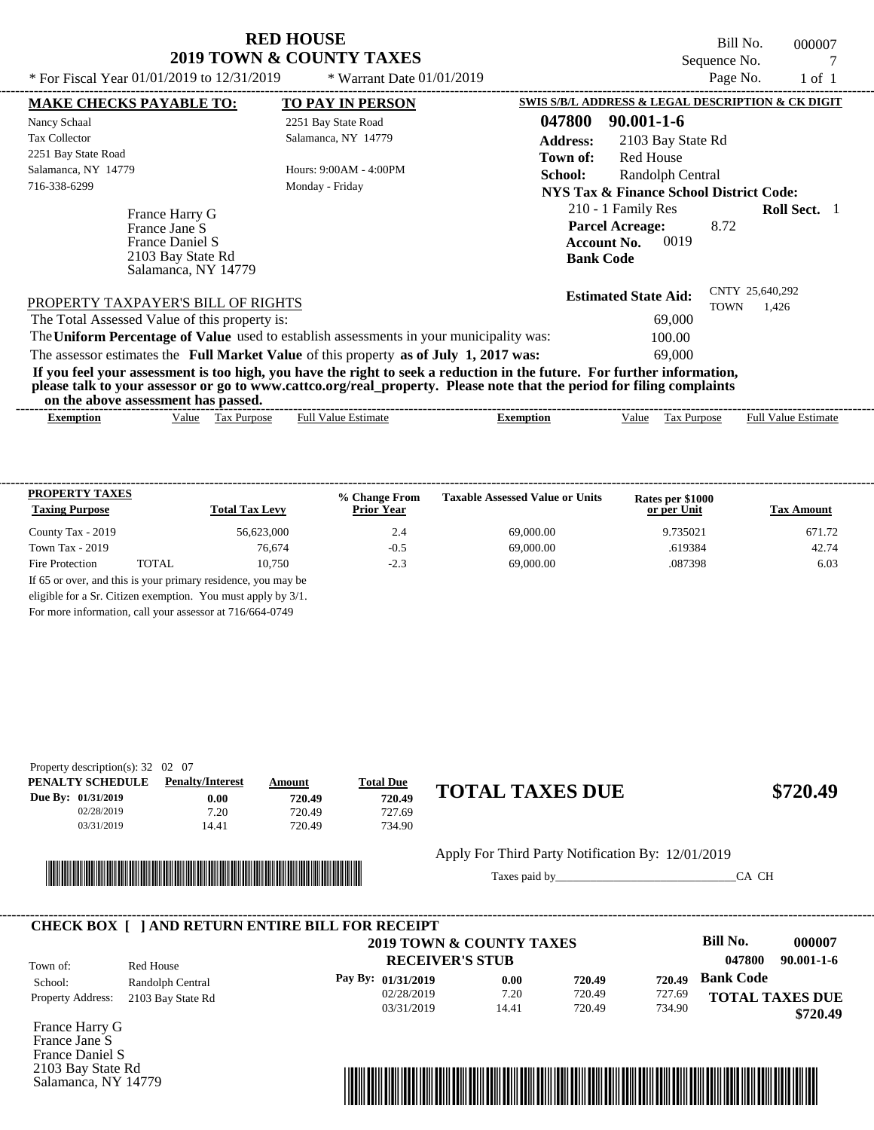Bill No. 000007 Sequence No. 7

| * For Fiscal Year 01/01/2019 to 12/31/2019                                                     | * Warrant Date $01/01/2019$                                                                                                                                                                                                                      | Page No.<br>1 of 1                                                                                                            |
|------------------------------------------------------------------------------------------------|--------------------------------------------------------------------------------------------------------------------------------------------------------------------------------------------------------------------------------------------------|-------------------------------------------------------------------------------------------------------------------------------|
| <b>MAKE CHECKS PAYABLE TO:</b>                                                                 | <b>TO PAY IN PERSON</b>                                                                                                                                                                                                                          | SWIS S/B/L ADDRESS & LEGAL DESCRIPTION & CK DIGIT                                                                             |
| Nancy Schaal                                                                                   | 2251 Bay State Road                                                                                                                                                                                                                              | 047800<br>$90.001 - 1 - 6$                                                                                                    |
| Tax Collector                                                                                  | Salamanca, NY 14779                                                                                                                                                                                                                              | <b>Address:</b><br>2103 Bay State Rd                                                                                          |
| 2251 Bay State Road                                                                            |                                                                                                                                                                                                                                                  | Red House<br>Town of:                                                                                                         |
| Salamanca, NY 14779                                                                            | Hours: 9:00AM - 4:00PM                                                                                                                                                                                                                           | <b>School:</b><br>Randolph Central                                                                                            |
| 716-338-6299                                                                                   | Monday - Friday                                                                                                                                                                                                                                  | NYS Tax & Finance School District Code:                                                                                       |
| France Harry G<br>France Jane S<br>France Daniel S<br>2103 Bay State Rd<br>Salamanca, NY 14779 |                                                                                                                                                                                                                                                  | 210 - 1 Family Res<br><b>Roll Sect.</b> 1<br><b>Parcel Acreage:</b><br>8.72<br>0019<br><b>Account No.</b><br><b>Bank Code</b> |
| PROPERTY TAXPAYER'S BILL OF RIGHTS                                                             |                                                                                                                                                                                                                                                  | CNTY 25,640,292<br><b>Estimated State Aid:</b><br>TOWN<br>1,426                                                               |
| The Total Assessed Value of this property is:                                                  |                                                                                                                                                                                                                                                  | 69,000                                                                                                                        |
|                                                                                                | The Uniform Percentage of Value used to establish assessments in your municipality was:                                                                                                                                                          | 100.00                                                                                                                        |
|                                                                                                | The assessor estimates the Full Market Value of this property as of July 1, 2017 was:                                                                                                                                                            | 69,000                                                                                                                        |
|                                                                                                | If you feel your assessment is too high, you have the right to seek a reduction in the future. For further information,<br>please talk to your assessor or go to www.cattco.org/real_property. Please note that the period for filing complaints |                                                                                                                               |

| the<br>or<br>asses<br>$\sim$ abov $^{\circ}$ | . nas<br>-passed.<br>essment        |                |         |                                       |                                                             |
|----------------------------------------------|-------------------------------------|----------------|---------|---------------------------------------|-------------------------------------------------------------|
| txemption                                    | √alue<br><b>ax</b><br><b>ITDOS6</b> | Estimat<br>Ful | emption | $\sim$<br>alue<br>'urbo:<br>יצר<br>__ | $\sim$<br>$\lceil \text{full } V \rceil$<br>Estimate<br>alu |

| <b>PROPERTY TAXES</b><br><b>Taxing Purpose</b> |       | <b>Total Tax Levy</b>                                         | % Change From<br><b>Prior Year</b> | <b>Taxable Assessed Value or Units</b> | Rates per \$1000<br>or per Unit | <b>Tax Amount</b> |
|------------------------------------------------|-------|---------------------------------------------------------------|------------------------------------|----------------------------------------|---------------------------------|-------------------|
| County Tax - 2019                              |       | 56.623,000                                                    | 2.4                                | 69,000.00                              | 9.735021                        | 671.72            |
| Town Tax $-2019$                               |       | 76.674                                                        | $-0.5$                             | 69,000.00                              | .619384                         | 42.74             |
| Fire Protection                                | TOTAL | 10.750                                                        | $-2.3$                             | 69,000.00                              | .087398                         | 6.03              |
|                                                |       | If 65 or over, and this is your primary residence, you may be |                                    |                                        |                                 |                   |
|                                                |       | eligible for a Sr. Citizen exemption. You must apply by 3/1.  |                                    |                                        |                                 |                   |

For more information, call your assessor at 716/664-0749

| Property description(s): $32 \quad 02 \quad 07$ |                         |        |                  |                        |          |
|-------------------------------------------------|-------------------------|--------|------------------|------------------------|----------|
| PENALTY SCHEDULE                                | <b>Penalty/Interest</b> | Amount | <b>Total Due</b> |                        |          |
| Due By: $01/31/2019$                            | 0.00                    | 720.49 | 720.49           | <b>TOTAL TAXES DUE</b> | \$720.49 |
| 02/28/2019                                      | 7.20                    | 720.49 | 727.69           |                        |          |
| 03/31/2019                                      | 14.41                   | 720.49 | 734.90           |                        |          |
|                                                 |                         |        |                  |                        |          |



Apply For Third Party Notification By: 12/01/2019

Taxes paid by\_\_\_\_\_\_\_\_\_\_\_\_\_\_\_\_\_\_\_\_\_\_\_\_\_\_\_\_\_\_\_CA CH

|                          |                   | 2019 TOWN & COUNTY TAXES<br><b>RECEIVER'S STUB</b> |       |        |        | Bill No.<br>047800     | 000007<br>$90.001 - 1 - 6$ |
|--------------------------|-------------------|----------------------------------------------------|-------|--------|--------|------------------------|----------------------------|
| Town of:                 | Red House         |                                                    |       |        |        |                        |                            |
| School:                  | Randolph Central  | Pay By: 01/31/2019                                 | 0.00  | 720.49 | 720.49 | <b>Bank Code</b>       |                            |
| <b>Property Address:</b> | 2103 Bay State Rd | 02/28/2019                                         | 7.20  | 720.49 | 727.69 | <b>TOTAL TAXES DUE</b> |                            |
|                          |                   | 03/31/2019                                         | 14.41 | 720.49 | 734.90 |                        | \$720.49                   |

France Harry G France Jane S France Daniel S 2103 Bay State Rd Salamanca, NY 14779

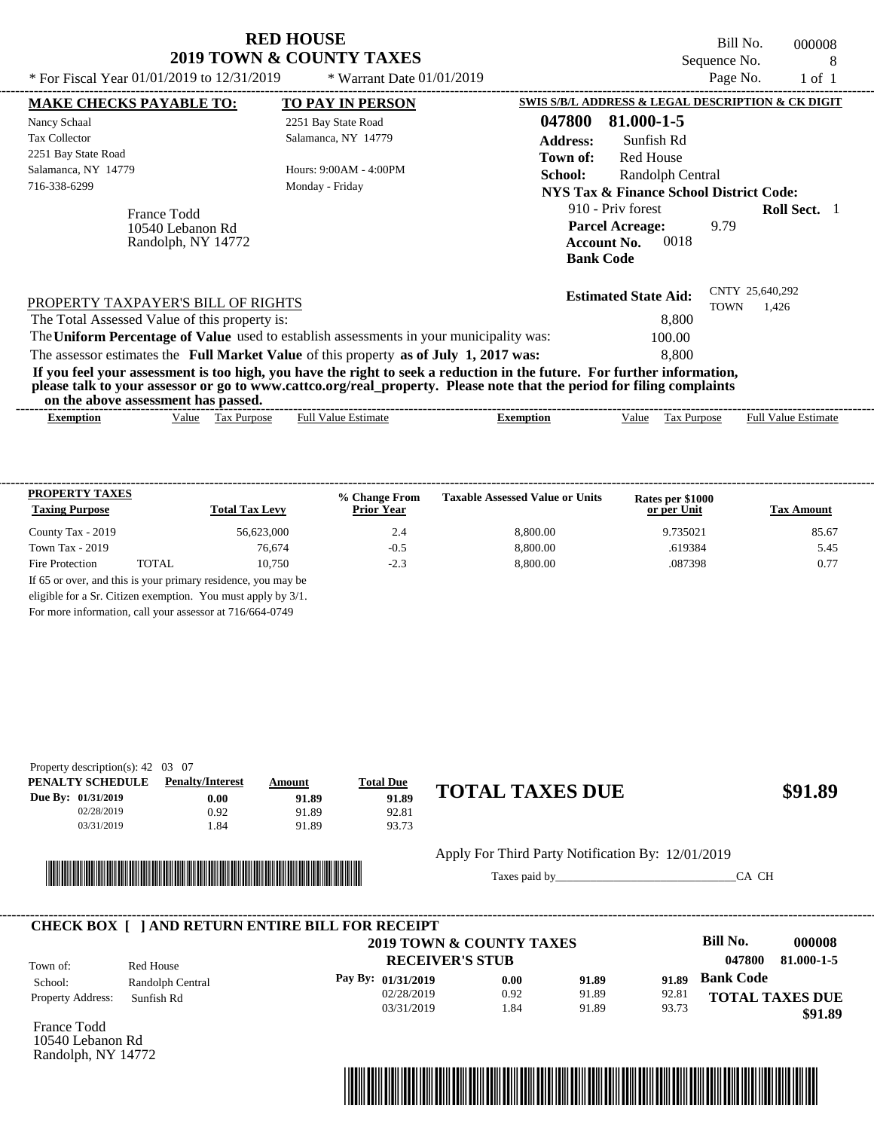|                                                                                                                                                                                          | <b>RED HOUSE</b><br><b>2019 TOWN &amp; COUNTY TAXES</b> | Bill No.<br>000008<br>Sequence No.<br>8                                                                                      |
|------------------------------------------------------------------------------------------------------------------------------------------------------------------------------------------|---------------------------------------------------------|------------------------------------------------------------------------------------------------------------------------------|
| * For Fiscal Year $01/01/2019$ to $12/31/2019$                                                                                                                                           | * Warrant Date 01/01/2019                               | Page No.<br>$1$ of $1$                                                                                                       |
| <b>MAKE CHECKS PAYABLE TO:</b>                                                                                                                                                           | <b>TO PAY IN PERSON</b>                                 | SWIS S/B/L ADDRESS & LEGAL DESCRIPTION & CK DIGIT                                                                            |
| Nancy Schaal                                                                                                                                                                             | 2251 Bay State Road                                     | 047800<br>81.000-1-5                                                                                                         |
| <b>Tax Collector</b>                                                                                                                                                                     | Salamanca, NY 14779                                     | <b>Address:</b><br>Sunfish Rd                                                                                                |
| 2251 Bay State Road                                                                                                                                                                      |                                                         | <b>Red House</b><br>Town of:                                                                                                 |
| Salamanca, NY 14779                                                                                                                                                                      | Hours: 9:00AM - 4:00PM                                  | School:<br>Randolph Central                                                                                                  |
| 716-338-6299                                                                                                                                                                             | Monday - Friday                                         | <b>NYS Tax &amp; Finance School District Code:</b>                                                                           |
| France Todd<br>10540 Lebanon Rd<br>Randolph, NY 14772                                                                                                                                    |                                                         | 910 - Priv forest<br><b>Roll Sect.</b> 1<br><b>Parcel Acreage:</b><br>9.79<br>0018<br><b>Account No.</b><br><b>Bank Code</b> |
| PROPERTY TAXPAYER'S BILL OF RIGHTS<br>The Total Assessed Value of this property is:<br>The Uniform Percentage of Value used to establish assessments in your municipality was:           |                                                         | CNTY 25,640,292<br><b>Estimated State Aid:</b><br><b>TOWN</b><br>1,426<br>8,800<br>100.00                                    |
| The assessor estimates the Full Market Value of this property as of July 1, 2017 was:                                                                                                    |                                                         | 8.800                                                                                                                        |
| please talk to your assessor or go to www.cattco.org/real_property. Please note that the period for filing complaints<br>$\mathbf{1}$ and $\mathbf{1}$ and $\mathbf{1}$ and $\mathbf{1}$ |                                                         | If you feel your assessment is too high, you have the right to seek a reduction in the future. For further information,      |

| or<br>the<br>ass<br>anove : | . has<br>passed.<br>ssment |                  |         |                 |                                |
|-----------------------------|----------------------------|------------------|---------|-----------------|--------------------------------|
| txemption                   | √alue<br>ax<br>،rnose      | -Estimate<br>Ful | `mption | alue<br>'urpose | Full<br><b>Estimate</b><br>alu |

| <b>PROPERTY TAXES</b><br><b>Taxing Purpose</b> |       | <b>Total Tax Levy</b> | % Change From<br><b>Prior Year</b> | <b>Taxable Assessed Value or Units</b> | Rates per \$1000<br>or per Unit | <b>Tax Amount</b> |
|------------------------------------------------|-------|-----------------------|------------------------------------|----------------------------------------|---------------------------------|-------------------|
| County Tax - 2019                              |       | 56.623,000            | 2.4                                | 8,800.00                               | 9.735021                        | 85.67             |
| Town Tax $-2019$                               |       | 76.674                | $-0.5$                             | 8,800.00                               | .619384                         | 5.45              |
| Fire Protection                                | TOTAL | 10.750                | $-2.3$                             | 8,800.00                               | .087398                         | 0.77              |

For more information, call your assessor at 716/664-0749

| Property description(s): $42 \quad 03 \quad 07$ |                         |        |                  |                        |         |
|-------------------------------------------------|-------------------------|--------|------------------|------------------------|---------|
| PENALTY SCHEDULE                                | <b>Penalty/Interest</b> | Amount | <b>Total Due</b> |                        |         |
| Due By: $01/31/2019$                            | $0.00\,$                | 91.89  | 91.89            | <b>TOTAL TAXES DUE</b> | \$91.89 |
| 02/28/2019                                      | 0.92                    | 91.89  | 92.81            |                        |         |
| 03/31/2019                                      | .84                     | 91.89  | 93.73            |                        |         |



Apply For Third Party Notification By: 12/01/2019

Taxes paid by\_\_\_\_\_\_\_\_\_\_\_\_\_\_\_\_\_\_\_\_\_\_\_\_\_\_\_\_\_\_\_CA CH

|                          |                  | <b>CHECK BOX [ ] AND RETURN ENTIRE BILL FOR RECEIPT</b><br>2019 TOWN & COUNTY TAXES |      |       |       | Bill No.               | 000008     |
|--------------------------|------------------|-------------------------------------------------------------------------------------|------|-------|-------|------------------------|------------|
| Town of:                 | Red House        | <b>RECEIVER'S STUB</b>                                                              |      |       |       | 047800                 | 81.000-1-5 |
| School:                  | Randolph Central | Pay By: 01/31/2019                                                                  | 0.00 | 91.89 | 91.89 | <b>Bank Code</b>       |            |
| <b>Property Address:</b> | Sunfish Rd       | 02/28/2019                                                                          | 0.92 | 91.89 | 92.81 | <b>TOTAL TAXES DUE</b> |            |
|                          |                  | 03/31/2019                                                                          | .84  | 91.89 | 93.73 |                        | \$91.89    |

France Todd 10540 Lebanon Rd Randolph, NY 14772

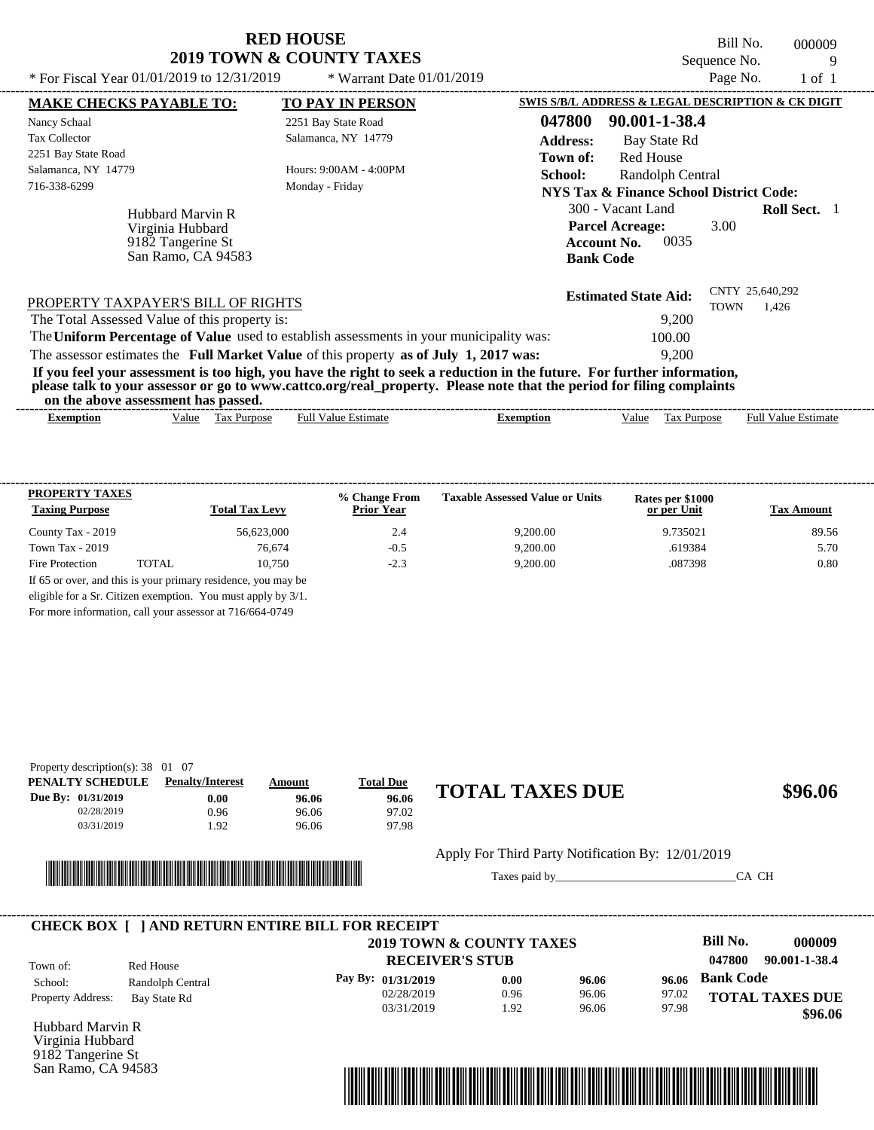Bill No. 000009 Sequence No. 9<br>Page No. 1 of 1 \* For Fiscal Year  $01/01/2019$  to  $12/31/2019$  \* Warrant Date  $01/01/2019$  Page No. 1 of 1

| * For Fiscal Year 01/01/2019 to 12/31/2019                                      | * Warrant Date $01/01/2019$                                                                                                                                                                                                                      | Page No.<br>1 of 1                                                                                                           |
|---------------------------------------------------------------------------------|--------------------------------------------------------------------------------------------------------------------------------------------------------------------------------------------------------------------------------------------------|------------------------------------------------------------------------------------------------------------------------------|
| <b>MAKE CHECKS PAYABLE TO:</b>                                                  | <b>TO PAY IN PERSON</b>                                                                                                                                                                                                                          | SWIS S/B/L ADDRESS & LEGAL DESCRIPTION & CK DIGIT                                                                            |
| Nancy Schaal                                                                    | 2251 Bay State Road                                                                                                                                                                                                                              | 047800<br>90.001-1-38.4                                                                                                      |
| <b>Tax Collector</b>                                                            | Salamanca, NY 14779                                                                                                                                                                                                                              | <b>Address:</b><br>Bay State Rd                                                                                              |
| 2251 Bay State Road                                                             |                                                                                                                                                                                                                                                  | Red House<br>Town of:                                                                                                        |
| Salamanca, NY 14779                                                             | Hours: $9:00AM - 4:00PM$                                                                                                                                                                                                                         | <b>School:</b><br>Randolph Central                                                                                           |
| 716-338-6299                                                                    | Monday - Friday                                                                                                                                                                                                                                  | NYS Tax & Finance School District Code:                                                                                      |
| Hubbard Marvin R<br>Virginia Hubbard<br>9182 Tangerine St<br>San Ramo, CA 94583 |                                                                                                                                                                                                                                                  | 300 - Vacant Land<br><b>Roll Sect.</b> 1<br><b>Parcel Acreage:</b><br>3.00<br>0035<br><b>Account No.</b><br><b>Bank Code</b> |
| PROPERTY TAXPAYER'S BILL OF RIGHTS                                              |                                                                                                                                                                                                                                                  | CNTY 25,640,292<br><b>Estimated State Aid:</b><br>TOWN<br>1,426                                                              |
| The Total Assessed Value of this property is:                                   |                                                                                                                                                                                                                                                  | 9,200                                                                                                                        |
|                                                                                 | The Uniform Percentage of Value used to establish assessments in your municipality was:                                                                                                                                                          | 100.00                                                                                                                       |
|                                                                                 | The assessor estimates the Full Market Value of this property as of July 1, 2017 was:                                                                                                                                                            | 9,200                                                                                                                        |
| on the above assessment has passed.                                             | If you feel your assessment is too high, you have the right to seek a reduction in the future. For further information,<br>please talk to your assessor or go to www.cattco.org/real_property. Please note that the period for filing complaints |                                                                                                                              |

| - Full $V$<br>√alue<br>alue<br>Estimate<br>Estimate<br><b>Purpose</b><br>lax<br>alu⁄<br>Purpose<br>Ful<br>Exemption<br>$\Box$ xemption<br>≙וו'<br>__ |
|------------------------------------------------------------------------------------------------------------------------------------------------------|
|                                                                                                                                                      |

| <b>PROPERTY TAXES</b><br><b>Taxing Purpose</b> |       | <b>Total Tax Levy</b> | % Change From<br><b>Prior Year</b> | <b>Taxable Assessed Value or Units</b> | Rates per \$1000<br>or per Unit | <b>Tax Amount</b> |
|------------------------------------------------|-------|-----------------------|------------------------------------|----------------------------------------|---------------------------------|-------------------|
| County Tax - 2019                              |       | 56.623,000            | 2.4                                | 9.200.00                               | 9.735021                        | 89.56             |
| Town Tax $-2019$                               |       | 76,674                | $-0.5$                             | 9.200.00                               | .619384                         | 5.70              |
| Fire Protection                                | TOTAL | 10.750                | $-2.3$                             | 9,200.00                               | .087398                         | 0.80              |

For more information, call your assessor at 716/664-0749

| Property description(s): $38 \quad 01 \quad 07$ |                         |        |                  |                        |         |
|-------------------------------------------------|-------------------------|--------|------------------|------------------------|---------|
| PENALTY SCHEDULE                                | <b>Penalty/Interest</b> | Amount | <b>Total Due</b> |                        |         |
| Due By: 01/31/2019                              | $0.00\,$                | 96.06  | 96.06            | <b>TOTAL TAXES DUE</b> | \$96.06 |
| 02/28/2019                                      | 0.96                    | 96.06  | 97.02            |                        |         |
| 03/31/2019                                      | 1.92                    | 96.06  | 97.98            |                        |         |
|                                                 |                         |        |                  |                        |         |



Apply For Third Party Notification By: 12/01/2019

Taxes paid by\_\_\_\_\_\_\_\_\_\_\_\_\_\_\_\_\_\_\_\_\_\_\_\_\_\_\_\_\_\_\_CA CH



Hubbard Marvin R Virginia Hubbard 9182 Tangerine St San Ramo, CA 94583

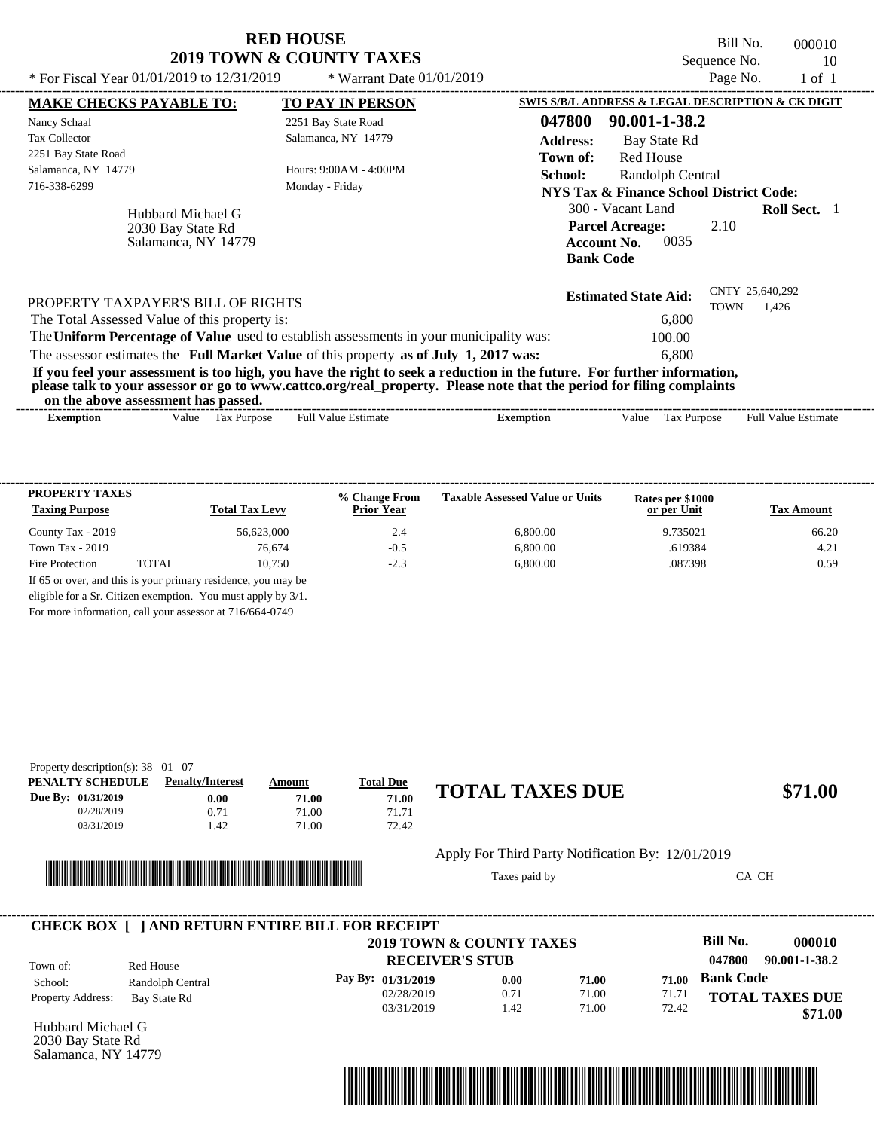| * For Fiscal Year $01/01/2019$ to $12/31/2019$ | <b>RED HOUSE</b><br><b>2019 TOWN &amp; COUNTY TAXES</b><br>$*$ Warrant Date 01/01/2019 |                 | Bill No.<br>Sequence No.<br>Page No.              | 000010<br>10<br>1 of 1 |
|------------------------------------------------|----------------------------------------------------------------------------------------|-----------------|---------------------------------------------------|------------------------|
| <b>MAKE CHECKS PAYABLE TO:</b>                 | <b>TO PAY IN PERSON</b>                                                                |                 | SWIS S/B/L ADDRESS & LEGAL DESCRIPTION & CK DIGIT |                        |
| Nancy Schaal                                   | 2251 Bay State Road                                                                    | 047800          | 90.001-1-38.2                                     |                        |
| Tax Collector                                  | Salamanca, NY 14779                                                                    | <b>Address:</b> | Bay State Rd                                      |                        |

TOWN 1,426 Hubbard Michael G **School:** Randolph Central **NYS Tax & Finance School District Code:** 300 - Vacant Land **Roll Sect.** 1 2.10 **Account No.** 0035 **Bank Code Estimated State Aid:** CNTY 25,640,292 PROPERTY TAXPAYER'S BILL OF RIGHTS The assessor estimates the **Full Market Value** of this property **as of July 1, 2017 was:** 6,800 The Total Assessed Value of this property is: 6,800 The **Uniform Percentage of Value** used to establish assessments in your municipality was: 100.00 **If you feel your assessment is too high, you have the right to seek a reduction in the future. For further information, please talk to your assessor or go to www.cattco.org/real\_property. Please note that the period for filing complaints** Hours: 9:00AM - 4:00PM Salamanca, NY 14779 716-338-6299 Monday - Friday **Parcel Acreage:** 2030 Bay State Rd Salamanca, NY 14779

**on the above assessment has passed.**

2251 Bay State Road

| Full $V$<br>√alue<br>alue<br>Purpose<br>Estimate<br>ax:<br>Estimate<br>Ful<br>Value<br>$\sim$<br>Purpose<br>Exemption<br>Exemption<br>٦1Α<br>1 as | ----- | ,,,,<br>. v | . азэсээнісні наз базэса. |  |  | -------------- |
|---------------------------------------------------------------------------------------------------------------------------------------------------|-------|-------------|---------------------------|--|--|----------------|
|                                                                                                                                                   |       |             |                           |  |  |                |

| <b>PROPERTY TAXES</b><br><b>Taxing Purpose</b> |       | <b>Total Tax Levy</b>                                         | % Change From<br><b>Prior Year</b> | <b>Taxable Assessed Value or Units</b> | Rates per \$1000<br>or per Unit | <b>Tax Amount</b> |
|------------------------------------------------|-------|---------------------------------------------------------------|------------------------------------|----------------------------------------|---------------------------------|-------------------|
| County Tax - 2019                              |       | 56,623,000                                                    | 2.4                                | 6.800.00                               | 9.735021                        | 66.20             |
| Town Tax $-2019$                               |       | 76,674                                                        | $-0.5$                             | 6.800.00                               | .619384                         | 4.21              |
| Fire Protection                                | TOTAL | 10.750                                                        | $-2.3$                             | 6,800.00                               | .087398                         | 0.59              |
|                                                |       | If 65 or over, and this is your primary residence, you may be |                                    |                                        |                                 |                   |
|                                                |       | eligible for a Sr. Citizen exemption. You must apply by 3/1.  |                                    |                                        |                                 |                   |

For more information, call your assessor at 716/664-0749

| Property description(s): $38 \quad 01 \quad 07$ |                         |        |                  |                        |         |
|-------------------------------------------------|-------------------------|--------|------------------|------------------------|---------|
| PENALTY SCHEDULE                                | <b>Penalty/Interest</b> | Amount | <b>Total Due</b> |                        |         |
| <b>Due By: 01/31/2019</b>                       | 0.00                    | 71.00  | 71.00            | <b>TOTAL TAXES DUE</b> | \$71.00 |
| 02/28/2019                                      | 0.71                    | 71.00  | 71.71            |                        |         |
| 03/31/2019                                      | l.42                    | 71.00  | 72.42            |                        |         |



Apply For Third Party Notification By: 12/01/2019

Taxes paid by\_\_\_\_\_\_\_\_\_\_\_\_\_\_\_\_\_\_\_\_\_\_\_\_\_\_\_\_\_\_\_CA CH

|                          |                  | <b>CHECK BOX   JAND RETURN ENTIRE BILL FOR RECEIPT</b><br>2019 TOWN & COUNTY TAXES |      |       |       | Bill No.         | 000010                 |
|--------------------------|------------------|------------------------------------------------------------------------------------|------|-------|-------|------------------|------------------------|
| Town of:                 | Red House        | <b>RECEIVER'S STUB</b>                                                             |      |       |       | 047800           | 90.001-1-38.2          |
| School:                  | Randolph Central | Pay By: 01/31/2019                                                                 | 0.00 | 71.00 | 71.00 | <b>Bank Code</b> |                        |
| <b>Property Address:</b> | Bay State Rd     | 02/28/2019                                                                         | 0.71 | 71.00 | 71.71 |                  | <b>TOTAL TAXES DUE</b> |
|                          |                  | 03/31/2019                                                                         | .42  | 71.00 | 72.42 |                  | \$71.00                |

Hubbard Michael G 2030 Bay State Rd Salamanca, NY 14779



Red House

**Town of:**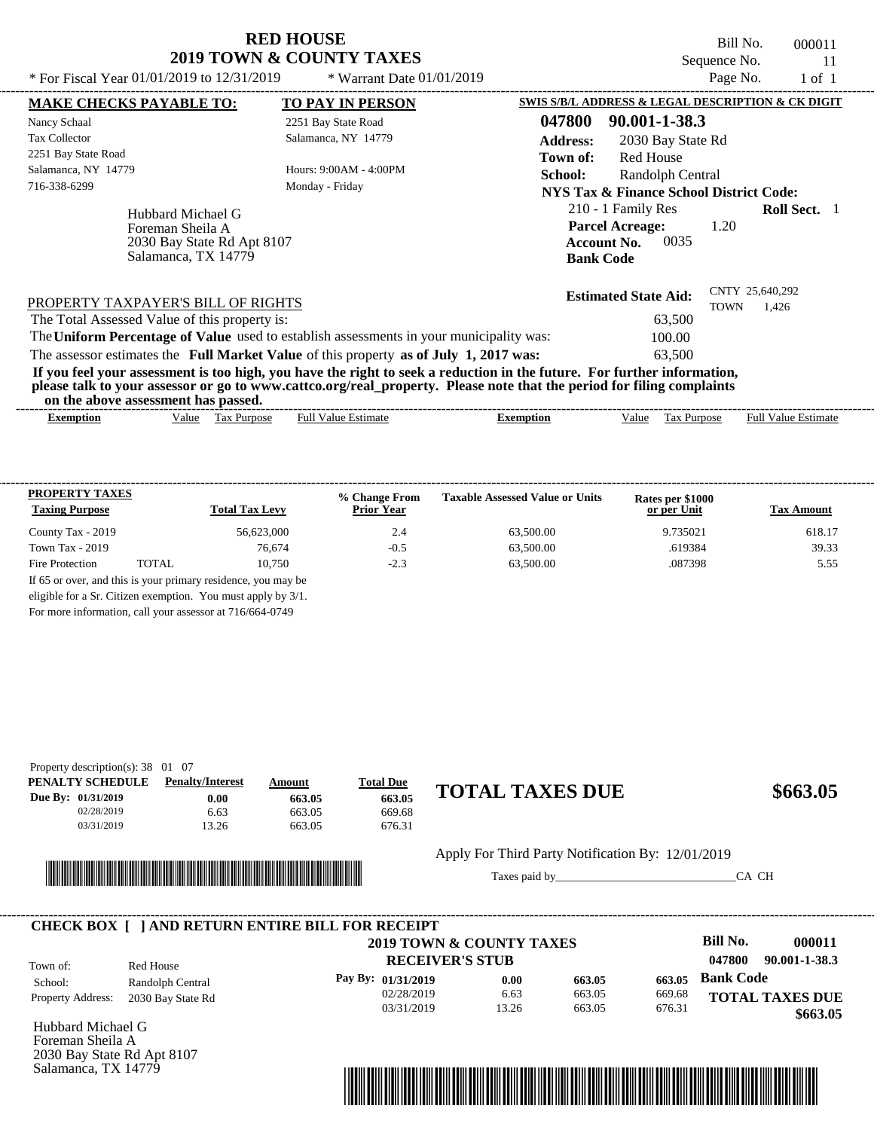Bill No. 000011 Sequence No. 11<br>Page No. 1 of 1

| * For Fiscal Year 01/01/2019 to 12/31/2019    |                                                                        | * Warrant Date $01/01/2019$                                                                                                                                                                                                                      |                                                   |                                                                                        |                   | Page No.    | $1$ of $1$                 |  |
|-----------------------------------------------|------------------------------------------------------------------------|--------------------------------------------------------------------------------------------------------------------------------------------------------------------------------------------------------------------------------------------------|---------------------------------------------------|----------------------------------------------------------------------------------------|-------------------|-------------|----------------------------|--|
| <b>MAKE CHECKS PAYABLE TO:</b>                |                                                                        | <b>TO PAY IN PERSON</b>                                                                                                                                                                                                                          | SWIS S/B/L ADDRESS & LEGAL DESCRIPTION & CK DIGIT |                                                                                        |                   |             |                            |  |
| Nancy Schaal                                  |                                                                        | 2251 Bay State Road                                                                                                                                                                                                                              | 047800                                            | 90.001-1-38.3                                                                          |                   |             |                            |  |
| <b>Tax Collector</b>                          |                                                                        | Salamanca, NY 14779                                                                                                                                                                                                                              | <b>Address:</b>                                   |                                                                                        | 2030 Bay State Rd |             |                            |  |
| 2251 Bay State Road                           |                                                                        |                                                                                                                                                                                                                                                  | Town of:                                          | Red House                                                                              |                   |             |                            |  |
| Salamanca, NY 14779                           |                                                                        | Hours: $9:00AM - 4:00PM$                                                                                                                                                                                                                         | School:                                           |                                                                                        | Randolph Central  |             |                            |  |
| 716-338-6299                                  |                                                                        | Monday - Friday                                                                                                                                                                                                                                  |                                                   | NYS Tax & Finance School District Code:                                                |                   |             |                            |  |
| Foreman Sheila A                              | Hubbard Michael G<br>2030 Bay State Rd Apt 8107<br>Salamanca, TX 14779 |                                                                                                                                                                                                                                                  |                                                   | 210 - 1 Family Res<br><b>Parcel Acreage:</b><br><b>Account No.</b><br><b>Bank Code</b> | 0035              | 1.20        | <b>Roll Sect.</b>          |  |
| PROPERTY TAXPAYER'S BILL OF RIGHTS            |                                                                        |                                                                                                                                                                                                                                                  |                                                   | <b>Estimated State Aid:</b>                                                            |                   | <b>TOWN</b> | CNTY 25,640,292<br>1,426   |  |
| The Total Assessed Value of this property is: |                                                                        |                                                                                                                                                                                                                                                  |                                                   |                                                                                        | 63,500            |             |                            |  |
|                                               |                                                                        | The Uniform Percentage of Value used to establish assessments in your municipality was:                                                                                                                                                          |                                                   |                                                                                        | 100.00            |             |                            |  |
|                                               |                                                                        | The assessor estimates the Full Market Value of this property as of July 1, 2017 was:                                                                                                                                                            |                                                   |                                                                                        | 63.500            |             |                            |  |
| on the above assessment has passed.           |                                                                        | If you feel your assessment is too high, you have the right to seek a reduction in the future. For further information,<br>please talk to your assessor or go to www.cattco.org/real_property. Please note that the period for filing complaints |                                                   |                                                                                        |                   |             |                            |  |
| <b>Exemption</b>                              | Tax Purpose<br>Value                                                   | <b>Full Value Estimate</b>                                                                                                                                                                                                                       | <b>Exemption</b>                                  | Value                                                                                  | Tax Purpose       |             | <b>Full Value Estimate</b> |  |

| <b>PROPERTY TAXES</b><br><b>Taxing Purpose</b> |       | <b>Total Tax Levy</b>                                         | % Change From<br><b>Prior Year</b> | <b>Taxable Assessed Value or Units</b> | Rates per \$1000<br>or per Unit | <b>Tax Amount</b> |
|------------------------------------------------|-------|---------------------------------------------------------------|------------------------------------|----------------------------------------|---------------------------------|-------------------|
| County Tax - 2019                              |       | 56.623,000                                                    | 2.4                                | 63,500.00                              | 9.735021                        | 618.17            |
| Town Tax $-2019$                               |       | 76.674                                                        | $-0.5$                             | 63,500.00                              | .619384                         | 39.33             |
| Fire Protection                                | TOTAL | 10.750                                                        | $-2.3$                             | 63,500.00                              | .087398                         | 5.55              |
|                                                |       | If 65 or over, and this is your primary residence, you may be |                                    |                                        |                                 |                   |
|                                                |       | eligible for a Sr. Citizen exemption. You must apply by 3/1.  |                                    |                                        |                                 |                   |

For more information, call your assessor at 716/664-0749

| Property description(s): $38 \quad 01 \quad 07$ |                         |        |                  |                        |          |
|-------------------------------------------------|-------------------------|--------|------------------|------------------------|----------|
| PENALTY SCHEDULE                                | <b>Penalty/Interest</b> | Amount | <b>Total Due</b> |                        |          |
| Due By: 01/31/2019                              | 0.00                    | 663.05 | 663.05           | <b>TOTAL TAXES DUE</b> | \$663.05 |
| 02/28/2019                                      | 6.63                    | 663.05 | 669.68           |                        |          |
| 03/31/2019                                      | 13.26                   | 663.05 | 676.31           |                        |          |
|                                                 |                         |        |                  |                        |          |



Apply For Third Party Notification By: 12/01/2019

Taxes paid by\_\_\_\_\_\_\_\_\_\_\_\_\_\_\_\_\_\_\_\_\_\_\_\_\_\_\_\_\_\_\_CA CH

|                          |                   | <b>CHECK BOX [ ] AND RETURN ENTIRE BILL FOR RECEIPT</b> |       |        |        |                         |
|--------------------------|-------------------|---------------------------------------------------------|-------|--------|--------|-------------------------|
|                          |                   | <b>2019 TOWN &amp; COUNTY TAXES</b>                     |       |        |        | Bill No.<br>000011      |
| Town of:                 | Red House         | <b>RECEIVER'S STUB</b>                                  |       |        |        | 90.001-1-38.3<br>047800 |
| School:                  | Randolph Central  | Pay By: 01/31/2019                                      | 0.00  | 663.05 | 663.05 | <b>Bank Code</b>        |
| <b>Property Address:</b> | 2030 Bay State Rd | 02/28/2019                                              | 6.63  | 663.05 | 669.68 | <b>TOTAL TAXES DUE</b>  |
|                          |                   | 03/31/2019                                              | 13.26 | 663.05 | 676.31 | \$663.05                |

Hubbard Michael G Foreman Sheila A 2030 Bay State Rd Apt 8107 Salamanca, TX 14779

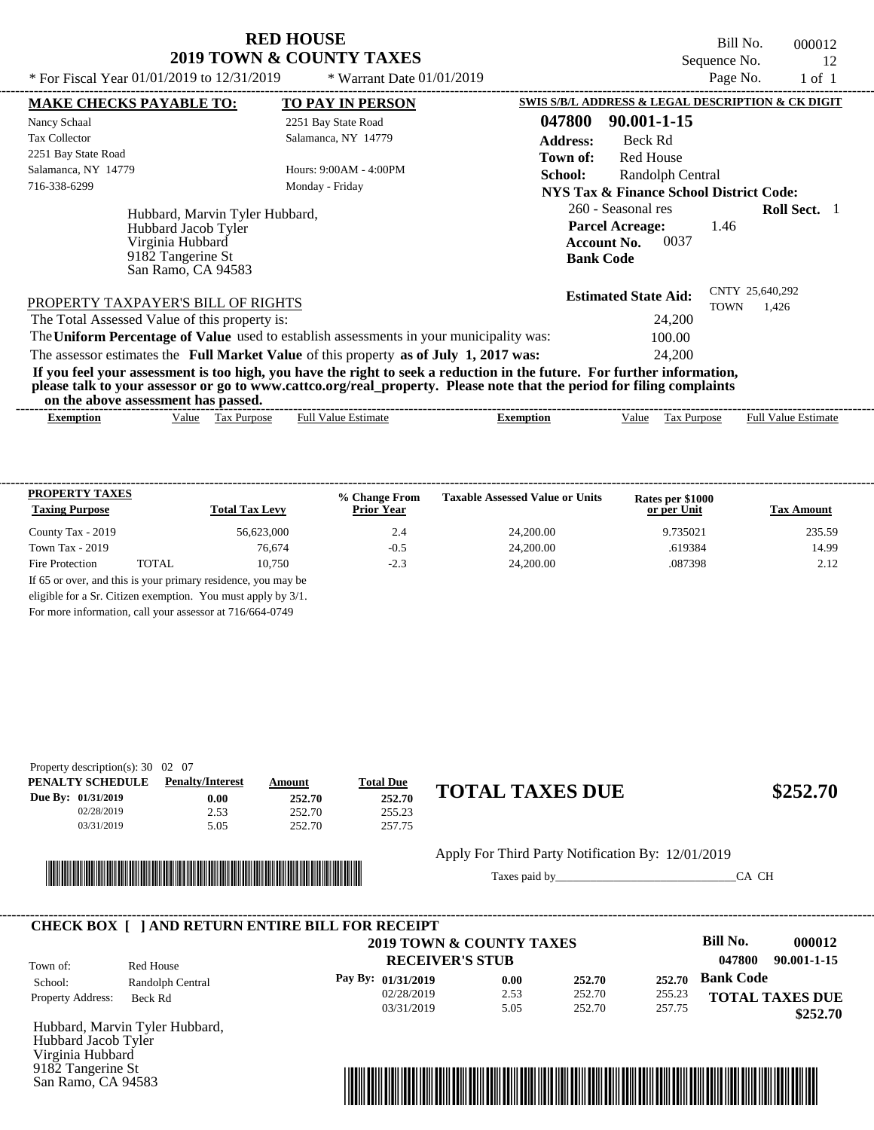Bill No. 000012 Sequence No. 12<br>Page No. 1 of 1

| * For Fiscal Year 01/01/2019 to 12/31/2019                                                                                                                                                                                                                                             | * Warrant Date 01/01/2019 | Page No.<br>1 of 1                                                                                                            |
|----------------------------------------------------------------------------------------------------------------------------------------------------------------------------------------------------------------------------------------------------------------------------------------|---------------------------|-------------------------------------------------------------------------------------------------------------------------------|
| <b>MAKE CHECKS PAYABLE TO:</b>                                                                                                                                                                                                                                                         | <b>TO PAY IN PERSON</b>   | <b>SWIS S/B/L ADDRESS &amp; LEGAL DESCRIPTION &amp; CK DIGIT</b>                                                              |
| Nancy Schaal                                                                                                                                                                                                                                                                           | 2251 Bay State Road       | 047800<br>90.001-1-15                                                                                                         |
| Tax Collector                                                                                                                                                                                                                                                                          | Salamanca, NY 14779       | <b>Address:</b><br>Beck Rd                                                                                                    |
| 2251 Bay State Road                                                                                                                                                                                                                                                                    |                           | Red House<br>Town of:                                                                                                         |
| Salamanca, NY 14779                                                                                                                                                                                                                                                                    | Hours: 9:00AM - 4:00PM    | <b>School:</b><br>Randolph Central                                                                                            |
| 716-338-6299                                                                                                                                                                                                                                                                           | Monday - Friday           | NYS Tax & Finance School District Code:                                                                                       |
| Hubbard, Marvin Tyler Hubbard,<br>Hubbard Jacob Tyler<br>Virginia Hubbard<br>9182 Tangerine St<br>San Ramo, CA 94583                                                                                                                                                                   |                           | 260 - Seasonal res<br><b>Roll Sect.</b> 1<br><b>Parcel Acreage:</b><br>1.46<br>0037<br><b>Account No.</b><br><b>Bank Code</b> |
| PROPERTY TAXPAYER'S BILL OF RIGHTS                                                                                                                                                                                                                                                     |                           | CNTY 25,640,292<br><b>Estimated State Aid:</b><br>TOWN<br>1,426                                                               |
| The Total Assessed Value of this property is:                                                                                                                                                                                                                                          |                           | 24,200                                                                                                                        |
| The Uniform Percentage of Value used to establish assessments in your municipality was:                                                                                                                                                                                                |                           | 100.00                                                                                                                        |
| The assessor estimates the Full Market Value of this property as of July 1, 2017 was:                                                                                                                                                                                                  |                           | 24,200                                                                                                                        |
| If you feel your assessment is too high, you have the right to seek a reduction in the future. For further information,<br>please talk to your assessor or go to www.cattco.org/real_property. Please note that the period for filing complaints<br>an the above accomment has no cool |                           |                                                                                                                               |

| or<br>the<br>ass<br>above | nasseo.<br>. has<br>sessment |                |        |                            |                         |
|---------------------------|------------------------------|----------------|--------|----------------------------|-------------------------|
| *xemption                 | √alue<br>ax<br>.rdose        | Estimat<br>Ful | ıptıon | -<br>alue<br>'urdos<br>151 | Full<br>Estimate<br>alu |

| <b>PROPERTY TAXES</b><br><b>Taxing Purpose</b> |       | <b>Total Tax Levy</b>                                         | % Change From<br><b>Prior Year</b> | <b>Taxable Assessed Value or Units</b> | Rates per \$1000<br>or per Unit | <b>Tax Amount</b> |
|------------------------------------------------|-------|---------------------------------------------------------------|------------------------------------|----------------------------------------|---------------------------------|-------------------|
| County Tax - 2019                              |       | 56,623,000                                                    | 2.4                                | 24,200,00                              | 9.735021                        | 235.59            |
| Town Tax $-2019$                               |       | 76.674                                                        | $-0.5$                             | 24,200.00                              | .619384                         | 14.99             |
| Fire Protection                                | TOTAL | 10.750                                                        | $-2.3$                             | 24,200.00                              | .087398                         | 2.12              |
|                                                |       | If 65 or over, and this is your primary residence, you may be |                                    |                                        |                                 |                   |
|                                                |       | eligible for a Sr. Citizen exemption. You must apply by 3/1.  |                                    |                                        |                                 |                   |

For more information, call your assessor at 716/664-0749

| Property description(s): $30 \quad 02 \quad 07$ |                         |        |                  |                        |          |
|-------------------------------------------------|-------------------------|--------|------------------|------------------------|----------|
| PENALTY SCHEDULE                                | <b>Penalty/Interest</b> | Amount | <u>Total Due</u> |                        |          |
| Due By: 01/31/2019                              | 0.00                    | 252.70 | 252.70           | <b>TOTAL TAXES DUE</b> | \$252.70 |
| 02/28/2019                                      | 2.53                    | 252.70 | 255.23           |                        |          |
| 03/31/2019                                      | 5.05                    | 252.70 | 257.75           |                        |          |



Apply For Third Party Notification By: 12/01/2019

Taxes paid by\_\_\_\_\_\_\_\_\_\_\_\_\_\_\_\_\_\_\_\_\_\_\_\_\_\_\_\_\_\_\_CA CH

|                          |                  | 2019 TOWN & COUNTY TAXES |      |        |        | Bill No.         | 000012                 |
|--------------------------|------------------|--------------------------|------|--------|--------|------------------|------------------------|
| Town of:                 | Red House        | <b>RECEIVER'S STUB</b>   |      |        |        | 047800           | 90.001-1-15            |
| School:                  | Randolph Central | Pay By: $01/31/2019$     | 0.00 | 252.70 | 252.70 | <b>Bank Code</b> |                        |
| <b>Property Address:</b> | Beck Rd          | 02/28/2019               | 2.53 | 252.70 | 255.23 |                  | <b>TOTAL TAXES DUE</b> |
|                          |                  | 03/31/2019               | 5.05 | 252.70 | 257.75 |                  | \$252.70               |

Hubbard, Marvin Tyler Hubbard, Hubbard Jacob Tyler Virginia Hubbard 9182 Tangerine St San Ramo, CA 94583

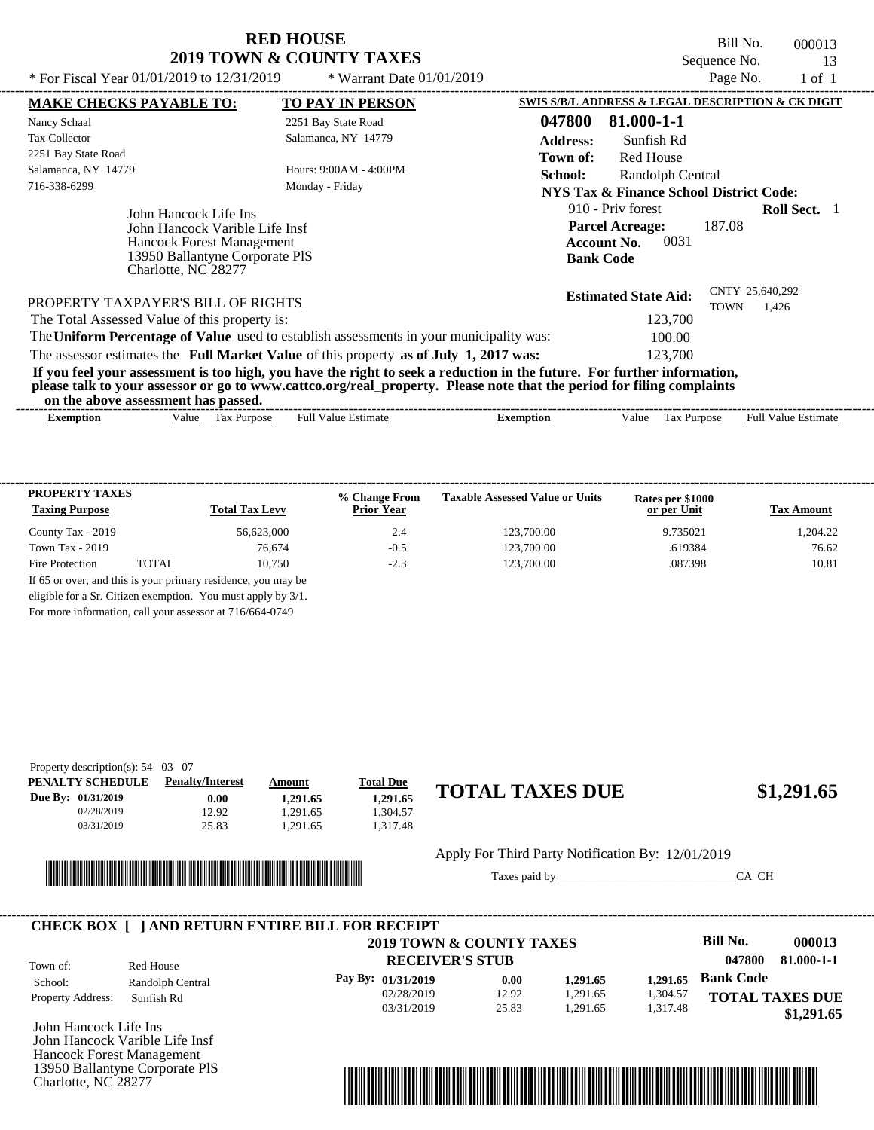Bill No. 000013 Sequence No. 13

| * For Fiscal Year 01/01/2019 to 12/31/2019                                                                                                           | * Warrant Date $01/01/2019$                                                             |                                                                                                                                                                                                                                                  | Page No.                       | $1$ of $1$                 |
|------------------------------------------------------------------------------------------------------------------------------------------------------|-----------------------------------------------------------------------------------------|--------------------------------------------------------------------------------------------------------------------------------------------------------------------------------------------------------------------------------------------------|--------------------------------|----------------------------|
| <b>MAKE CHECKS PAYABLE TO:</b>                                                                                                                       | <b>TO PAY IN PERSON</b>                                                                 | SWIS S/B/L ADDRESS & LEGAL DESCRIPTION & CK DIGIT                                                                                                                                                                                                |                                |                            |
| Nancy Schaal                                                                                                                                         | 2251 Bay State Road                                                                     | 047800<br>81.000-1-1                                                                                                                                                                                                                             |                                |                            |
| <b>Tax Collector</b>                                                                                                                                 | Salamanca, NY 14779                                                                     | <b>Address:</b><br>Sunfish Rd                                                                                                                                                                                                                    |                                |                            |
| 2251 Bay State Road                                                                                                                                  |                                                                                         | <b>Red House</b><br>Town of:                                                                                                                                                                                                                     |                                |                            |
| Salamanca, NY 14779                                                                                                                                  | Hours: $9:00AM - 4:00PM$                                                                | School:<br>Randolph Central                                                                                                                                                                                                                      |                                |                            |
| 716-338-6299                                                                                                                                         | Monday - Friday                                                                         | <b>NYS Tax &amp; Finance School District Code:</b>                                                                                                                                                                                               |                                |                            |
| John Hancock Life Ins<br>John Hancock Varible Life Insf<br><b>Hancock Forest Management</b><br>13950 Ballantyne Corporate PIS<br>Charlotte, NC 28277 |                                                                                         | 910 - Priv forest<br><b>Parcel Acreage:</b><br>0031<br><b>Account No.</b><br><b>Bank Code</b>                                                                                                                                                    | 187.08                         | <b>Roll Sect.</b> 1        |
| PROPERTY TAXPAYER'S BILL OF RIGHTS                                                                                                                   |                                                                                         | <b>Estimated State Aid:</b>                                                                                                                                                                                                                      | CNTY 25,640,292<br><b>TOWN</b> | 1.426                      |
| The Total Assessed Value of this property is:                                                                                                        |                                                                                         | 123,700                                                                                                                                                                                                                                          |                                |                            |
|                                                                                                                                                      | The Uniform Percentage of Value used to establish assessments in your municipality was: | 100.00                                                                                                                                                                                                                                           |                                |                            |
|                                                                                                                                                      | The assessor estimates the Full Market Value of this property as of July 1, 2017 was:   | 123,700                                                                                                                                                                                                                                          |                                |                            |
| on the above assessment has passed.                                                                                                                  |                                                                                         | If you feel your assessment is too high, you have the right to seek a reduction in the future. For further information,<br>please talk to your assessor or go to www.cattco.org/real_property. Please note that the period for filing complaints |                                |                            |
| Value Tax Purpose<br><b>Exemption</b>                                                                                                                | <b>Full Value Estimate</b>                                                              | <b>Exemption</b><br>Value                                                                                                                                                                                                                        | Tax Purpose                    | <b>Full Value Estimate</b> |

| <b>PROPERTY TAXES</b><br><b>Taxing Purpose</b> |       | <b>Total Tax Levy</b>                                         | % Change From<br><b>Prior Year</b> | <b>Taxable Assessed Value or Units</b> | Rates per \$1000<br>or per Unit | <b>Tax Amount</b> |
|------------------------------------------------|-------|---------------------------------------------------------------|------------------------------------|----------------------------------------|---------------------------------|-------------------|
| County Tax - 2019                              |       | 56.623,000                                                    | 2.4                                | 123,700.00                             | 9.735021                        | 1.204.22          |
| Town Tax - 2019                                |       | 76.674                                                        | $-0.5$                             | 123,700.00                             | .619384                         | 76.62             |
| Fire Protection                                | TOTAL | 10.750                                                        | $-2.3$                             | 123,700.00                             | .087398                         | 10.81             |
|                                                |       | If 65 or over, and this is your primary residence, you may be |                                    |                                        |                                 |                   |
|                                                |       | eligible for a Sr. Citizen exemption. You must apply by 3/1.  |                                    |                                        |                                 |                   |

For more information, call your assessor at 716/664-0749

| Property description(s): $54 \quad 03 \quad 07$ |                         |               |                  |                        |            |
|-------------------------------------------------|-------------------------|---------------|------------------|------------------------|------------|
| PENALTY SCHEDULE                                | <b>Penalty/Interest</b> | <u>Amount</u> | <b>Total Due</b> |                        |            |
| Due By: 01/31/2019                              | $0.00\,$                | 1.291.65      | 1.291.65         | <b>TOTAL TAXES DUE</b> | \$1,291.65 |
| 02/28/2019                                      | 12.92                   | .291.65       | .304.57          |                        |            |
| 03/31/2019                                      | 25.83                   | .291.65       | .317.48          |                        |            |
|                                                 |                         |               |                  |                        |            |



Apply For Third Party Notification By: 12/01/2019

Taxes paid by\_\_\_\_\_\_\_\_\_\_\_\_\_\_\_\_\_\_\_\_\_\_\_\_\_\_\_\_\_\_\_CA CH

|                          |                  | 2019 TOWN & COUNTY TAXES |       |          |          | Bill No.               | 000013     |
|--------------------------|------------------|--------------------------|-------|----------|----------|------------------------|------------|
| Town of:                 | Red House        | <b>RECEIVER'S STUB</b>   |       |          |          | 047800                 | 81.000-1-1 |
| School:                  | Randolph Central | Pay By: $01/31/2019$     | 0.00  | 1.291.65 | 1.291.65 | <b>Bank Code</b>       |            |
| <b>Property Address:</b> | Sunfish Rd       | 02/28/2019               | 12.92 | 1,291.65 | 1,304.57 | <b>TOTAL TAXES DUE</b> |            |
|                          |                  | 03/31/2019               | 25.83 | 1.291.65 | 1,317.48 |                        | \$1,291.65 |

John Hancock Life Ins John Hancock Varible Life Insf Hancock Forest Management 13950 Ballantyne Corporate PlS Charlotte, NC 28277

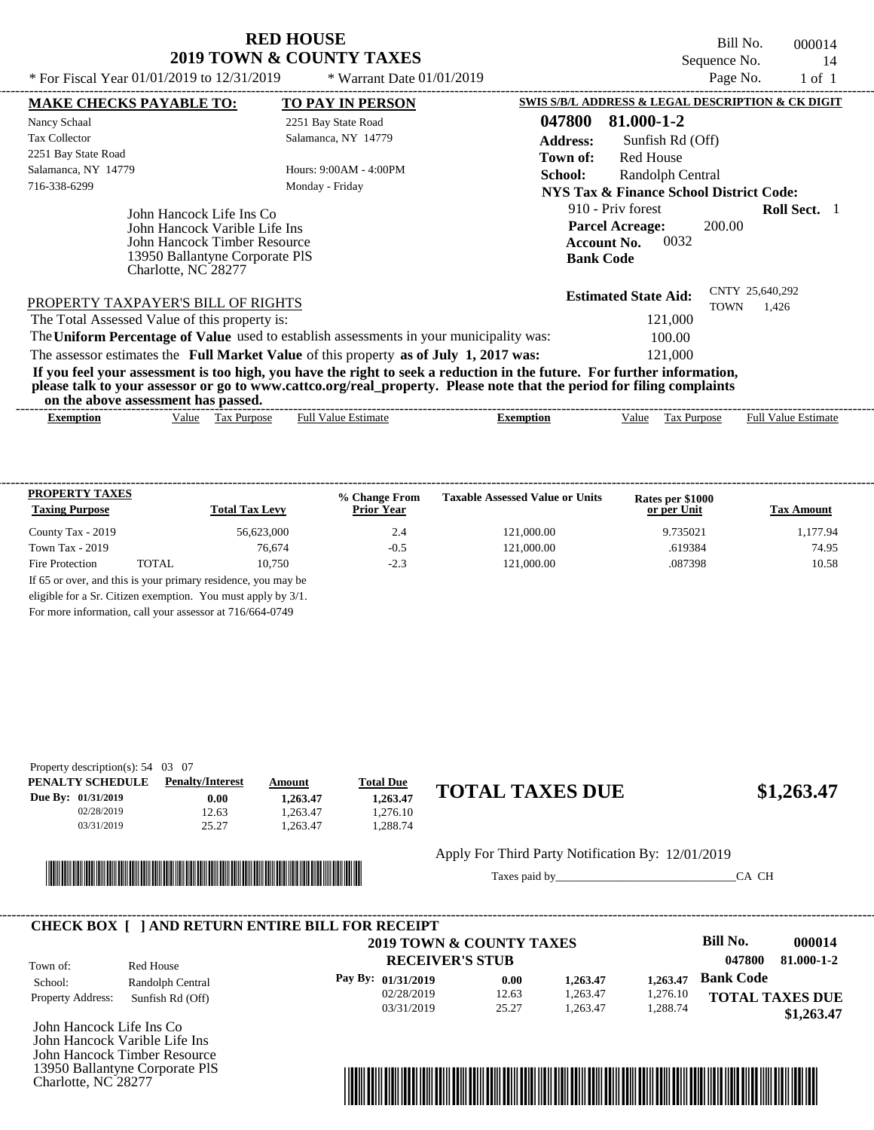Bill No. 000014 Sequence No. 14

| * For Fiscal Year $01/01/2019$ to $12/31/2019$                                                                                                     | * Warrant Date $01/01/2019$                                                                                                                                                                                                                      | Page No.<br>$1$ of $1$                                                            |
|----------------------------------------------------------------------------------------------------------------------------------------------------|--------------------------------------------------------------------------------------------------------------------------------------------------------------------------------------------------------------------------------------------------|-----------------------------------------------------------------------------------|
| <b>MAKE CHECKS PAYABLE TO:</b>                                                                                                                     | <b>TO PAY IN PERSON</b>                                                                                                                                                                                                                          | SWIS S/B/L ADDRESS & LEGAL DESCRIPTION & CK DIGIT                                 |
| Nancy Schaal                                                                                                                                       | 2251 Bay State Road                                                                                                                                                                                                                              | 047800<br>81.000-1-2                                                              |
| Tax Collector<br>2251 Bay State Road                                                                                                               | Salamanca, NY 14779                                                                                                                                                                                                                              | <b>Address:</b><br>Sunfish Rd (Off)<br><b>Red House</b><br>Town of:               |
| Salamanca, NY 14779<br>716-338-6299                                                                                                                | Hours: 9:00AM - 4:00PM<br>Monday - Friday                                                                                                                                                                                                        | School:<br>Randolph Central<br><b>NYS Tax &amp; Finance School District Code:</b> |
| John Hancock Life Ins Co<br>John Hancock Varible Life Ins<br>John Hancock Timber Resource<br>13950 Ballantyne Corporate PIS<br>Charlotte, NC 28277 | 910 - Priv forest<br><b>Roll Sect.</b> 1<br><b>Parcel Acreage:</b><br>200.00<br>0032<br><b>Account No.</b><br><b>Bank Code</b>                                                                                                                   |                                                                                   |
| PROPERTY TAXPAYER'S BILL OF RIGHTS                                                                                                                 |                                                                                                                                                                                                                                                  | CNTY 25,640,292<br><b>Estimated State Aid:</b><br><b>TOWN</b><br>1.426            |
| The Total Assessed Value of this property is:                                                                                                      |                                                                                                                                                                                                                                                  | 121,000                                                                           |
|                                                                                                                                                    | The Uniform Percentage of Value used to establish assessments in your municipality was:                                                                                                                                                          | 100.00                                                                            |
|                                                                                                                                                    | The assessor estimates the Full Market Value of this property as of July 1, 2017 was:                                                                                                                                                            | 121,000                                                                           |
| on the above assessment has passed.                                                                                                                | If you feel your assessment is too high, you have the right to seek a reduction in the future. For further information,<br>please talk to your assessor or go to www.cattco.org/real_property. Please note that the period for filing complaints |                                                                                   |
|                                                                                                                                                    | $\Gamma$ 11 $\mathbf{V}$ 11 $\mathbf{V}$ 11 $\mathbf{V}$ 12 $\mathbf{V}$ 12 $\mathbf{V}$ 12 $\mathbf{V}$ 12 $\mathbf{V}$ 12 $\mathbf{V}$                                                                                                         |                                                                                   |

|                                                                                             | -------                                                          |
|---------------------------------------------------------------------------------------------|------------------------------------------------------------------|
| Full<br>/alue<br>$\mathbf{a}$<br>™stıma.<br>urpose<br>Value<br>xemption<br>xemption<br>. as | ∨alue<br>stımate<br>Fuh<br>alue<br>$\sim$<br><b>TILLE</b><br>ιaλ |

| <b>PROPERTY TAXES</b><br><b>Taxing Purpose</b> |       | <b>Total Tax Levy</b>                                         | % Change From<br><b>Prior Year</b> | <b>Taxable Assessed Value or Units</b> | Rates per \$1000<br>or per Unit | <b>Tax Amount</b> |
|------------------------------------------------|-------|---------------------------------------------------------------|------------------------------------|----------------------------------------|---------------------------------|-------------------|
| County Tax - 2019                              |       | 56,623,000                                                    | 2.4                                | 121,000.00                             | 9.735021                        | 1.177.94          |
| Town Tax $-2019$                               |       | 76.674                                                        | $-0.5$                             | 121,000.00                             | .619384                         | 74.95             |
| Fire Protection                                | TOTAL | 10.750                                                        | $-2.3$                             | 121,000.00                             | .087398                         | 10.58             |
|                                                |       | If 65 or over, and this is your primary residence, you may be |                                    |                                        |                                 |                   |
|                                                |       | eligible for a Sr. Citizen exemption. You must apply by 3/1.  |                                    |                                        |                                 |                   |

For more information, call your assessor at 716/664-0749

| Property description(s): $54 \quad 03 \quad 07$ |                         |          |                  |                        |            |
|-------------------------------------------------|-------------------------|----------|------------------|------------------------|------------|
| PENALTY SCHEDULE                                | <b>Penalty/Interest</b> | Amount   | <b>Total Due</b> |                        |            |
| Due By: 01/31/2019                              | 0.00                    | 1.263.47 | 1.263.47         | <b>TOTAL TAXES DUE</b> | \$1,263.47 |
| 02/28/2019                                      | 12.63                   | .263.47  | .276.10          |                        |            |
| 03/31/2019                                      | 25.27                   | .263.47  | .288.74          |                        |            |
|                                                 |                         |          |                  |                        |            |



Apply For Third Party Notification By: 12/01/2019

Taxes paid by\_\_\_\_\_\_\_\_\_\_\_\_\_\_\_\_\_\_\_\_\_\_\_\_\_\_\_\_\_\_\_CA CH



John Hancock Life Ins Co John Hancock Varible Life Ins John Hancock Timber Resource 13950 Ballantyne Corporate PlS Charlotte, NC 28277

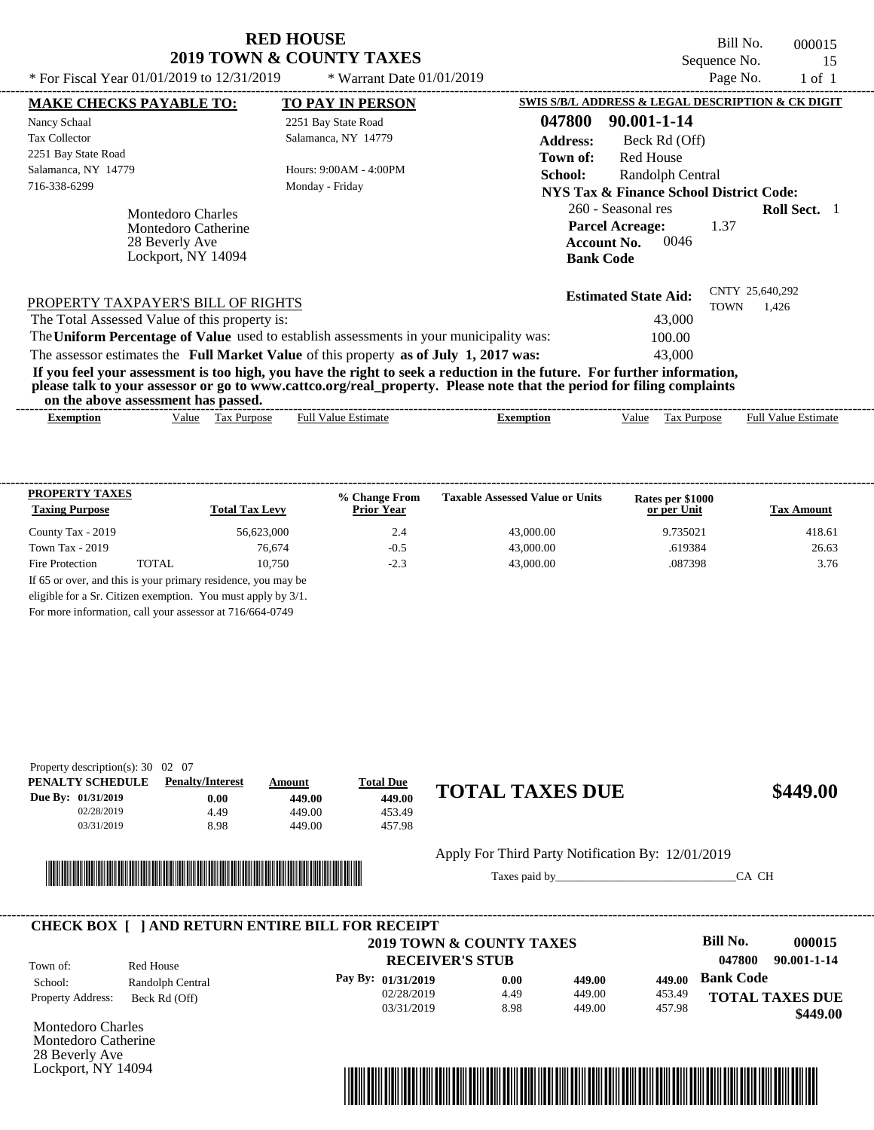## **RED HOUSE 2019 TOWN & COUNTY TAXES**<br>01/01/2019 to 12/31/2019<br>\* Wewent Data C

Bill No. 000015 Sequence No. 15<br>Page No. 1 of 1

| * For Fiscal Year 01/01/2019 to 12/31/2019                                       | * Warrant Date $01/01/2019$                                                                                                                                                                                                                      |                                                                                                | Page No.                       | $1$ of $1$                 |
|----------------------------------------------------------------------------------|--------------------------------------------------------------------------------------------------------------------------------------------------------------------------------------------------------------------------------------------------|------------------------------------------------------------------------------------------------|--------------------------------|----------------------------|
| <b>MAKE CHECKS PAYABLE TO:</b>                                                   | <b>TO PAY IN PERSON</b>                                                                                                                                                                                                                          | SWIS S/B/L ADDRESS & LEGAL DESCRIPTION & CK DIGIT                                              |                                |                            |
| Nancy Schaal                                                                     | 2251 Bay State Road                                                                                                                                                                                                                              | 047800<br>90.001-1-14                                                                          |                                |                            |
| <b>Tax Collector</b>                                                             | Salamanca, NY 14779                                                                                                                                                                                                                              | <b>Address:</b><br>Beck Rd (Off)                                                               |                                |                            |
| 2251 Bay State Road                                                              |                                                                                                                                                                                                                                                  | <b>Red House</b><br>Town of:                                                                   |                                |                            |
| Salamanca, NY 14779                                                              | Hours: $9:00AM - 4:00PM$                                                                                                                                                                                                                         | School:<br>Randolph Central                                                                    |                                |                            |
| 716-338-6299                                                                     | Monday - Friday                                                                                                                                                                                                                                  | <b>NYS Tax &amp; Finance School District Code:</b>                                             |                                |                            |
| Montedoro Charles<br>Montedoro Catherine<br>28 Beverly Ave<br>Lockport, NY 14094 |                                                                                                                                                                                                                                                  | 260 - Seasonal res<br><b>Parcel Acreage:</b><br>0046<br><b>Account No.</b><br><b>Bank Code</b> | 1.37                           | <b>Roll Sect.</b> 1        |
| PROPERTY TAXPAYER'S BILL OF RIGHTS                                               |                                                                                                                                                                                                                                                  | <b>Estimated State Aid:</b>                                                                    | CNTY 25,640,292<br><b>TOWN</b> | 1.426                      |
| The Total Assessed Value of this property is:                                    |                                                                                                                                                                                                                                                  | 43,000                                                                                         |                                |                            |
|                                                                                  | The Uniform Percentage of Value used to establish assessments in your municipality was:                                                                                                                                                          | 100.00                                                                                         |                                |                            |
|                                                                                  | The assessor estimates the Full Market Value of this property as of July 1, 2017 was:                                                                                                                                                            | 43,000                                                                                         |                                |                            |
| on the above assessment has passed.                                              | If you feel your assessment is too high, you have the right to seek a reduction in the future. For further information,<br>please talk to your assessor or go to www.cattco.org/real_property. Please note that the period for filing complaints |                                                                                                |                                |                            |
| Value Tax Purpose<br>Exemption                                                   | <b>Full Value Estimate</b>                                                                                                                                                                                                                       | <b>Exemption</b><br>Value                                                                      | Tax Purpose                    | <b>Full Value Estimate</b> |

| <b>PROPERTY TAXES</b><br><b>Taxing Purpose</b> |       | <b>Total Tax Levy</b>                                         | % Change From<br><b>Prior Year</b> | <b>Taxable Assessed Value or Units</b> | Rates per \$1000<br>or per Unit | <b>Tax Amount</b> |
|------------------------------------------------|-------|---------------------------------------------------------------|------------------------------------|----------------------------------------|---------------------------------|-------------------|
| County Tax - 2019                              |       | 56,623,000                                                    | 2.4                                | 43,000.00                              | 9.735021                        | 418.61            |
| Town Tax $-2019$                               |       | 76,674                                                        | $-0.5$                             | 43,000.00                              | .619384                         | 26.63             |
| Fire Protection                                | TOTAL | 10.750                                                        | $-2.3$                             | 43,000.00                              | .087398                         | 3.76              |
|                                                |       | If 65 or over, and this is your primary residence, you may be |                                    |                                        |                                 |                   |
|                                                |       | eligible for a Sr. Citizen exemption. You must apply by 3/1.  |                                    |                                        |                                 |                   |

For more information, call your assessor at 716/664-0749

| Property description(s): $30 \quad 02 \quad 07$ |                         |        |                  |                        |          |
|-------------------------------------------------|-------------------------|--------|------------------|------------------------|----------|
| PENALTY SCHEDULE                                | <b>Penalty/Interest</b> | Amount | <b>Total Due</b> |                        |          |
| Due By: 01/31/2019                              | $0.00\,$                | 449.00 | 449.00           | <b>TOTAL TAXES DUE</b> | \$449.00 |
| 02/28/2019                                      | 4.49                    | 449.00 | 453.49           |                        |          |
| 03/31/2019                                      | 8.98                    | 449.00 | 457.98           |                        |          |
|                                                 |                         |        |                  |                        |          |



Apply For Third Party Notification By: 12/01/2019

Taxes paid by\_\_\_\_\_\_\_\_\_\_\_\_\_\_\_\_\_\_\_\_\_\_\_\_\_\_\_\_\_\_\_CA CH

|                          |                  | 2019 TOWN & COUNTY TAXES |      |        |        | Bill No.         | 000015                 |
|--------------------------|------------------|--------------------------|------|--------|--------|------------------|------------------------|
| Town of:                 | Red House        | <b>RECEIVER'S STUB</b>   |      |        |        | 047800           | 90.001-1-14            |
| School:                  | Randolph Central | Pay By: 01/31/2019       | 0.00 | 449.00 | 449.00 | <b>Bank Code</b> |                        |
| <b>Property Address:</b> | Beck Rd (Off)    | 02/28/2019               | 4.49 | 449.00 | 453.49 |                  | <b>TOTAL TAXES DUE</b> |
|                          |                  | 03/31/2019               | 8.98 | 449.00 | 457.98 |                  | \$449.00               |

Montedoro Charles Montedoro Catherine 28 Beverly Ave Lockport, NY 14094

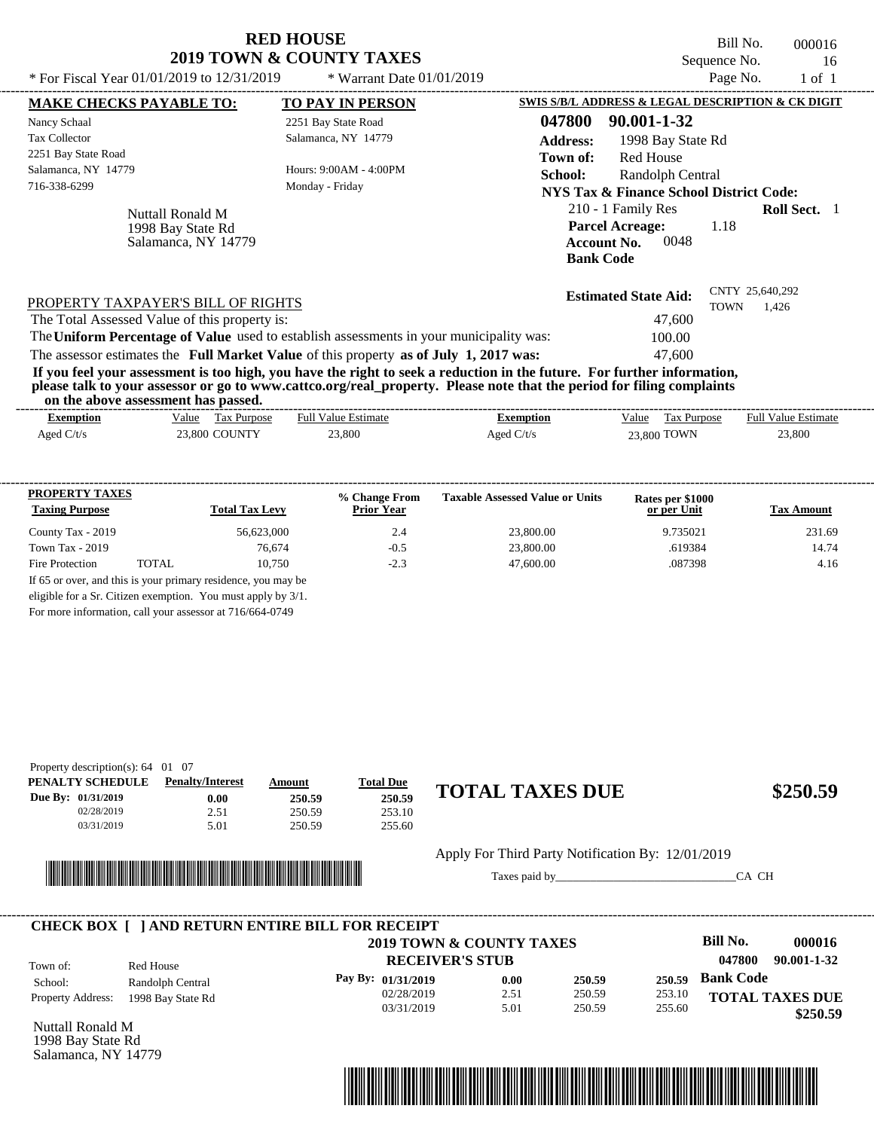Bill No. 000016 Sequence No. 16

| * For Fiscal Year 01/01/2019 to 12/31/2019                   | * Warrant Date $01/01/2019$                                                                                                                                                                                                                      | Page No.<br>1 of 1                                                                                                     |
|--------------------------------------------------------------|--------------------------------------------------------------------------------------------------------------------------------------------------------------------------------------------------------------------------------------------------|------------------------------------------------------------------------------------------------------------------------|
| <b>MAKE CHECKS PAYABLE TO:</b>                               | <b>TO PAY IN PERSON</b>                                                                                                                                                                                                                          | SWIS S/B/L ADDRESS & LEGAL DESCRIPTION & CK DIGIT                                                                      |
| Nancy Schaal                                                 | 2251 Bay State Road                                                                                                                                                                                                                              | 047800<br>90.001-1-32                                                                                                  |
| Tax Collector                                                | Salamanca, NY 14779                                                                                                                                                                                                                              | <b>Address:</b><br>1998 Bay State Rd                                                                                   |
| 2251 Bay State Road                                          |                                                                                                                                                                                                                                                  | Red House<br>Town of:                                                                                                  |
| Salamanca, NY 14779                                          | Hours: 9:00AM - 4:00PM                                                                                                                                                                                                                           | <b>School:</b><br>Randolph Central                                                                                     |
| 716-338-6299                                                 | Monday - Friday                                                                                                                                                                                                                                  | NYS Tax & Finance School District Code:                                                                                |
| Nuttall Ronald M<br>1998 Bay State Rd<br>Salamanca, NY 14779 |                                                                                                                                                                                                                                                  | 210 - 1 Family Res<br><b>Roll Sect.</b> 1<br><b>Parcel Acreage:</b><br>1.18<br>0048<br>Account No.<br><b>Bank Code</b> |
| PROPERTY TAXPAYER'S BILL OF RIGHTS                           |                                                                                                                                                                                                                                                  | CNTY 25,640,292<br><b>Estimated State Aid:</b><br>TOWN<br>1,426                                                        |
| The Total Assessed Value of this property is:                |                                                                                                                                                                                                                                                  | 47,600                                                                                                                 |
|                                                              | The Uniform Percentage of Value used to establish assessments in your municipality was:                                                                                                                                                          | 100.00                                                                                                                 |
|                                                              | The assessor estimates the Full Market Value of this property as of July 1, 2017 was:                                                                                                                                                            | 47,600                                                                                                                 |
|                                                              | If you feel your assessment is too high, you have the right to seek a reduction in the future. For further information,<br>please talk to your assessor or go to www.cattco.org/real_property. Please note that the period for filing complaints |                                                                                                                        |

| on               | the above assessment has passed. |                            |              |                      |                            |
|------------------|----------------------------------|----------------------------|--------------|----------------------|----------------------------|
| <b>Exemption</b> | Tax Purpose<br>Value             | <b>Full Value Estimate</b> | Exemption    | Value<br>Tax Purpose | <b>Full Value Estimate</b> |
| Aged $C/t/s$     | 23,800 COUNTY                    | 23,800                     | Aged $C/t/s$ | 23,800 TOWN          | 23,800                     |
|                  |                                  |                            |              |                      |                            |

| <b>PROPERTY TAXES</b><br><b>Taxing Purpose</b> |       | <b>Total Tax Levy</b>                                         | % Change From<br><b>Prior Year</b> | <b>Taxable Assessed Value or Units</b> | Rates per \$1000<br>or per Unit | <b>Tax Amount</b> |
|------------------------------------------------|-------|---------------------------------------------------------------|------------------------------------|----------------------------------------|---------------------------------|-------------------|
| County Tax - 2019                              |       | 56,623,000                                                    | 2.4                                | 23,800.00                              | 9.735021                        | 231.69            |
| Town Tax $-2019$                               |       | 76.674                                                        | $-0.5$                             | 23,800.00                              | .619384                         | 14.74             |
| Fire Protection                                | TOTAL | 10.750                                                        | $-2.3$                             | 47,600.00                              | .087398                         | 4.16              |
|                                                |       | If 65 or over, and this is your primary residence, you may be |                                    |                                        |                                 |                   |
|                                                |       | eligible for a Sr. Citizen exemption. You must apply by 3/1.  |                                    |                                        |                                 |                   |

For more information, call your assessor at 716/664-0749

| Property description(s): $64 \quad 01 \quad 07$ |                         |        |                  |                        |          |
|-------------------------------------------------|-------------------------|--------|------------------|------------------------|----------|
| PENALTY SCHEDULE                                | <b>Penalty/Interest</b> | Amount | <b>Total Due</b> |                        |          |
| <b>Due By: 01/31/2019</b>                       | 0.00                    | 250.59 | 250.59           | <b>TOTAL TAXES DUE</b> | \$250.59 |
| 02/28/2019                                      | 2.51                    | 250.59 | 253.10           |                        |          |
| 03/31/2019                                      | 5.01                    | 250.59 | 255.60           |                        |          |
|                                                 |                         |        |                  |                        |          |



Apply For Third Party Notification By: 12/01/2019

Taxes paid by\_\_\_\_\_\_\_\_\_\_\_\_\_\_\_\_\_\_\_\_\_\_\_\_\_\_\_\_\_\_\_CA CH

|                          |                   | 2019 TOWN & COUNTY TAXES |      |        |        | Bill No.         | 000016                 |
|--------------------------|-------------------|--------------------------|------|--------|--------|------------------|------------------------|
| Town of:                 | Red House         | <b>RECEIVER'S STUB</b>   |      |        |        | 047800           | 90.001-1-32            |
| School:                  | Randolph Central  | Pay By: $01/31/2019$     | 0.00 | 250.59 | 250.59 | <b>Bank Code</b> |                        |
| <b>Property Address:</b> | 1998 Bay State Rd | 02/28/2019               | 2.51 | 250.59 | 253.10 |                  | <b>TOTAL TAXES DUE</b> |
|                          |                   | 03/31/2019               | 5.01 | 250.59 | 255.60 |                  | \$250.59               |

Nuttall Ronald M 1998 Bay State Rd Salamanca, NY 14779

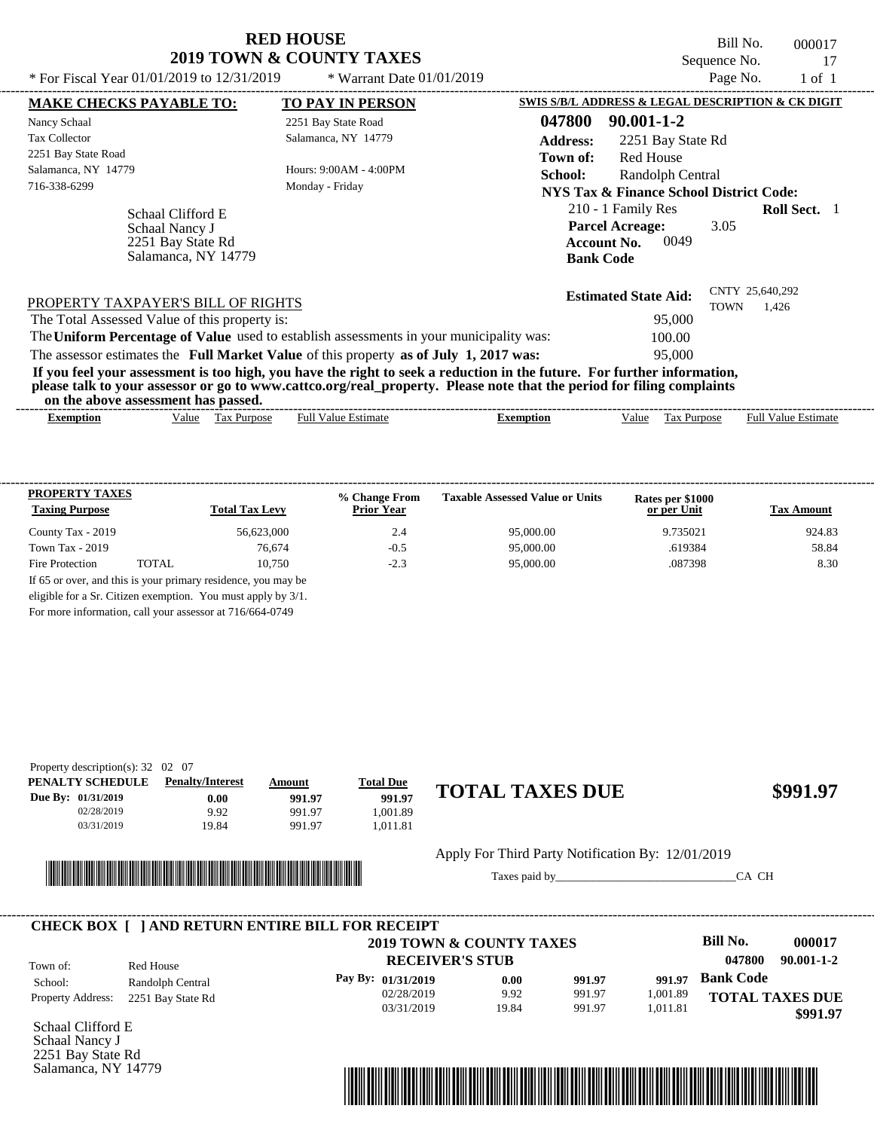Bill No. 000017 Sequence No. 17<br>Page No. 1 of 1

| * For Fiscal Year $01/01/2019$ to $12/31/2019$                                  | * Warrant Date $01/01/2019$                                                             |                                                                                                                                                                                                                                                  | Page No.    | $1$ of $1$                 |  |
|---------------------------------------------------------------------------------|-----------------------------------------------------------------------------------------|--------------------------------------------------------------------------------------------------------------------------------------------------------------------------------------------------------------------------------------------------|-------------|----------------------------|--|
| <b>MAKE CHECKS PAYABLE TO:</b>                                                  | <b>TO PAY IN PERSON</b>                                                                 | SWIS S/B/L ADDRESS & LEGAL DESCRIPTION & CK DIGIT                                                                                                                                                                                                |             |                            |  |
| Nancy Schaal                                                                    | 2251 Bay State Road                                                                     | 047800<br>$90.001 - 1 - 2$                                                                                                                                                                                                                       |             |                            |  |
| <b>Tax Collector</b>                                                            | Salamanca, NY 14779                                                                     | <b>Address:</b><br>2251 Bay State Rd                                                                                                                                                                                                             |             |                            |  |
| 2251 Bay State Road                                                             |                                                                                         | <b>Red House</b><br>Town of:                                                                                                                                                                                                                     |             |                            |  |
| Salamanca, NY 14779                                                             | Hours: 9:00AM - 4:00PM                                                                  | School:<br>Randolph Central                                                                                                                                                                                                                      |             |                            |  |
| 716-338-6299                                                                    | Monday - Friday                                                                         | <b>NYS Tax &amp; Finance School District Code:</b>                                                                                                                                                                                               |             |                            |  |
| Schaal Clifford E<br>Schaal Nancy J<br>2251 Bay State Rd<br>Salamanca, NY 14779 |                                                                                         | 210 - 1 Family Res<br><b>Parcel Acreage:</b><br>0049<br><b>Account No.</b><br><b>Bank Code</b>                                                                                                                                                   | 3.05        | <b>Roll Sect.</b> 1        |  |
| PROPERTY TAXPAYER'S BILL OF RIGHTS                                              |                                                                                         | <b>Estimated State Aid:</b>                                                                                                                                                                                                                      | <b>TOWN</b> | CNTY 25,640,292<br>1,426   |  |
| The Total Assessed Value of this property is:                                   |                                                                                         | 95,000                                                                                                                                                                                                                                           |             |                            |  |
|                                                                                 | The Uniform Percentage of Value used to establish assessments in your municipality was: | 100.00                                                                                                                                                                                                                                           |             |                            |  |
|                                                                                 | The assessor estimates the Full Market Value of this property as of July 1, 2017 was:   | 95,000                                                                                                                                                                                                                                           |             |                            |  |
| on the above assessment has passed.                                             |                                                                                         | If you feel your assessment is too high, you have the right to seek a reduction in the future. For further information,<br>please talk to your assessor or go to www.cattco.org/real_property. Please note that the period for filing complaints |             |                            |  |
| Value Tax Purpose<br>Exemption                                                  | <b>Full Value Estimate</b>                                                              | Tax Purpose<br><b>Exemption</b><br>Value                                                                                                                                                                                                         |             | <b>Full Value Estimate</b> |  |

| <b>PROPERTY TAXES</b><br><b>Taxing Purpose</b> |       | <b>Total Tax Levy</b>                                         | % Change From<br><b>Prior Year</b> | <b>Taxable Assessed Value or Units</b> | Rates per \$1000<br>or per Unit | <b>Tax Amount</b> |
|------------------------------------------------|-------|---------------------------------------------------------------|------------------------------------|----------------------------------------|---------------------------------|-------------------|
| County Tax - 2019                              |       | 56,623,000                                                    | 2.4                                | 95,000.00                              | 9.735021                        | 924.83            |
| Town Tax $-2019$                               |       | 76,674                                                        | $-0.5$                             | 95,000.00                              | .619384                         | 58.84             |
| Fire Protection                                | TOTAL | 10.750                                                        | $-2.3$                             | 95,000.00                              | .087398                         | 8.30              |
|                                                |       | If 65 or over, and this is your primary residence, you may be |                                    |                                        |                                 |                   |
|                                                |       | eligible for a Sr. Citizen exemption. You must apply by 3/1.  |                                    |                                        |                                 |                   |

For more information, call your assessor at 716/664-0749

| Property description(s): $32 \quad 02 \quad 07$ |                         |        |                  |                        |          |
|-------------------------------------------------|-------------------------|--------|------------------|------------------------|----------|
| PENALTY SCHEDULE                                | <b>Penalty/Interest</b> | Amount | <b>Total Due</b> |                        |          |
| Due By: 01/31/2019                              | $0.00\,$                | 991.97 | 991.97           | <b>TOTAL TAXES DUE</b> | \$991.97 |
| 02/28/2019                                      | 9.92                    | 991.97 | .001.89          |                        |          |
| 03/31/2019                                      | 19.84                   | 991.97 | .011.81          |                        |          |
|                                                 |                         |        |                  |                        |          |



Apply For Third Party Notification By: 12/01/2019

Taxes paid by\_\_\_\_\_\_\_\_\_\_\_\_\_\_\_\_\_\_\_\_\_\_\_\_\_\_\_\_\_\_\_CA CH

|                          |                   | 2019 TOWN & COUNTY TAXES |       |        |          | Bill No.               | 000017           |
|--------------------------|-------------------|--------------------------|-------|--------|----------|------------------------|------------------|
| Town of:                 | Red House         | <b>RECEIVER'S STUB</b>   |       |        |          | 047800                 | $90.001 - 1 - 2$ |
| School:                  | Randolph Central  | Pay By: 01/31/2019       | 0.00  | 991.97 | 991.97   | <b>Bank Code</b>       |                  |
| <b>Property Address:</b> | 2251 Bay State Rd | 02/28/2019               | 9.92  | 991.97 | 1,001.89 | <b>TOTAL TAXES DUE</b> |                  |
|                          |                   | 03/31/2019               | 19.84 | 991.97 | 1,011.81 |                        | \$991.97         |

Schaal Clifford E Schaal Nancy J 2251 Bay State Rd Salamanca, NY 14779

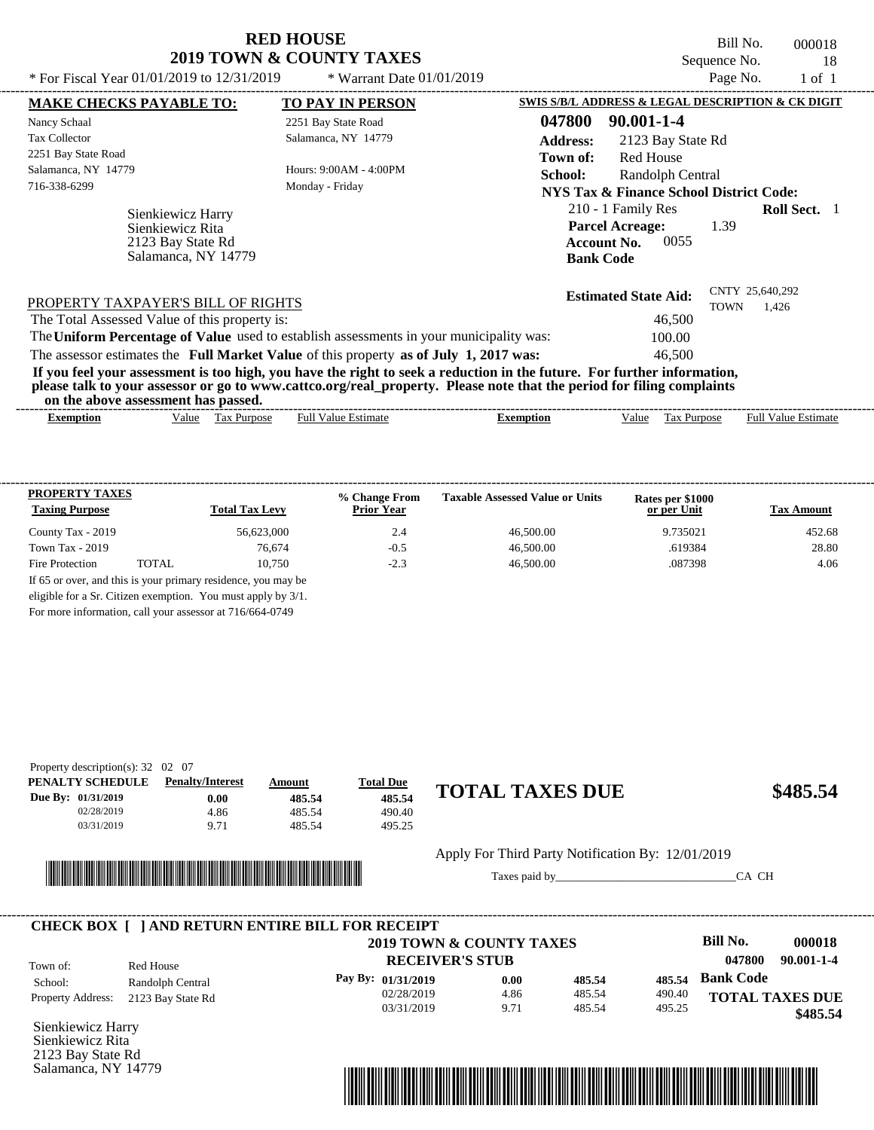Bill No. 000018 Sequence No. 18

| * For Fiscal Year 01/01/2019 to 12/31/2019                                        | * Warrant Date $01/01/2019$                                                                                                                                                                                                                      |                                                                                        | Page No.                       | $1$ of $1$                 |  |
|-----------------------------------------------------------------------------------|--------------------------------------------------------------------------------------------------------------------------------------------------------------------------------------------------------------------------------------------------|----------------------------------------------------------------------------------------|--------------------------------|----------------------------|--|
| <b>MAKE CHECKS PAYABLE TO:</b>                                                    | <b>TO PAY IN PERSON</b>                                                                                                                                                                                                                          | SWIS S/B/L ADDRESS & LEGAL DESCRIPTION & CK DIGIT                                      |                                |                            |  |
| Nancy Schaal                                                                      | 2251 Bay State Road                                                                                                                                                                                                                              | 047800<br>90.001-1-4                                                                   |                                |                            |  |
| <b>Tax Collector</b>                                                              | Salamanca, NY 14779                                                                                                                                                                                                                              | <b>Address:</b>                                                                        | 2123 Bay State Rd              |                            |  |
| 2251 Bay State Road                                                               |                                                                                                                                                                                                                                                  | <b>Red House</b><br>Town of:                                                           |                                |                            |  |
| Salamanca, NY 14779<br>Hours: $9:00AM - 4:00PM$                                   |                                                                                                                                                                                                                                                  | School:                                                                                | Randolph Central               |                            |  |
| 716-338-6299                                                                      | Monday - Friday                                                                                                                                                                                                                                  | <b>NYS Tax &amp; Finance School District Code:</b>                                     |                                |                            |  |
| Sienkiewicz Harry<br>Sienkiewicz Rita<br>2123 Bay State Rd<br>Salamanca, NY 14779 |                                                                                                                                                                                                                                                  | 210 - 1 Family Res<br><b>Parcel Acreage:</b><br><b>Account No.</b><br><b>Bank Code</b> | 1.39<br>0055                   | <b>Roll Sect.</b> 1        |  |
| PROPERTY TAXPAYER'S BILL OF RIGHTS                                                |                                                                                                                                                                                                                                                  | <b>Estimated State Aid:</b>                                                            | CNTY 25,640,292<br><b>TOWN</b> | 1.426                      |  |
| The Total Assessed Value of this property is:                                     |                                                                                                                                                                                                                                                  |                                                                                        | 46,500                         |                            |  |
|                                                                                   | The Uniform Percentage of Value used to establish assessments in your municipality was:                                                                                                                                                          |                                                                                        | 100.00                         |                            |  |
|                                                                                   | The assessor estimates the Full Market Value of this property as of July 1, 2017 was:                                                                                                                                                            |                                                                                        | 46,500                         |                            |  |
| on the above assessment has passed.                                               | If you feel your assessment is too high, you have the right to seek a reduction in the future. For further information,<br>please talk to your assessor or go to www.cattco.org/real_property. Please note that the period for filing complaints |                                                                                        |                                |                            |  |
| Value Tax Purpose<br><b>Exemption</b>                                             | <b>Full Value Estimate</b>                                                                                                                                                                                                                       | <b>Exemption</b><br>Value                                                              | Tax Purpose                    | <b>Full Value Estimate</b> |  |

| <b>PROPERTY TAXES</b><br><b>Taxing Purpose</b> |       | <b>Total Tax Levy</b> | % Change From<br><b>Prior Year</b> | <b>Taxable Assessed Value or Units</b> | Rates per \$1000<br>or per Unit | <b>Tax Amount</b> |
|------------------------------------------------|-------|-----------------------|------------------------------------|----------------------------------------|---------------------------------|-------------------|
| County Tax - 2019                              |       | 56.623,000            | 2.4                                | 46,500.00                              | 9.735021                        | 452.68            |
| Town Tax $-2019$                               |       | 76,674                | $-0.5$                             | 46,500.00                              | .619384                         | 28.80             |
| Fire Protection                                | TOTAL | 10.750                | $-2.3$                             | 46,500.00                              | .087398                         | 4.06              |

For more information, call your assessor at 716/664-0749

| Property description(s): $32 \quad 02 \quad 07$ |                         |        |                  |                        |          |
|-------------------------------------------------|-------------------------|--------|------------------|------------------------|----------|
| <b>PENALTY SCHEDULE</b>                         | <b>Penalty/Interest</b> | Amount | <b>Total Due</b> |                        |          |
| Due By: 01/31/2019                              | 0.00                    | 485.54 | 485.54           | <b>TOTAL TAXES DUE</b> | \$485.54 |
| 02/28/2019                                      | 4.86                    | 485.54 | 490.40           |                        |          |
| 03/31/2019                                      | 9.71                    | 485.54 | 495.25           |                        |          |
|                                                 |                         |        |                  |                        |          |



Apply For Third Party Notification By: 12/01/2019

Taxes paid by\_\_\_\_\_\_\_\_\_\_\_\_\_\_\_\_\_\_\_\_\_\_\_\_\_\_\_\_\_\_\_CA CH

| <b>CHECK BOX   JAND RETURN ENTIRE BILL FOR RECEIPT</b> |                   | 2019 TOWN & COUNTY TAXES |      |        |        | Bill No.         | 000018                 |
|--------------------------------------------------------|-------------------|--------------------------|------|--------|--------|------------------|------------------------|
| Town of:                                               | Red House         | <b>RECEIVER'S STUB</b>   |      |        |        | 047800           | $90.001 - 1 - 4$       |
| School:                                                | Randolph Central  | Pay By: 01/31/2019       | 0.00 | 485.54 | 485.54 | <b>Bank Code</b> |                        |
| <b>Property Address:</b>                               | 2123 Bay State Rd | 02/28/2019               | 4.86 | 485.54 | 490.40 |                  | <b>TOTAL TAXES DUE</b> |
|                                                        |                   | 03/31/2019               | 9.71 | 485.54 | 495.25 |                  | \$485.54               |

Sienkiewicz Harry Sienkiewicz Rita 2123 Bay State Rd Salamanca, NY 14779

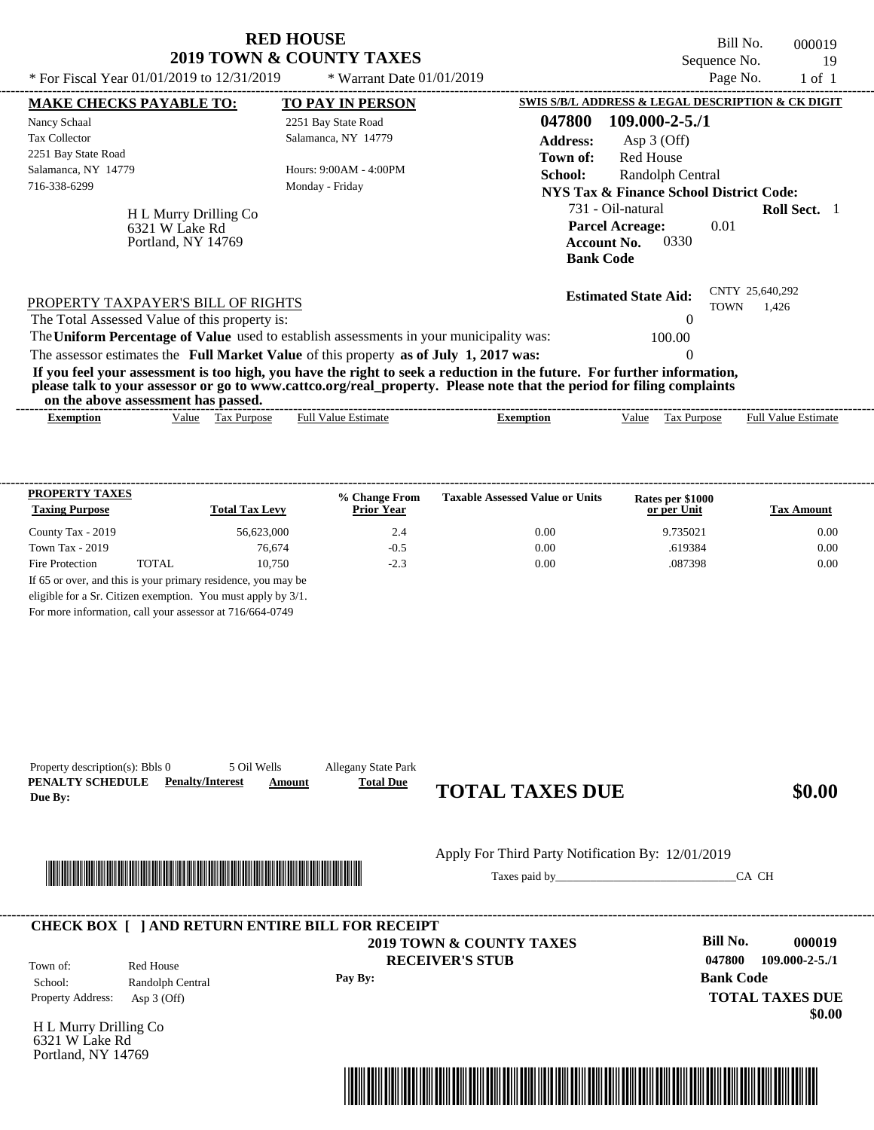|                                                                                                                                                                                                                                                                                         | <b>RED HOUSE</b><br><b>2019 TOWN &amp; COUNTY TAXES</b> |                                                                                                                   | Bill No.<br>Sequence No.       | 000019<br>19               |
|-----------------------------------------------------------------------------------------------------------------------------------------------------------------------------------------------------------------------------------------------------------------------------------------|---------------------------------------------------------|-------------------------------------------------------------------------------------------------------------------|--------------------------------|----------------------------|
| * For Fiscal Year $01/01/2019$ to $12/31/2019$                                                                                                                                                                                                                                          | * Warrant Date $01/01/2019$                             |                                                                                                                   | Page No.                       | $1$ of $1$                 |
| <b>MAKE CHECKS PAYABLE TO:</b>                                                                                                                                                                                                                                                          | <b>TO PAY IN PERSON</b>                                 | SWIS S/B/L ADDRESS & LEGAL DESCRIPTION & CK DIGIT                                                                 |                                |                            |
| Nancy Schaal                                                                                                                                                                                                                                                                            | 2251 Bay State Road                                     | 047800<br>$109.000 - 2 - 5.71$                                                                                    |                                |                            |
| <b>Tax Collector</b>                                                                                                                                                                                                                                                                    | Salamanca, NY 14779                                     | <b>Address:</b><br>Asp $3$ (Off)                                                                                  |                                |                            |
| 2251 Bay State Road<br>Salamanca, NY 14779<br>716-338-6299                                                                                                                                                                                                                              | Hours: 9:00AM - 4:00PM<br>Monday - Friday               | <b>Red House</b><br>Town of:<br>School:<br>Randolph Central<br><b>NYS Tax &amp; Finance School District Code:</b> |                                |                            |
| H L Murry Drilling Co<br>6321 W Lake Rd<br>Portland, NY 14769                                                                                                                                                                                                                           |                                                         | 731 - Oil-natural<br><b>Parcel Acreage:</b><br>0330<br><b>Account No.</b><br><b>Bank Code</b>                     | 0.01                           | Roll Sect. 1               |
| PROPERTY TAXPAYER'S BILL OF RIGHTS<br>The Total Assessed Value of this property is:                                                                                                                                                                                                     |                                                         | <b>Estimated State Aid:</b>                                                                                       | CNTY 25,640,292<br><b>TOWN</b> | 1.426                      |
| The Uniform Percentage of Value used to establish assessments in your municipality was:                                                                                                                                                                                                 |                                                         | 100.00                                                                                                            |                                |                            |
| The assessor estimates the Full Market Value of this property as of July 1, 2017 was:                                                                                                                                                                                                   |                                                         | $\Omega$                                                                                                          |                                |                            |
| If you feel your assessment is too high, you have the right to seek a reduction in the future. For further information,<br>please talk to your assessor or go to www.cattco.org/real_property. Please note that the period for filing complaints<br>on the above assessment has passed. |                                                         |                                                                                                                   |                                |                            |
| Value Tax Purpose<br><b>Exemption</b>                                                                                                                                                                                                                                                   | <b>Full Value Estimate</b>                              | Value<br>Tax Purpose<br><b>Exemption</b>                                                                          |                                | <b>Full Value Estimate</b> |

| <b>PROPERTY TAXES</b>                                         |       |                       | % Change From     | <b>Taxable Assessed Value or Units</b> | Rates per \$1000 |                   |  |
|---------------------------------------------------------------|-------|-----------------------|-------------------|----------------------------------------|------------------|-------------------|--|
| <b>Taxing Purpose</b>                                         |       | <b>Total Tax Levy</b> | <b>Prior Year</b> |                                        | or per Unit      | <b>Tax Amount</b> |  |
| County Tax - 2019                                             |       | 56.623,000            | 2.4               | 0.00                                   | 9.735021         | 0.00              |  |
| Town Tax - 2019                                               |       | 76.674                | $-0.5$            | 0.00                                   | .619384          | 0.00              |  |
| Fire Protection                                               | TOTAL | 10.750                | $-2.3$            | 0.00                                   | .087398          | 0.00              |  |
| If 65 or over, and this is your primary residence, you may be |       |                       |                   |                                        |                  |                   |  |
| eligible for a Sr. Citizen exemption. You must apply by 3/1.  |       |                       |                   |                                        |                  |                   |  |

----------------------------------------------------------------------------------------------------------------------------------------------------------------------------------------------------

For more information, call your assessor at 716/664-0749

Property description(s): Bbls 0 5 Oil Wells Allegany State Park

|                                                               |                                                                                                           |         | Apply For Third Party Notification By: 12/01/2019  |                                                                         |                                |
|---------------------------------------------------------------|-----------------------------------------------------------------------------------------------------------|---------|----------------------------------------------------|-------------------------------------------------------------------------|--------------------------------|
|                                                               |                                                                                                           |         |                                                    | CA CH                                                                   |                                |
| Town of:<br>School:<br>Property Address:                      | <b>CHECK BOX [ ] AND RETURN ENTIRE BILL FOR RECEIPT</b><br>Red House<br>Randolph Central<br>Asp $3$ (Off) | Pay By: | 2019 TOWN & COUNTY TAXES<br><b>RECEIVER'S STUB</b> | <b>Bill No.</b><br>047800<br><b>Bank Code</b><br><b>TOTAL TAXES DUE</b> | 000019<br>$109.000 - 2 - 5.71$ |
| H L Murry Drilling Co<br>6321 W Lake Rd<br>Portland, NY 14769 |                                                                                                           |         |                                                    |                                                                         | \$0.00                         |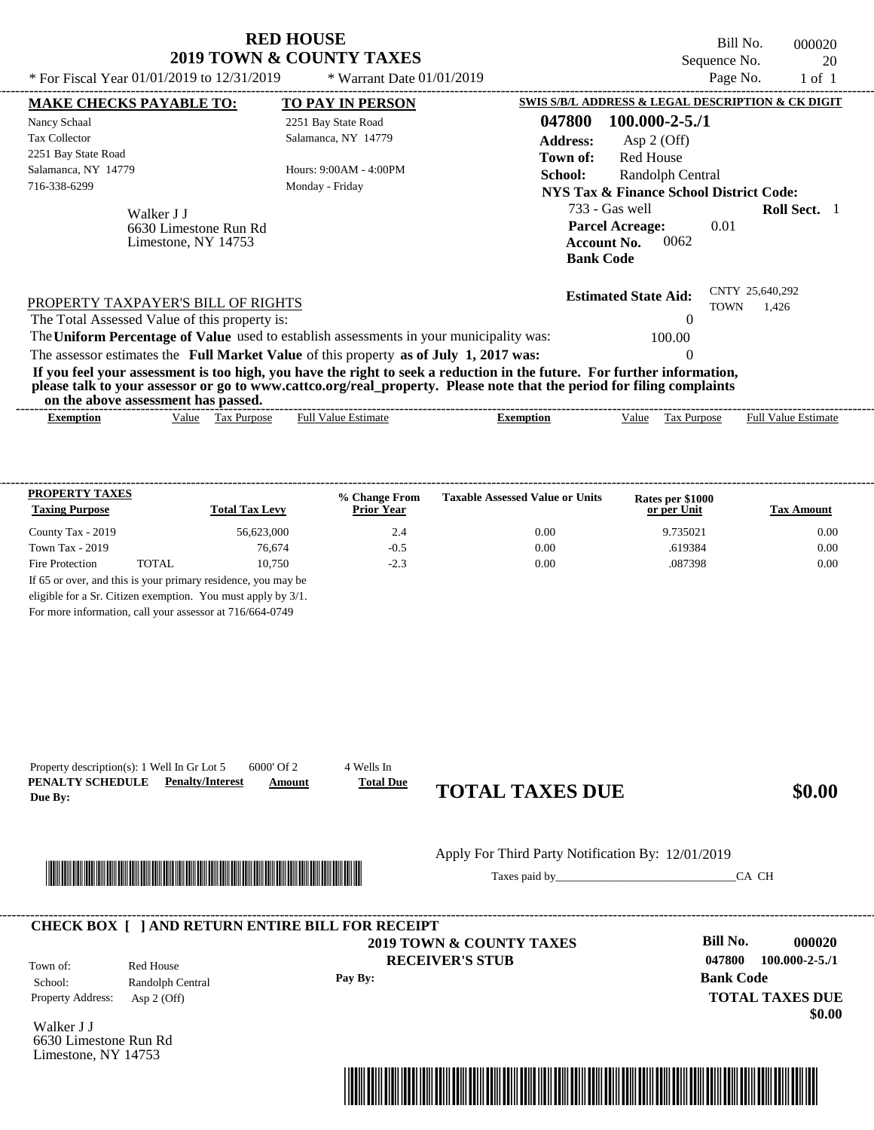| * For Fiscal Year 01/01/2019 to 12/31/2019                                          | <b>RED HOUSE</b><br><b>2019 TOWN &amp; COUNTY TAXES</b><br>* Warrant Date $01/01/2019$                                                                                                                                                           | Bill No.<br>000020<br>Sequence No.<br>20<br>Page No.<br>$1$ of $1$                                                 |
|-------------------------------------------------------------------------------------|--------------------------------------------------------------------------------------------------------------------------------------------------------------------------------------------------------------------------------------------------|--------------------------------------------------------------------------------------------------------------------|
| <b>MAKE CHECKS PAYABLE TO:</b>                                                      | <b>TO PAY IN PERSON</b>                                                                                                                                                                                                                          | SWIS S/B/L ADDRESS & LEGAL DESCRIPTION & CK DIGIT                                                                  |
| Nancy Schaal                                                                        | 2251 Bay State Road                                                                                                                                                                                                                              | $100.000 - 2 - 5.71$<br>047800                                                                                     |
| <b>Tax Collector</b><br>2251 Bay State Road                                         | Salamanca, NY 14779                                                                                                                                                                                                                              | Asp 2 (Off)<br><b>Address:</b><br><b>Red House</b><br>Town of:                                                     |
| Salamanca, NY 14779<br>716-338-6299                                                 | Hours: 9:00AM - 4:00PM<br>Monday - Friday                                                                                                                                                                                                        | School:<br>Randolph Central<br>NYS Tax & Finance School District Code:                                             |
| Walker J J<br>6630 Limestone Run Rd<br>Limestone, NY 14753                          |                                                                                                                                                                                                                                                  | 733 - Gas well<br>Roll Sect. 1<br><b>Parcel Acreage:</b><br>0.01<br><b>Account No.</b><br>0062<br><b>Bank Code</b> |
| PROPERTY TAXPAYER'S BILL OF RIGHTS<br>The Total Assessed Value of this property is: |                                                                                                                                                                                                                                                  | CNTY 25,640,292<br><b>Estimated State Aid:</b><br><b>TOWN</b><br>1,426                                             |
|                                                                                     | The Uniform Percentage of Value used to establish assessments in your municipality was:                                                                                                                                                          | 100.00                                                                                                             |
|                                                                                     | The assessor estimates the Full Market Value of this property as of July 1, 2017 was:                                                                                                                                                            |                                                                                                                    |
| on the above assessment has passed.                                                 | If you feel your assessment is too high, you have the right to seek a reduction in the future. For further information,<br>please talk to your assessor or go to www.cattco.org/real_property. Please note that the period for filing complaints |                                                                                                                    |
|                                                                                     |                                                                                                                                                                                                                                                  |                                                                                                                    |

| -------<br>xemption | -------<br>-------<br>Value | -------<br>-------<br>Purpose<br>Гaх | -------<br>-------<br>-------<br>-------<br>-------<br>Estimate<br>⊦u⊔<br>∕alu | -------<br>----<br>-------<br>-------<br>-------<br>----<br>----<br>xemption | -------<br>alue/ | -------<br>-------<br>-------<br><b>Purpose</b><br>$\sim$<br>і ал | -------------------<br>-------<br>Estimate<br>⊍ru |
|---------------------|-----------------------------|--------------------------------------|--------------------------------------------------------------------------------|------------------------------------------------------------------------------|------------------|-------------------------------------------------------------------|---------------------------------------------------|
|                     |                             |                                      |                                                                                |                                                                              |                  |                                                                   |                                                   |

| <b>PROPERTY TAXES</b><br><b>Taxing Purpose</b> |       | <b>Total Tax Levy</b> | % Change From<br><b>Prior Year</b> | <b>Taxable Assessed Value or Units</b> | Rates per \$1000<br>or per Unit | <b>Tax Amount</b> |
|------------------------------------------------|-------|-----------------------|------------------------------------|----------------------------------------|---------------------------------|-------------------|
| County Tax - 2019                              |       | 56.623,000            | 2.4                                | 0.00                                   | 9.735021                        | 0.00              |
| Town Tax $-2019$                               |       | 76.674                | $-0.5$                             | 0.00                                   | .619384                         | 0.00              |
| Fire Protection                                | TOTAL | 10.750                | $-2.3$                             | 0.00                                   | .087398                         | 0.00              |

For more information, call your assessor at 716/664-0749

|                                                      |                                                                                                                       |         | Apply For Third Party Notification By: 12/01/2019             |                                                                |        |
|------------------------------------------------------|-----------------------------------------------------------------------------------------------------------------------|---------|---------------------------------------------------------------|----------------------------------------------------------------|--------|
|                                                      | <u> Literatura de la contrada de la contrada de la contrada de la contrada de la contrada de la contrada de la co</u> |         |                                                               | CA CH                                                          |        |
|                                                      | <b>CHECK BOX [ ] AND RETURN ENTIRE BILL FOR RECEIPT</b>                                                               |         |                                                               |                                                                |        |
| Red House<br>Town of:<br>Randolph Central<br>School: |                                                                                                                       | Pay By: | <b>2019 TOWN &amp; COUNTY TAXES</b><br><b>RECEIVER'S STUB</b> | Bill No.<br>047800<br>$100.000 - 2 - 5.71$<br><b>Bank Code</b> | 000020 |
| Property Address:                                    | Asp $2$ (Off)                                                                                                         |         |                                                               | <b>TOTAL TAXES DUE</b>                                         | \$0.00 |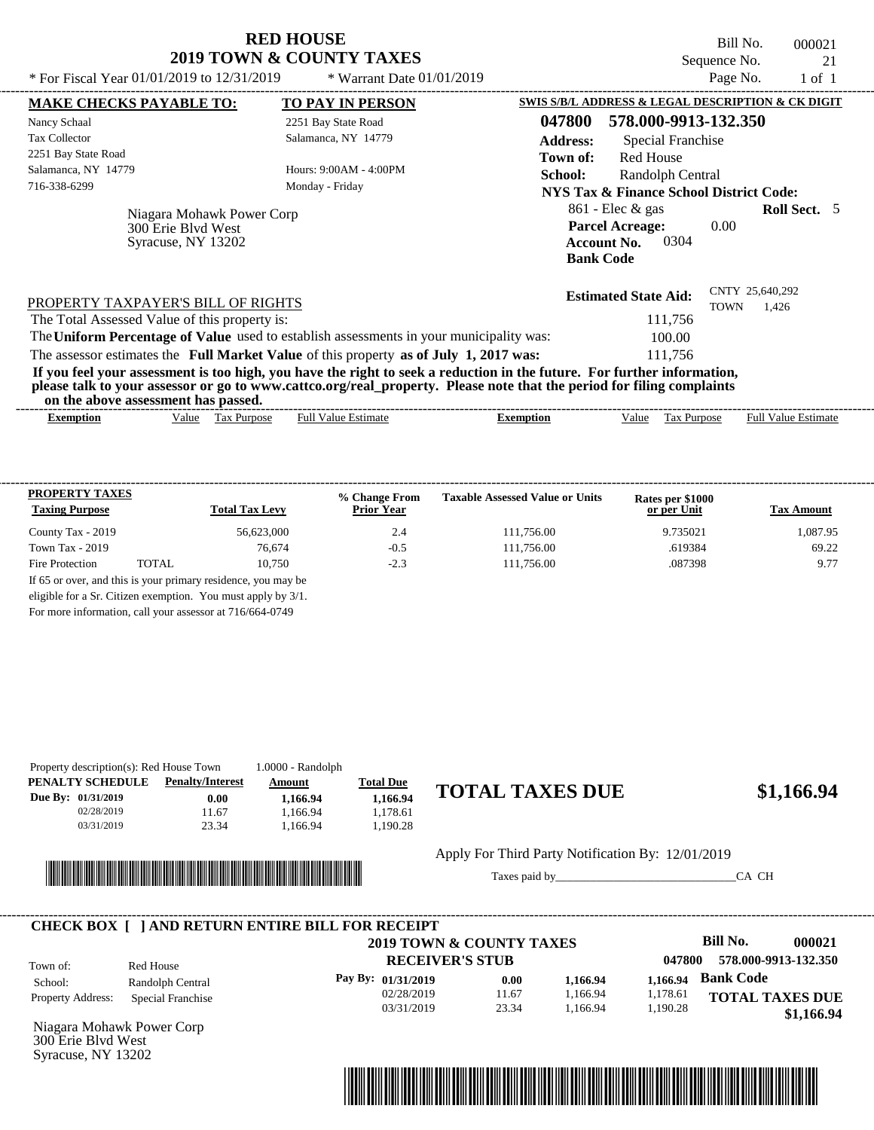| <b>RED HOUSE</b>                    |
|-------------------------------------|
| <b>2019 TOWN &amp; COUNTY TAXES</b> |

Bill No. 000021 Sequence No. 21<br>Page No. 21 of 1 \* For Fiscal Year  $01/01/2019$  to  $12/31/2019$  \* Warrant Date  $01/01/2019$  Page No. 1 of 1

| * For Fiscal Year $01/01/2019$ to $12/31/2019$                        | * Warrant Date $01/01/2019$                                                                                                                                                                                                                      |                                                    |                                                                                                | Page No.           | $1$ of $1$                 |  |
|-----------------------------------------------------------------------|--------------------------------------------------------------------------------------------------------------------------------------------------------------------------------------------------------------------------------------------------|----------------------------------------------------|------------------------------------------------------------------------------------------------|--------------------|----------------------------|--|
| <b>MAKE CHECKS PAYABLE TO:</b>                                        | <b>TO PAY IN PERSON</b>                                                                                                                                                                                                                          |                                                    | SWIS S/B/L ADDRESS & LEGAL DESCRIPTION & CK DIGIT                                              |                    |                            |  |
| Nancy Schaal                                                          | 2251 Bay State Road                                                                                                                                                                                                                              | 047800                                             | 578.000-9913-132.350                                                                           |                    |                            |  |
| <b>Tax Collector</b>                                                  | Salamanca, NY 14779                                                                                                                                                                                                                              | <b>Address:</b>                                    | <b>Special Franchise</b>                                                                       |                    |                            |  |
| 2251 Bay State Road                                                   |                                                                                                                                                                                                                                                  | Town of:                                           | <b>Red House</b>                                                                               |                    |                            |  |
| Salamanca, NY 14779                                                   | Hours: 9:00AM - 4:00PM                                                                                                                                                                                                                           | School:                                            | Randolph Central                                                                               |                    |                            |  |
| 716-338-6299                                                          | Monday - Friday                                                                                                                                                                                                                                  | <b>NYS Tax &amp; Finance School District Code:</b> |                                                                                                |                    |                            |  |
| Niagara Mohawk Power Corp<br>300 Erie Blyd West<br>Syracuse, NY 13202 |                                                                                                                                                                                                                                                  |                                                    | $861$ - Elec & gas<br><b>Parcel Acreage:</b><br>0304<br><b>Account No.</b><br><b>Bank Code</b> | 0.00               | <b>Roll Sect.</b> 5        |  |
| PROPERTY TAXPAYER'S BILL OF RIGHTS                                    |                                                                                                                                                                                                                                                  |                                                    | <b>Estimated State Aid:</b>                                                                    | <b>TOWN</b>        | CNTY 25,640,292<br>1,426   |  |
| The Total Assessed Value of this property is:                         |                                                                                                                                                                                                                                                  |                                                    | 111,756                                                                                        |                    |                            |  |
|                                                                       | The Uniform Percentage of Value used to establish assessments in your municipality was:                                                                                                                                                          |                                                    | 100.00                                                                                         |                    |                            |  |
|                                                                       | The assessor estimates the Full Market Value of this property as of July 1, 2017 was:                                                                                                                                                            |                                                    | 111.756                                                                                        |                    |                            |  |
| on the above assessment has passed.                                   | If you feel your assessment is too high, you have the right to seek a reduction in the future. For further information,<br>please talk to your assessor or go to www.cattco.org/real_property. Please note that the period for filing complaints |                                                    |                                                                                                |                    |                            |  |
|                                                                       | <b>Full Value Estimate</b><br><b>Tax Purpose</b>                                                                                                                                                                                                 | <b>Exemption</b>                                   | Value                                                                                          | <b>Tax Purpose</b> | <b>Full Value Estimate</b> |  |

| <b>PROPERTY TAXES</b><br><b>Taxing Purpose</b> |       | <b>Total Tax Levy</b> | % Change From<br><b>Prior Year</b> | <b>Taxable Assessed Value or Units</b> | Rates per \$1000<br>or per Unit | <b>Tax Amount</b> |
|------------------------------------------------|-------|-----------------------|------------------------------------|----------------------------------------|---------------------------------|-------------------|
| County Tax - 2019                              |       | 56.623,000            | 2.4                                | 111.756.00                             | 9.735021                        | 1.087.95          |
| Town Tax $-2019$                               |       | 76,674                | $-0.5$                             | 111,756.00                             | .619384                         | 69.22             |
| Fire Protection                                | TOTAL | 10.750                | $-2.3$                             | 111,756.00                             | .087398                         | 9.77              |

For more information, call your assessor at 716/664-0749

| Property description(s): Red House Town<br>PENALTY SCHEDULE | <b>Penalty/Interest</b> | $1.0000 - Random$<br>Amount | <b>Total Due</b> |                        |
|-------------------------------------------------------------|-------------------------|-----------------------------|------------------|------------------------|
| Due By: 01/31/2019                                          | 0.00                    | 1.166.94                    | 1.166.94         | <b>TOTAL TAXES DUE</b> |
| 02/28/2019                                                  | 11.67                   | 1.166.94                    | 1.178.61         |                        |
| 03/31/2019                                                  | 23.34                   | .166.94                     | 1.190.28         |                        |



### $$1,166.94$

Apply For Third Party Notification By: 12/01/2019

Taxes paid by\_\_\_\_\_\_\_\_\_\_\_\_\_\_\_\_\_\_\_\_\_\_\_\_\_\_\_\_\_\_\_CA CH



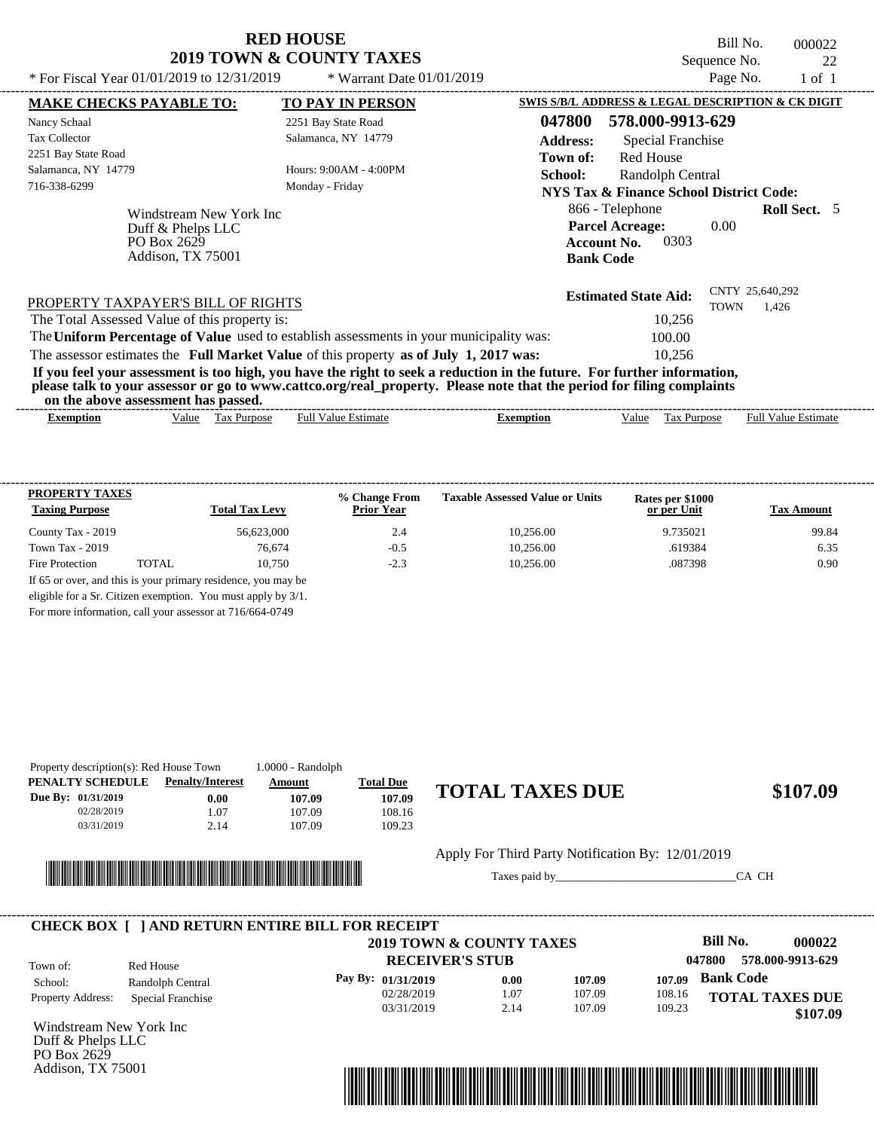Bill No. 000022 Sequence No.  $22$ <br>Page No.  $1 \text{ of } 1$ 

| * For Fiscal Year 01/01/2019 to 12/31/2019                                       | * Warrant Date $01/01/2019$                                                             |                                                                                                                                                                                                                                                  | Page No.                                | $1$ of $1$ |  |  |  |
|----------------------------------------------------------------------------------|-----------------------------------------------------------------------------------------|--------------------------------------------------------------------------------------------------------------------------------------------------------------------------------------------------------------------------------------------------|-----------------------------------------|------------|--|--|--|
| <b>MAKE CHECKS PAYABLE TO:</b>                                                   | <b>TO PAY IN PERSON</b>                                                                 | SWIS S/B/L ADDRESS & LEGAL DESCRIPTION & CK DIGIT                                                                                                                                                                                                |                                         |            |  |  |  |
| Nancy Schaal                                                                     | 2251 Bay State Road                                                                     | 047800<br>578.000-9913-629                                                                                                                                                                                                                       |                                         |            |  |  |  |
| <b>Tax Collector</b>                                                             | Salamanca, NY 14779                                                                     | <b>Address:</b><br>Special Franchise                                                                                                                                                                                                             |                                         |            |  |  |  |
| 2251 Bay State Road                                                              |                                                                                         | Town of:<br>Red House                                                                                                                                                                                                                            |                                         |            |  |  |  |
| Salamanca, NY 14779                                                              | Hours: $9:00AM - 4:00PM$                                                                | School:                                                                                                                                                                                                                                          | Randolph Central                        |            |  |  |  |
| 716-338-6299                                                                     | Monday - Friday                                                                         |                                                                                                                                                                                                                                                  | NYS Tax & Finance School District Code: |            |  |  |  |
| Windstream New York Inc<br>Duff & Phelps LLC<br>PO Box 2629<br>Addison, TX 75001 |                                                                                         | 866 - Telephone<br><b>Parcel Acreage:</b><br>0303<br><b>Account No.</b><br><b>Bank Code</b>                                                                                                                                                      | <b>Roll Sect.</b> 5<br>0.00             |            |  |  |  |
| PROPERTY TAXPAYER'S BILL OF RIGHTS                                               |                                                                                         | <b>Estimated State Aid:</b>                                                                                                                                                                                                                      | CNTY 25,640,292<br><b>TOWN</b><br>1.426 |            |  |  |  |
| The Total Assessed Value of this property is:                                    |                                                                                         | 10,256                                                                                                                                                                                                                                           |                                         |            |  |  |  |
|                                                                                  | The Uniform Percentage of Value used to establish assessments in your municipality was: | 100.00                                                                                                                                                                                                                                           |                                         |            |  |  |  |
|                                                                                  | The assessor estimates the Full Market Value of this property as of July 1, 2017 was:   | 10.256                                                                                                                                                                                                                                           |                                         |            |  |  |  |
| on the above assessment has passed.                                              |                                                                                         | If you feel your assessment is too high, you have the right to seek a reduction in the future. For further information,<br>please talk to your assessor or go to www.cattco.org/real_property. Please note that the period for filing complaints |                                         |            |  |  |  |
| Value Tax Purpose<br><b>Exemption</b>                                            | <b>Full Value Estimate</b>                                                              | Tax Purpose<br><b>Exemption</b><br>Value                                                                                                                                                                                                         | <b>Full Value Estimate</b>              |            |  |  |  |

| <b>PROPERTY TAXES</b><br><b>Taxing Purpose</b>                |       | <b>Total Tax Levy</b>                                        | % Change From<br><b>Prior Year</b> | <b>Taxable Assessed Value or Units</b> | Rates per \$1000<br>or per Unit | <b>Tax Amount</b> |  |
|---------------------------------------------------------------|-------|--------------------------------------------------------------|------------------------------------|----------------------------------------|---------------------------------|-------------------|--|
| County Tax - 2019                                             |       | 56,623,000                                                   | 2.4                                | 10.256.00                              | 9.735021                        | 99.84             |  |
| Town Tax $-2019$                                              |       | 76,674                                                       | $-0.5$                             | 10.256.00                              | .619384                         | 6.35              |  |
| Fire Protection                                               | TOTAL | 10.750                                                       | $-2.3$                             | 10.256.00                              | .087398                         | 0.90              |  |
| If 65 or over, and this is your primary residence, you may be |       |                                                              |                                    |                                        |                                 |                   |  |
|                                                               |       | eligible for a Sr. Citizen exemption. You must apply by 3/1. |                                    |                                        |                                 |                   |  |

For more information, call your assessor at 716/664-0749

| Property description(s): Red House Town |                         | $1.0000 - Random$ |                  |                        |
|-----------------------------------------|-------------------------|-------------------|------------------|------------------------|
| PENALTY SCHEDULE                        | <b>Penalty/Interest</b> | <u>Amount</u>     | <b>Total Due</b> |                        |
| Due By: 01/31/2019                      | $0.00\,$                | 107.09            | 107.09           | <b>TOTAL TAXES DUE</b> |
| 02/28/2019                              | .07                     | 107.09            | 108.16           |                        |
| 03/31/2019                              | 2.14                    | 107.09            | 109.23           |                        |
|                                         |                         |                   |                  |                        |



## $$107.09$

Apply For Third Party Notification By: 12/01/2019

Taxes paid by\_\_\_\_\_\_\_\_\_\_\_\_\_\_\_\_\_\_\_\_\_\_\_\_\_\_\_\_\_\_\_CA CH

|                          |                   | 2019 TOWN & COUNTY TAXES |      |        |                            | Bill No.<br>000022     |  |
|--------------------------|-------------------|--------------------------|------|--------|----------------------------|------------------------|--|
| Town of:                 | Red House         | <b>RECEIVER'S STUB</b>   |      |        | 578.000-9913-629<br>047800 |                        |  |
| School:                  | Randolph Central  | Pay By: $01/31/2019$     | 0.00 | 107.09 | 107.09                     | <b>Bank Code</b>       |  |
| <b>Property Address:</b> | Special Franchise | 02/28/2019               | 1.07 | 107.09 | 108.16                     | <b>TOTAL TAXES DUE</b> |  |
|                          |                   | 03/31/2019               | 2.14 | 107.09 | 109.23                     | \$107.09               |  |

Windstream New York Inc Duff & Phelps LLC PO Box 2629 Addison, TX 75001

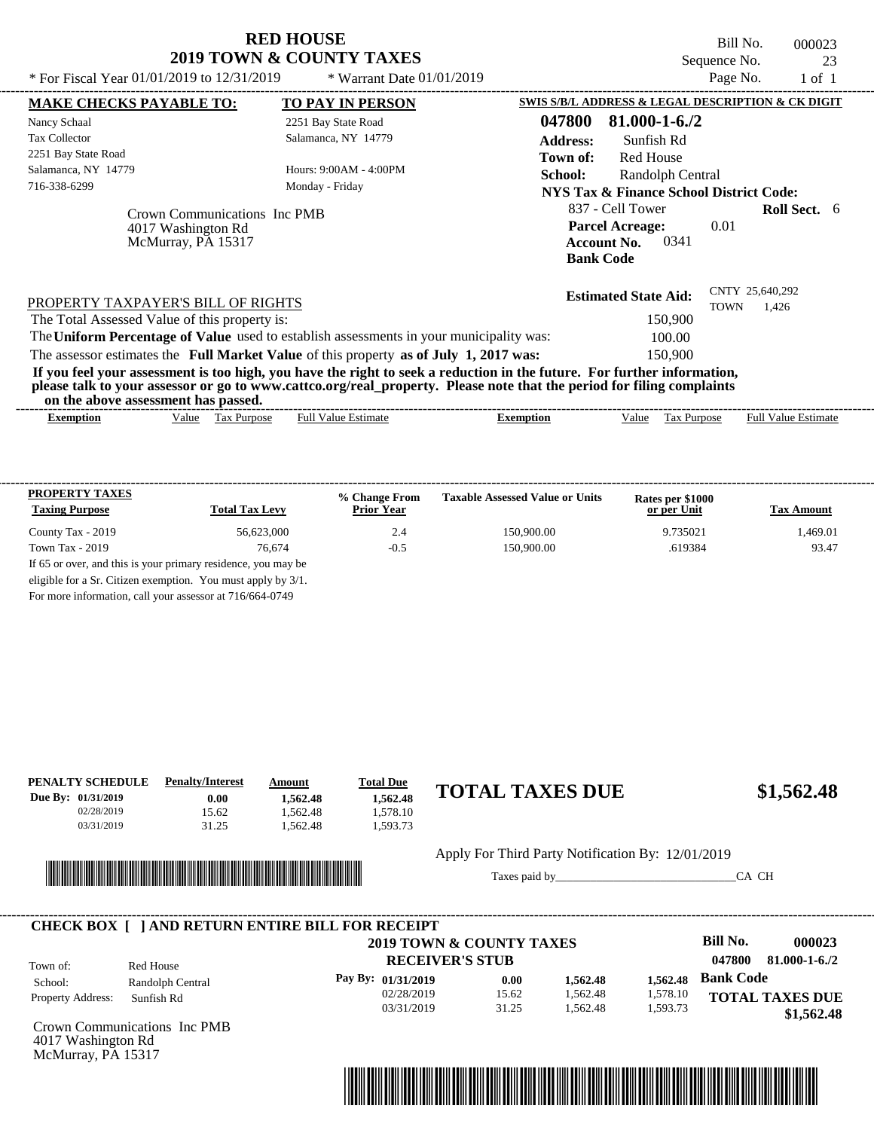| <b>RED HOUSE</b>                    |  |
|-------------------------------------|--|
| <b>2019 TOWN &amp; COUNTY TAXES</b> |  |

Bill No. 000023 Sequence No. 23<br>Page No. 1 of 1 \* For Fiscal Year  $01/01/2019$  to  $12/31/2019$  \* Warrant Date  $01/01/2019$  Page No. 1 of 1

| * For Fiscal Year 01/01/2019 to 12/31/2019                                                                                                                                                                       | * Warrant Date $01/01/2019$                                                                                           |                 |                                                                                              | Page No.    | $1$ of $1$               |  |
|------------------------------------------------------------------------------------------------------------------------------------------------------------------------------------------------------------------|-----------------------------------------------------------------------------------------------------------------------|-----------------|----------------------------------------------------------------------------------------------|-------------|--------------------------|--|
| <b>MAKE CHECKS PAYABLE TO:</b>                                                                                                                                                                                   | <b>TO PAY IN PERSON</b>                                                                                               |                 | SWIS S/B/L ADDRESS & LEGAL DESCRIPTION & CK DIGIT                                            |             |                          |  |
| Nancy Schaal                                                                                                                                                                                                     | 2251 Bay State Road                                                                                                   | 047800          | 81.000-1-6./2                                                                                |             |                          |  |
| <b>Tax Collector</b>                                                                                                                                                                                             | Salamanca, NY 14779                                                                                                   | <b>Address:</b> | Sunfish Rd                                                                                   |             |                          |  |
| 2251 Bay State Road                                                                                                                                                                                              |                                                                                                                       | Town of:        | <b>Red House</b>                                                                             |             |                          |  |
| Salamanca, NY 14779                                                                                                                                                                                              | Hours: 9:00AM - 4:00PM                                                                                                | School:         | Randolph Central                                                                             |             |                          |  |
| 716-338-6299                                                                                                                                                                                                     | Monday - Friday                                                                                                       |                 | <b>NYS Tax &amp; Finance School District Code:</b>                                           |             |                          |  |
| Crown Communications Inc PMB<br>4017 Washington Rd<br>McMurray, PA 15317                                                                                                                                         |                                                                                                                       |                 | 837 - Cell Tower<br><b>Parcel Acreage:</b><br><b>Account No.</b><br>0341<br><b>Bank Code</b> | 0.01        | <b>Roll Sect.</b> 6      |  |
| PROPERTY TAXPAYER'S BILL OF RIGHTS<br>The Total Assessed Value of this property is:                                                                                                                              |                                                                                                                       |                 | <b>Estimated State Aid:</b><br>150,900                                                       | <b>TOWN</b> | CNTY 25,640,292<br>1.426 |  |
| The Uniform Percentage of Value used to establish assessments in your municipality was:                                                                                                                          |                                                                                                                       |                 | 100.00                                                                                       |             |                          |  |
| The assessor estimates the Full Market Value of this property as of July 1, 2017 was:<br>If you feel your assessment is too high, you have the right to seek a reduction in the future. For further information, | please talk to your assessor or go to www.cattco.org/real_property. Please note that the period for filing complaints |                 | 150,900                                                                                      |             |                          |  |
| on the above assessment has passed.                                                                                                                                                                              |                                                                                                                       |                 |                                                                                              |             |                          |  |

| <b>PROPERTY TAXES</b>                                         |                       | % Change From     | <b>Taxable Assessed Value or Units</b> | Rates per \$1000 |                   |
|---------------------------------------------------------------|-----------------------|-------------------|----------------------------------------|------------------|-------------------|
| <b>Taxing Purpose</b>                                         | <b>Total Tax Levy</b> | <b>Prior Year</b> |                                        | or per Unit      | <b>Tax Amount</b> |
| County Tax - 2019                                             | 56.623,000            | 2.4               | 150,900.00                             | 9.735021         | 1.469.01          |
| Town Tax - 2019                                               | 76.674                | $-0.5$            | 150,900.00                             | .619384          | 93.47             |
| If 65 or over, and this is your primary residence, you may be |                       |                   |                                        |                  |                   |
| eligible for a Sr. Citizen exemption. You must apply by 3/1.  |                       |                   |                                        |                  |                   |
|                                                               |                       |                   |                                        |                  |                   |

For more information, call your assessor at 716/664-0749

| PENALTY SCHEDULE<br>Due By: 01/31/2019<br>02/28/2019<br>03/31/2019 | <b>Penalty/Interest</b><br>0.00<br>15.62<br>31.25 | Amount<br>1,562.48<br>1.562.48<br>1,562.48 | <b>Total Due</b><br>1,562.48<br>1.578.10<br>1,593.73 | <b>TOTAL TAXES DUE</b>                                             | \$1,562.48 |
|--------------------------------------------------------------------|---------------------------------------------------|--------------------------------------------|------------------------------------------------------|--------------------------------------------------------------------|------------|
|                                                                    | <u> Timba ka matsayin shekara ta 1999 ku</u>      | <b>IIII</b>                                |                                                      | Apply For Third Party Notification By: 12/01/2019<br>Taxes paid by | CA CH      |

|                          |                              | <b>CHECK BOX [ ] AND RETURN ENTIRE BILL FOR RECEIPT</b> |                          |          |          |                  |                        |
|--------------------------|------------------------------|---------------------------------------------------------|--------------------------|----------|----------|------------------|------------------------|
|                          |                              |                                                         | 2019 TOWN & COUNTY TAXES |          |          | Bill No.         | 000023                 |
| Town of:                 | Red House                    |                                                         | <b>RECEIVER'S STUB</b>   |          |          | 047800           | $81.000 - 1 - 6.72$    |
| School:                  | Randolph Central             | Pay By: 01/31/2019                                      | 0.00                     | 1.562.48 | 1.562.48 | <b>Bank Code</b> |                        |
| <b>Property Address:</b> | Sunfish Rd                   | 02/28/2019                                              | 15.62                    | 1,562.48 | 1,578.10 |                  | <b>TOTAL TAXES DUE</b> |
|                          |                              | 03/31/2019                                              | 31.25                    | 1.562.48 | 1,593.73 |                  | \$1,562.48             |
|                          | Crown Communications Inc PMB |                                                         |                          |          |          |                  |                        |



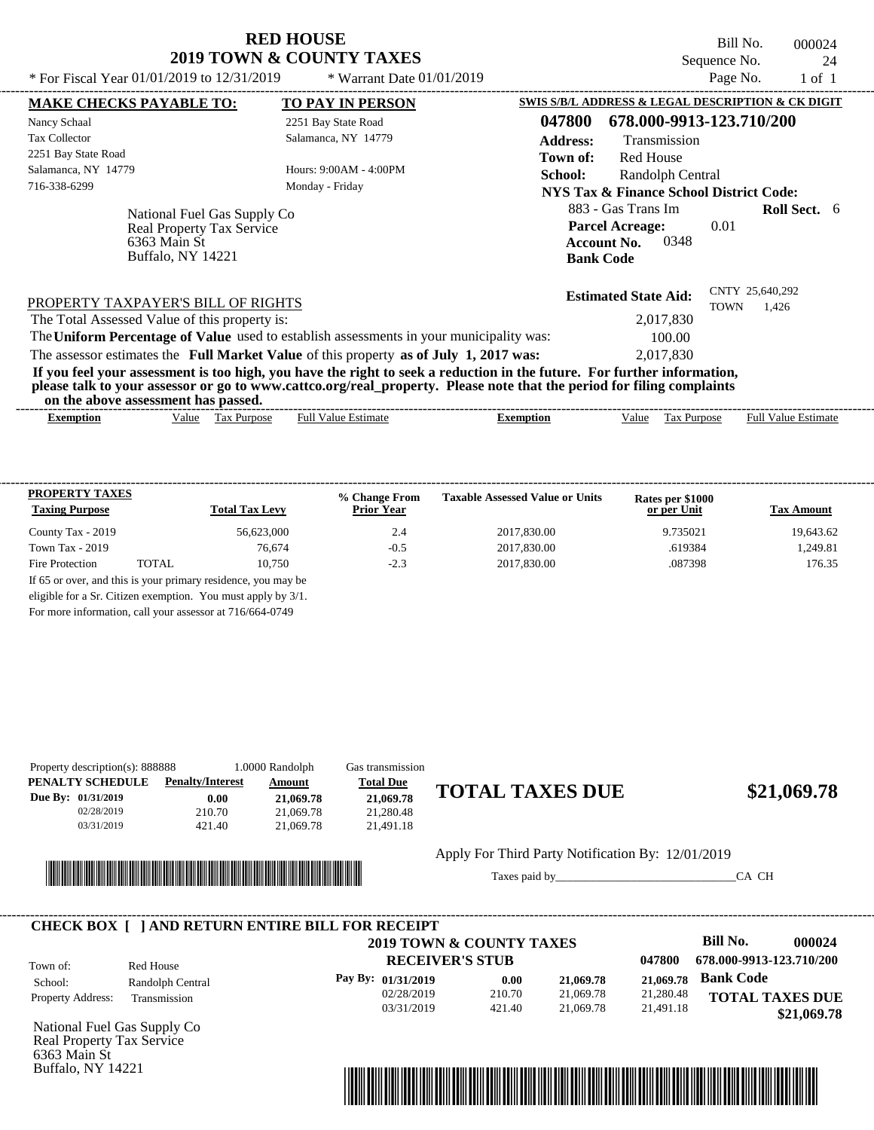| <b>RED HOUSE</b>                    |
|-------------------------------------|
| <b>2019 TOWN &amp; COUNTY TAXES</b> |

Bill No. 000024 Sequence No. 24

| * For Fiscal Year $01/01/2019$ to $12/31/2019$                                                                                                                                                                                                                                          | * Warrant Date $01/01/2019$               |                  |                                                                                                | Page No.    | 1 of 1                     |  |
|-----------------------------------------------------------------------------------------------------------------------------------------------------------------------------------------------------------------------------------------------------------------------------------------|-------------------------------------------|------------------|------------------------------------------------------------------------------------------------|-------------|----------------------------|--|
| <b>MAKE CHECKS PAYABLE TO:</b>                                                                                                                                                                                                                                                          | <b>TO PAY IN PERSON</b>                   |                  | SWIS S/B/L ADDRESS & LEGAL DESCRIPTION & CK DIGIT                                              |             |                            |  |
| Nancy Schaal                                                                                                                                                                                                                                                                            | 2251 Bay State Road                       | 047800           | 678.000-9913-123.710/200                                                                       |             |                            |  |
| <b>Tax Collector</b>                                                                                                                                                                                                                                                                    | Salamanca, NY 14779                       | <b>Address:</b>  | Transmission                                                                                   |             |                            |  |
| 2251 Bay State Road                                                                                                                                                                                                                                                                     |                                           | Town of:         | <b>Red House</b>                                                                               |             |                            |  |
| Salamanca, NY 14779                                                                                                                                                                                                                                                                     | Hours: 9:00AM - 4:00PM                    | School:          | Randolph Central                                                                               |             |                            |  |
| 716-338-6299                                                                                                                                                                                                                                                                            | Monday - Friday                           |                  | NYS Tax & Finance School District Code:                                                        |             |                            |  |
| National Fuel Gas Supply Co<br><b>Real Property Tax Service</b><br>6363 Main St<br>Buffalo, NY 14221                                                                                                                                                                                    |                                           |                  | 883 - Gas Trans Im<br><b>Parcel Acreage:</b><br>0348<br><b>Account No.</b><br><b>Bank Code</b> | 0.01        | <b>Roll Sect.</b> 6        |  |
| PROPERTY TAXPAYER'S BILL OF RIGHTS                                                                                                                                                                                                                                                      |                                           |                  | <b>Estimated State Aid:</b>                                                                    | <b>TOWN</b> | CNTY 25,640,292<br>1,426   |  |
| The Total Assessed Value of this property is:                                                                                                                                                                                                                                           |                                           |                  | 2,017,830                                                                                      |             |                            |  |
| The Uniform Percentage of Value used to establish assessments in your municipality was:                                                                                                                                                                                                 |                                           |                  | 100.00                                                                                         |             |                            |  |
| The assessor estimates the Full Market Value of this property as of July 1, 2017 was:                                                                                                                                                                                                   |                                           |                  | 2,017,830                                                                                      |             |                            |  |
| If you feel your assessment is too high, you have the right to seek a reduction in the future. For further information,<br>please talk to your assessor or go to www.cattco.org/real_property. Please note that the period for filing complaints<br>on the above assessment has passed. |                                           |                  |                                                                                                |             |                            |  |
| <b>Exemption</b><br>Value                                                                                                                                                                                                                                                               | <b>Full Value Estimate</b><br>Tax Purpose | <b>Exemption</b> | Tax Purpose<br>Value                                                                           |             | <b>Full Value Estimate</b> |  |
|                                                                                                                                                                                                                                                                                         |                                           |                  |                                                                                                |             |                            |  |
|                                                                                                                                                                                                                                                                                         |                                           |                  |                                                                                                |             |                            |  |

| <b>PROPERTY TAXES</b><br><b>Taxing Purpose</b> |        | <b>Total Tax Levy</b> | % Change From<br><b>Prior Year</b> | <b>Taxable Assessed Value or Units</b> | Rates per \$1000<br>or per Unit | <b>Tax Amount</b> |
|------------------------------------------------|--------|-----------------------|------------------------------------|----------------------------------------|---------------------------------|-------------------|
| County Tax - 2019                              |        | 56.623,000            | 2.4                                | 2017.830.00                            | 9.735021                        | 19.643.62         |
| Town Tax $-2019$                               |        | 76,674                | $-0.5$                             | 2017.830.00                            | .619384                         | 1.249.81          |
| Fire Protection                                | TOTAL. | 10.750                | $-2.3$                             | 2017.830.00                            | .087398                         | 176.35            |

For more information, call your assessor at 716/664-0749

| Property description(s): 888888<br>PENALTY SCHEDULE | <b>Penalty/Interest</b> | 1.0000 Randolph<br>Amount | <b>Gas transmission</b><br><b>Total Due</b> |                                                   |             |
|-----------------------------------------------------|-------------------------|---------------------------|---------------------------------------------|---------------------------------------------------|-------------|
| Due By: $01/31/2019$                                | 0.00                    | 21,069.78                 | 21,069.78                                   | <b>TOTAL TAXES DUE</b>                            | \$21,069.78 |
| 02/28/2019<br>03/31/2019                            | 210.70<br>421.40        | 21,069.78<br>21,069.78    | 21.280.48<br>21.491.18                      |                                                   |             |
|                                                     |                         |                           |                                             | Apply For Third Party Notification By: 12/01/2019 |             |



Buffalo, NY 14221

#### Apply For Third Party Notification By: 12/01/2019

Taxes paid by\_\_\_\_\_\_\_\_\_\_\_\_\_\_\_\_\_\_\_\_\_\_\_\_\_\_\_\_\_\_\_CA CH



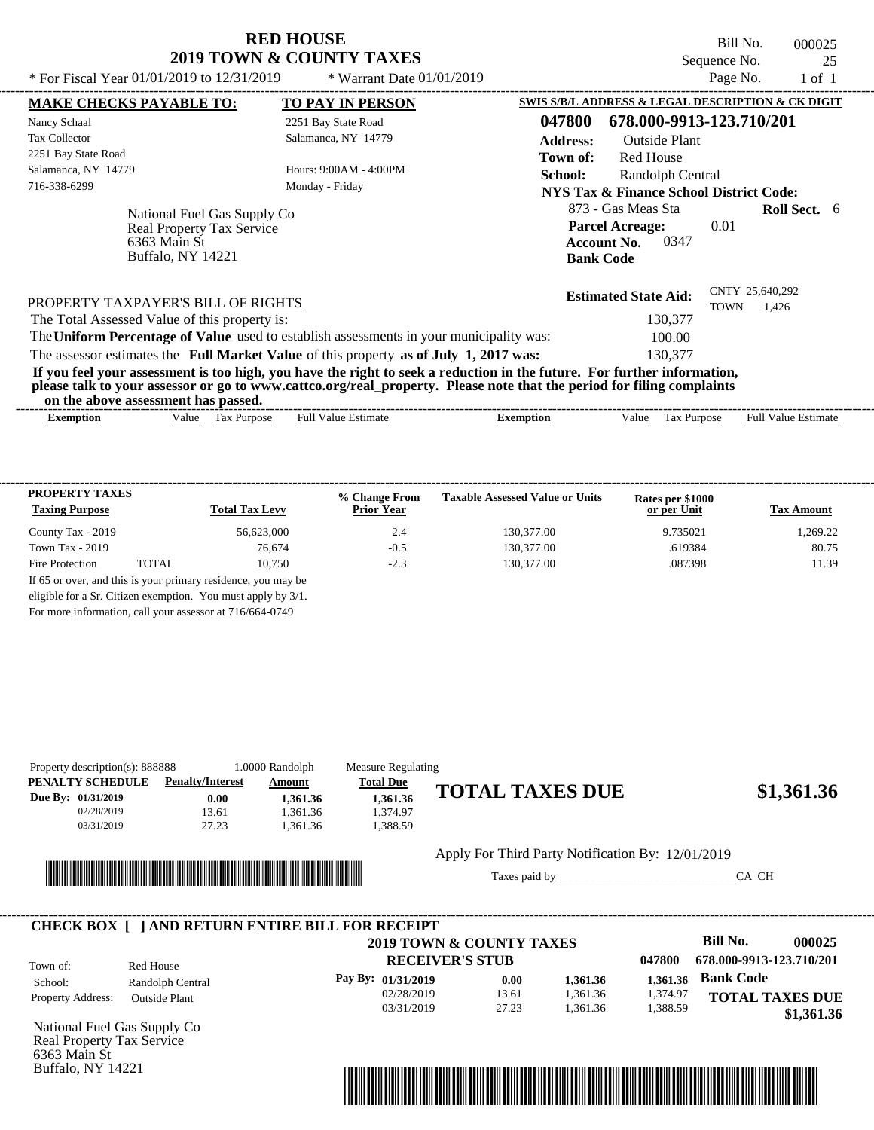Bill No. 000025 Sequence No. 25<br>Page No. 25

| * For Fiscal Year 01/01/2019 to 12/31/2019                                                           | * Warrant Date $01/01/2019$                                                             |                                                                                                                                                                                                                                                  | Page No.                       | $1$ of $1$                 |
|------------------------------------------------------------------------------------------------------|-----------------------------------------------------------------------------------------|--------------------------------------------------------------------------------------------------------------------------------------------------------------------------------------------------------------------------------------------------|--------------------------------|----------------------------|
| <b>MAKE CHECKS PAYABLE TO:</b>                                                                       | <b>TO PAY IN PERSON</b>                                                                 | SWIS S/B/L ADDRESS & LEGAL DESCRIPTION & CK DIGIT                                                                                                                                                                                                |                                |                            |
| Nancy Schaal                                                                                         | 2251 Bay State Road                                                                     | 678.000-9913-123.710/201<br>047800                                                                                                                                                                                                               |                                |                            |
| <b>Tax Collector</b>                                                                                 | Salamanca, NY 14779                                                                     | <b>Address:</b><br>Outside Plant                                                                                                                                                                                                                 |                                |                            |
| 2251 Bay State Road                                                                                  |                                                                                         | Red House<br>Town of:                                                                                                                                                                                                                            |                                |                            |
| Salamanca, NY 14779                                                                                  | Hours: $9:00AM - 4:00PM$                                                                | School:<br>Randolph Central                                                                                                                                                                                                                      |                                |                            |
| 716-338-6299                                                                                         | Monday - Friday                                                                         | NYS Tax & Finance School District Code:                                                                                                                                                                                                          |                                |                            |
| National Fuel Gas Supply Co<br><b>Real Property Tax Service</b><br>6363 Main St<br>Buffalo, NY 14221 |                                                                                         | 873 - Gas Meas Sta<br><b>Parcel Acreage:</b><br>0347<br><b>Account No.</b><br><b>Bank Code</b>                                                                                                                                                   | 0.01                           | <b>Roll Sect.</b> 6        |
| PROPERTY TAXPAYER'S BILL OF RIGHTS                                                                   |                                                                                         | <b>Estimated State Aid:</b>                                                                                                                                                                                                                      | CNTY 25,640,292<br><b>TOWN</b> | 1,426                      |
| The Total Assessed Value of this property is:                                                        |                                                                                         | 130,377                                                                                                                                                                                                                                          |                                |                            |
|                                                                                                      | The Uniform Percentage of Value used to establish assessments in your municipality was: | 100.00                                                                                                                                                                                                                                           |                                |                            |
|                                                                                                      | The assessor estimates the Full Market Value of this property as of July 1, 2017 was:   | 130,377                                                                                                                                                                                                                                          |                                |                            |
| on the above assessment has passed.                                                                  |                                                                                         | If you feel your assessment is too high, you have the right to seek a reduction in the future. For further information,<br>please talk to your assessor or go to www.cattco.org/real_property. Please note that the period for filing complaints |                                |                            |
| <b>Exemption</b>                                                                                     | <b>Full Value Estimate</b><br>Value Tax Purpose                                         | Tax Purpose<br><b>Exemption</b><br>Value                                                                                                                                                                                                         |                                | <b>Full Value Estimate</b> |

| <b>PROPERTY TAXES</b><br><b>Taxing Purpose</b> |       | <b>Total Tax Levy</b> | % Change From<br><b>Prior Year</b> | <b>Taxable Assessed Value or Units</b> | Rates per \$1000<br>or per Unit | <b>Tax Amount</b> |
|------------------------------------------------|-------|-----------------------|------------------------------------|----------------------------------------|---------------------------------|-------------------|
| County Tax - 2019                              |       | 56.623,000            | 2.4                                | 130,377.00                             | 9.735021                        | 1.269.22          |
| Town Tax $-2019$                               |       | 76.674                | $-0.5$                             | 130,377.00                             | .619384                         | 80.75             |
| Fire Protection                                | TOTAL | 10.750                | $-2.3$                             | 130,377.00                             | .087398                         | 11.39             |

For more information, call your assessor at 716/664-0749

| Property description(s): 888888 |                         | 1.0000 Randolph | <b>Measure Regulating</b> |                                                   |            |
|---------------------------------|-------------------------|-----------------|---------------------------|---------------------------------------------------|------------|
| PENALTY SCHEDULE                | <b>Penalty/Interest</b> | Amount          | <b>Total Due</b>          |                                                   |            |
| Due By: 01/31/2019              | 0.00                    | 1.361.36        | 1.361.36                  | <b>TOTAL TAXES DUE</b>                            | \$1,361.36 |
| 02/28/2019                      | 13.61                   | 1.361.36        | 1.374.97                  |                                                   |            |
| 03/31/2019                      | 27.23                   | 1.361.36        | 1.388.59                  |                                                   |            |
|                                 |                         |                 |                           | Apply For Third Party Notification By: 12/01/2019 |            |



Buffalo, NY 14221

Taxes paid by\_\_\_\_\_\_\_\_\_\_\_\_\_\_\_\_\_\_\_\_\_\_\_\_\_\_\_\_\_\_\_CA CH



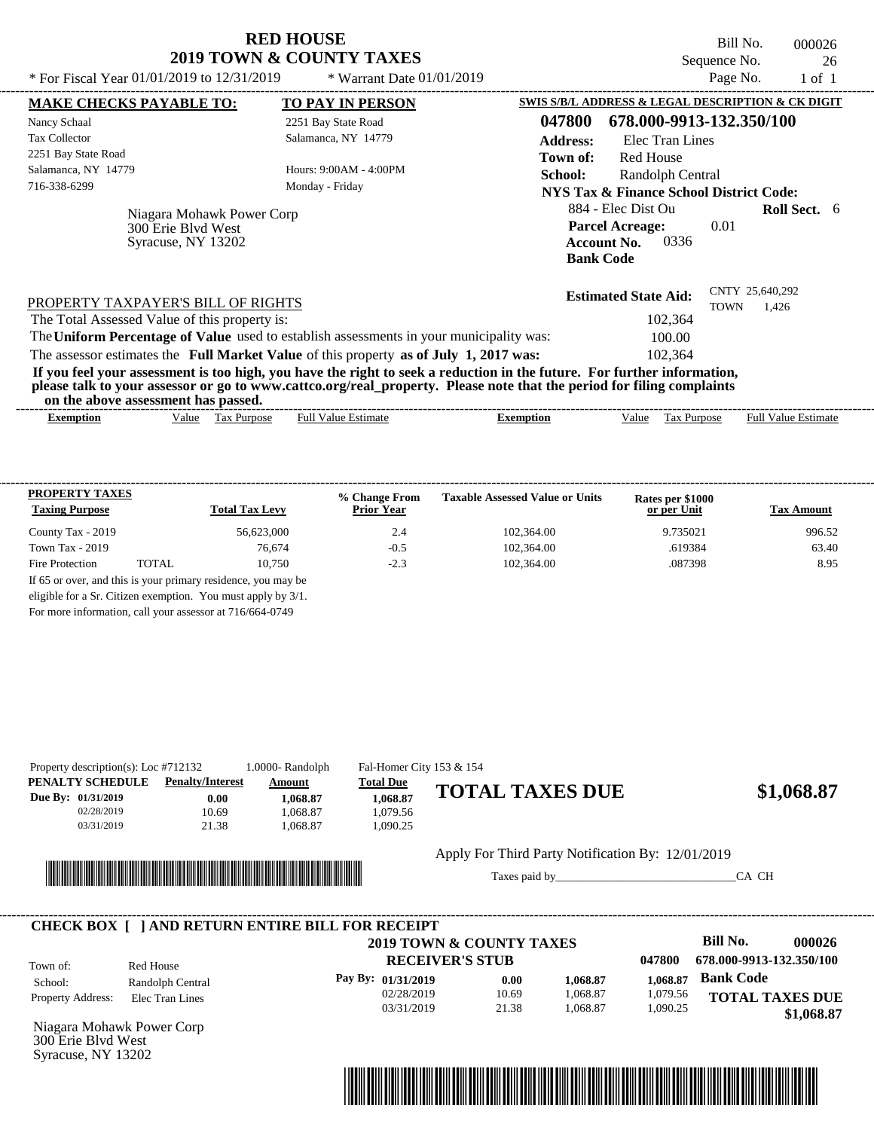| <b>RED HOUSE</b>         |  |  |  |  |  |  |
|--------------------------|--|--|--|--|--|--|
| 2019 TOWN & COUNTY TAXES |  |  |  |  |  |  |

Bill No. 000026 Sequence No. 26<br>Page No. 1 of 1

| * For Fiscal Year 01/01/2019 to 12/31/2019                                                                                                                                                                                                       | * Warrant Date $01/01/2019$ |                 |                                                                                                | Page No.    | $1$ of $1$               |  |
|--------------------------------------------------------------------------------------------------------------------------------------------------------------------------------------------------------------------------------------------------|-----------------------------|-----------------|------------------------------------------------------------------------------------------------|-------------|--------------------------|--|
| <b>MAKE CHECKS PAYABLE TO:</b>                                                                                                                                                                                                                   | <b>TO PAY IN PERSON</b>     |                 | SWIS S/B/L ADDRESS & LEGAL DESCRIPTION & CK DIGIT                                              |             |                          |  |
| Nancy Schaal                                                                                                                                                                                                                                     | 2251 Bay State Road         | 047800          | 678.000-9913-132.350/100                                                                       |             |                          |  |
| <b>Tax Collector</b>                                                                                                                                                                                                                             | Salamanca, NY 14779         | <b>Address:</b> | Elec Tran Lines                                                                                |             |                          |  |
| 2251 Bay State Road                                                                                                                                                                                                                              |                             | Town of:        | <b>Red House</b>                                                                               |             |                          |  |
| Salamanca, NY 14779                                                                                                                                                                                                                              | Hours: 9:00AM - 4:00PM      | School:         | Randolph Central                                                                               |             |                          |  |
| 716-338-6299                                                                                                                                                                                                                                     | Monday - Friday             |                 | <b>NYS Tax &amp; Finance School District Code:</b>                                             |             |                          |  |
| Niagara Mohawk Power Corp<br>300 Erie Blyd West<br>Syracuse, NY 13202                                                                                                                                                                            |                             |                 | 884 - Elec Dist Ou<br><b>Parcel Acreage:</b><br>0336<br><b>Account No.</b><br><b>Bank Code</b> | 0.01        | <b>Roll Sect.</b> 6      |  |
| PROPERTY TAXPAYER'S BILL OF RIGHTS<br>The Total Assessed Value of this property is:<br>The Uniform Percentage of Value used to establish assessments in your municipality was:                                                                   |                             |                 | <b>Estimated State Aid:</b><br>102,364<br>100.00                                               | <b>TOWN</b> | CNTY 25,640,292<br>1,426 |  |
| The assessor estimates the Full Market Value of this property as of July 1, 2017 was:                                                                                                                                                            |                             |                 | 102,364                                                                                        |             |                          |  |
| If you feel your assessment is too high, you have the right to seek a reduction in the future. For further information,<br>please talk to your assessor or go to www.cattco.org/real_property. Please note that the period for filing complaints |                             |                 |                                                                                                |             |                          |  |
| on the above assessment has passed.                                                                                                                                                                                                              |                             |                 |                                                                                                |             |                          |  |

| <b>PROPERTY TAXES</b><br><b>Taxing Purpose</b> |       | <b>Total Tax Levy</b>                                         | % Change From<br><b>Prior Year</b> | <b>Taxable Assessed Value or Units</b> | Rates per \$1000<br>or per Unit | <b>Tax Amount</b> |
|------------------------------------------------|-------|---------------------------------------------------------------|------------------------------------|----------------------------------------|---------------------------------|-------------------|
| County Tax - 2019                              |       | 56.623,000                                                    | 2.4                                | 102,364.00                             | 9.735021                        | 996.52            |
| Town Tax - 2019                                |       | 76.674                                                        | $-0.5$                             | 102,364.00                             | .619384                         | 63.40             |
| Fire Protection                                | TOTAL | 10.750                                                        | $-2.3$                             | 102.364.00                             | .087398                         | 8.95              |
|                                                |       | If 65 or over, and this is your primary residence, you may be |                                    |                                        |                                 |                   |
|                                                |       | eligible for a Sr. Citizen exemption. You must apply by 3/1.  |                                    |                                        |                                 |                   |

For more information, call your assessor at 716/664-0749

| PENALTY SCHEDULE<br>Due By: 01/31/2019<br>02/28/2019<br>03/31/2019 | <b>Penalty/Interest</b><br>0.00<br>10.69<br>21.38                                        | Amount<br>1.068.87<br>1.068.87<br>1.068.87 | <b>Total Due</b><br>1,068.87<br>1.079.56<br>1,090.25 | <b>TOTAL TAXES DUE</b>                                                         |                      |                                | \$1,068.87                                                                                   |
|--------------------------------------------------------------------|------------------------------------------------------------------------------------------|--------------------------------------------|------------------------------------------------------|--------------------------------------------------------------------------------|----------------------|--------------------------------|----------------------------------------------------------------------------------------------|
|                                                                    |                                                                                          |                                            |                                                      | Apply For Third Party Notification By: 12/01/2019                              |                      |                                | CA CH                                                                                        |
| Town of:<br>School:                                                | <b>CHECK BOX [ ] AND RETURN ENTIRE BILL FOR RECEIPT</b><br>Red House<br>Randolph Central |                                            | Pay By: 01/31/2019<br>02/28/2019                     | <b>2019 TOWN &amp; COUNTY TAXES</b><br><b>RECEIVER'S STUB</b><br>0.00<br>10.69 | 1,068.87<br>1.068.87 | 047800<br>1,068.87<br>1,079.56 | Bill No.<br>000026<br>678.000-9913-132.350/100<br><b>Bank Code</b><br><b>TOTAL TAXES DUE</b> |
| Property Address:                                                  | Elec Tran Lines<br>Niagara Mohawk Power Corp                                             |                                            | 03/31/2019                                           | 21.38                                                                          | 1,068.87             | 1,090.25                       | \$1,068.87                                                                                   |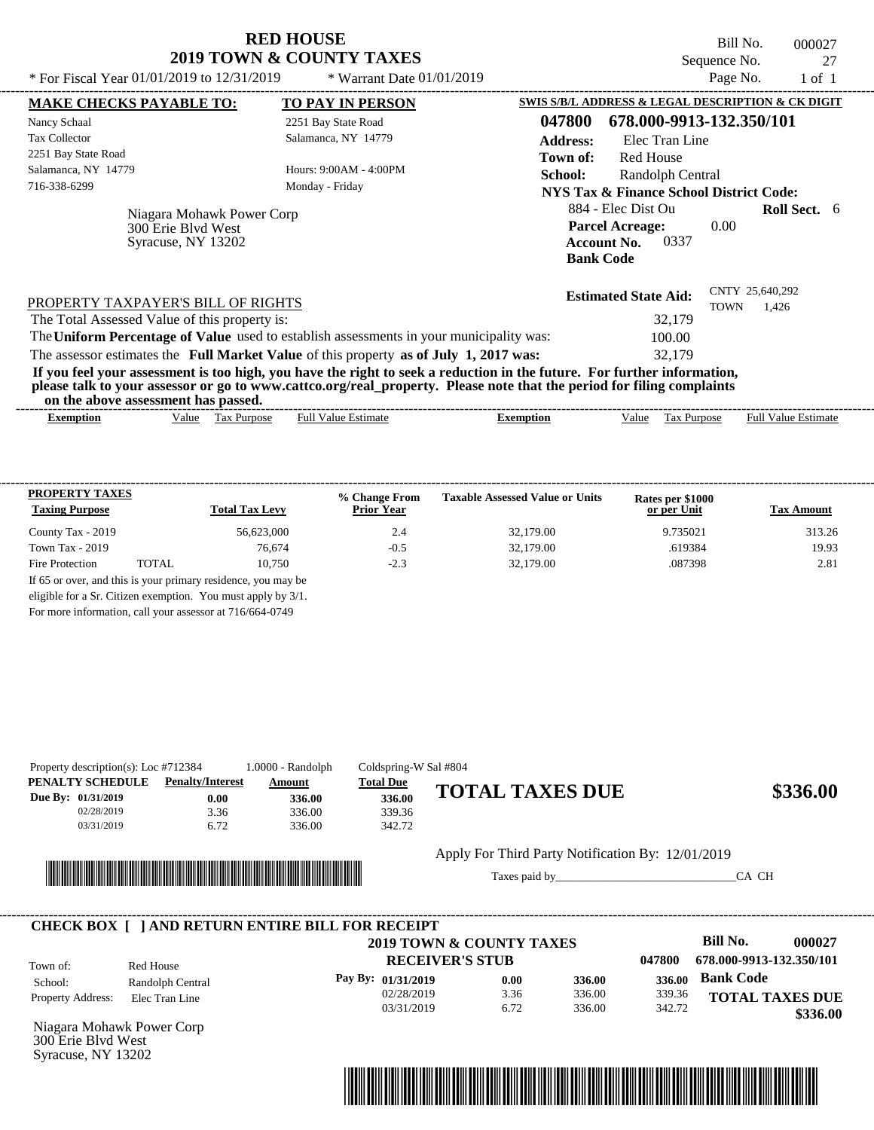Bill No. 000027 Sequence No. 27<br>Page No. 1 of 1

| SWIS S/B/L ADDRESS & LEGAL DESCRIPTION & CK DIGIT<br><b>MAKE CHECKS PAYABLE TO:</b><br><b>TO PAY IN PERSON</b><br>047800<br>678.000-9913-132.350/101<br>2251 Bay State Road<br>Salamanca, NY 14779<br>Elec Tran Line<br><b>Address:</b><br>Red House<br>Town of:<br>Hours: 9:00AM - 4:00PM<br>School:<br>Randolph Central<br>Monday - Friday<br><b>NYS Tax &amp; Finance School District Code:</b><br>884 - Elec Dist Ou<br><b>Roll Sect.</b> 6<br>Niagara Mohawk Power Corp<br><b>Parcel Acreage:</b><br>0.00<br>300 Erie Blyd West<br>0337<br>Syracuse, NY 13202<br><b>Account No.</b><br><b>Bank Code</b><br>CNTY 25,640,292<br><b>Estimated State Aid:</b><br>PROPERTY TAXPAYER'S BILL OF RIGHTS<br><b>TOWN</b><br>1,426<br>32,179<br>The Total Assessed Value of this property is:<br>The Uniform Percentage of Value used to establish assessments in your municipality was:<br>100.00<br>The assessor estimates the Full Market Value of this property as of July 1, 2017 was:<br>32,179<br>If you feel your assessment is too high, you have the right to seek a reduction in the future. For further information,<br>please talk to your assessor or go to www.cattco.org/real_property. Please note that the period for filing complaints<br>on the above assessment has passed.<br><b>Full Value Estimate</b><br><b>Full Value Estimate</b><br>Tax Purpose<br><b>Exemption</b><br>Value<br>Value<br>Tax Purpose<br><b>Exemption</b> | * For Fiscal Year $01/01/2019$ to $12/31/2019$ | * Warrant Date $01/01/2019$ |  | Page No. | 1 of 1 |  |
|------------------------------------------------------------------------------------------------------------------------------------------------------------------------------------------------------------------------------------------------------------------------------------------------------------------------------------------------------------------------------------------------------------------------------------------------------------------------------------------------------------------------------------------------------------------------------------------------------------------------------------------------------------------------------------------------------------------------------------------------------------------------------------------------------------------------------------------------------------------------------------------------------------------------------------------------------------------------------------------------------------------------------------------------------------------------------------------------------------------------------------------------------------------------------------------------------------------------------------------------------------------------------------------------------------------------------------------------------------------------------------------------------------------------------------------------|------------------------------------------------|-----------------------------|--|----------|--------|--|
|                                                                                                                                                                                                                                                                                                                                                                                                                                                                                                                                                                                                                                                                                                                                                                                                                                                                                                                                                                                                                                                                                                                                                                                                                                                                                                                                                                                                                                                |                                                |                             |  |          |        |  |
|                                                                                                                                                                                                                                                                                                                                                                                                                                                                                                                                                                                                                                                                                                                                                                                                                                                                                                                                                                                                                                                                                                                                                                                                                                                                                                                                                                                                                                                | Nancy Schaal                                   |                             |  |          |        |  |
|                                                                                                                                                                                                                                                                                                                                                                                                                                                                                                                                                                                                                                                                                                                                                                                                                                                                                                                                                                                                                                                                                                                                                                                                                                                                                                                                                                                                                                                | <b>Tax Collector</b>                           |                             |  |          |        |  |
|                                                                                                                                                                                                                                                                                                                                                                                                                                                                                                                                                                                                                                                                                                                                                                                                                                                                                                                                                                                                                                                                                                                                                                                                                                                                                                                                                                                                                                                | 2251 Bay State Road                            |                             |  |          |        |  |
|                                                                                                                                                                                                                                                                                                                                                                                                                                                                                                                                                                                                                                                                                                                                                                                                                                                                                                                                                                                                                                                                                                                                                                                                                                                                                                                                                                                                                                                | Salamanca, NY 14779                            |                             |  |          |        |  |
|                                                                                                                                                                                                                                                                                                                                                                                                                                                                                                                                                                                                                                                                                                                                                                                                                                                                                                                                                                                                                                                                                                                                                                                                                                                                                                                                                                                                                                                | 716-338-6299                                   |                             |  |          |        |  |
|                                                                                                                                                                                                                                                                                                                                                                                                                                                                                                                                                                                                                                                                                                                                                                                                                                                                                                                                                                                                                                                                                                                                                                                                                                                                                                                                                                                                                                                |                                                |                             |  |          |        |  |
|                                                                                                                                                                                                                                                                                                                                                                                                                                                                                                                                                                                                                                                                                                                                                                                                                                                                                                                                                                                                                                                                                                                                                                                                                                                                                                                                                                                                                                                |                                                |                             |  |          |        |  |
|                                                                                                                                                                                                                                                                                                                                                                                                                                                                                                                                                                                                                                                                                                                                                                                                                                                                                                                                                                                                                                                                                                                                                                                                                                                                                                                                                                                                                                                |                                                |                             |  |          |        |  |
|                                                                                                                                                                                                                                                                                                                                                                                                                                                                                                                                                                                                                                                                                                                                                                                                                                                                                                                                                                                                                                                                                                                                                                                                                                                                                                                                                                                                                                                |                                                |                             |  |          |        |  |
|                                                                                                                                                                                                                                                                                                                                                                                                                                                                                                                                                                                                                                                                                                                                                                                                                                                                                                                                                                                                                                                                                                                                                                                                                                                                                                                                                                                                                                                |                                                |                             |  |          |        |  |
|                                                                                                                                                                                                                                                                                                                                                                                                                                                                                                                                                                                                                                                                                                                                                                                                                                                                                                                                                                                                                                                                                                                                                                                                                                                                                                                                                                                                                                                |                                                |                             |  |          |        |  |
|                                                                                                                                                                                                                                                                                                                                                                                                                                                                                                                                                                                                                                                                                                                                                                                                                                                                                                                                                                                                                                                                                                                                                                                                                                                                                                                                                                                                                                                |                                                |                             |  |          |        |  |

| <b>PROPERTY TAXES</b><br><b>Taxing Purpose</b> |       | <b>Total Tax Levy</b> | % Change From<br><b>Prior Year</b> | <b>Taxable Assessed Value or Units</b> | Rates per \$1000<br>or per Unit | <b>Tax Amount</b> |
|------------------------------------------------|-------|-----------------------|------------------------------------|----------------------------------------|---------------------------------|-------------------|
| County Tax - 2019                              |       | 56.623,000            | 2.4                                | 32,179.00                              | 9.735021                        | 313.26            |
| Town Tax $-2019$                               |       | 76.674                | $-0.5$                             | 32,179.00                              | .619384                         | 19.93             |
| Fire Protection                                | TOTAL | 10.750                | $-2.3$                             | 32,179.00                              | .087398                         | 2.81              |

For more information, call your assessor at 716/664-0749

| PENALTY SCHEDULE<br>Due By: 01/31/2019<br>02/28/2019 | <b>Penalty/Interest</b><br>0.00<br>3.36                                                                                       | Amount<br>336.00<br>336.00 | <b>Total Due</b><br>336.00<br>339.36           | <b>TOTAL TAXES DUE</b>                                        |                            | \$336.00                                               |
|------------------------------------------------------|-------------------------------------------------------------------------------------------------------------------------------|----------------------------|------------------------------------------------|---------------------------------------------------------------|----------------------------|--------------------------------------------------------|
| 03/31/2019                                           | 6.72<br><u> 1989 - Andrea Stadt British, mark ar strí an t-Alban agus an t-Alban agus an t-Alban agus an t-Alban agus an </u> | 336.00                     | 342.72                                         | Apply For Third Party Notification By: 12/01/2019             |                            | CA CH                                                  |
|                                                      |                                                                                                                               |                            |                                                |                                                               |                            |                                                        |
|                                                      | <b>CHECK BOX [ ] AND RETURN ENTIRE BILL FOR RECEIPT</b><br>Red House                                                          |                            |                                                | <b>2019 TOWN &amp; COUNTY TAXES</b><br><b>RECEIVER'S STUB</b> | 047800                     | Bill No.<br>000027<br>678.000-9913-132.350/101         |
| Town of:<br>School:<br>Property Address:             | Randolph Central<br>Elec Tran Line                                                                                            |                            | Pay By: 01/31/2019<br>02/28/2019<br>03/31/2019 | 336.00<br>0.00<br>336.00<br>3.36<br>6.72<br>336.00            | 336.00<br>339.36<br>342.72 | <b>Bank Code</b><br><b>TOTAL TAXES DUE</b><br>\$336.00 |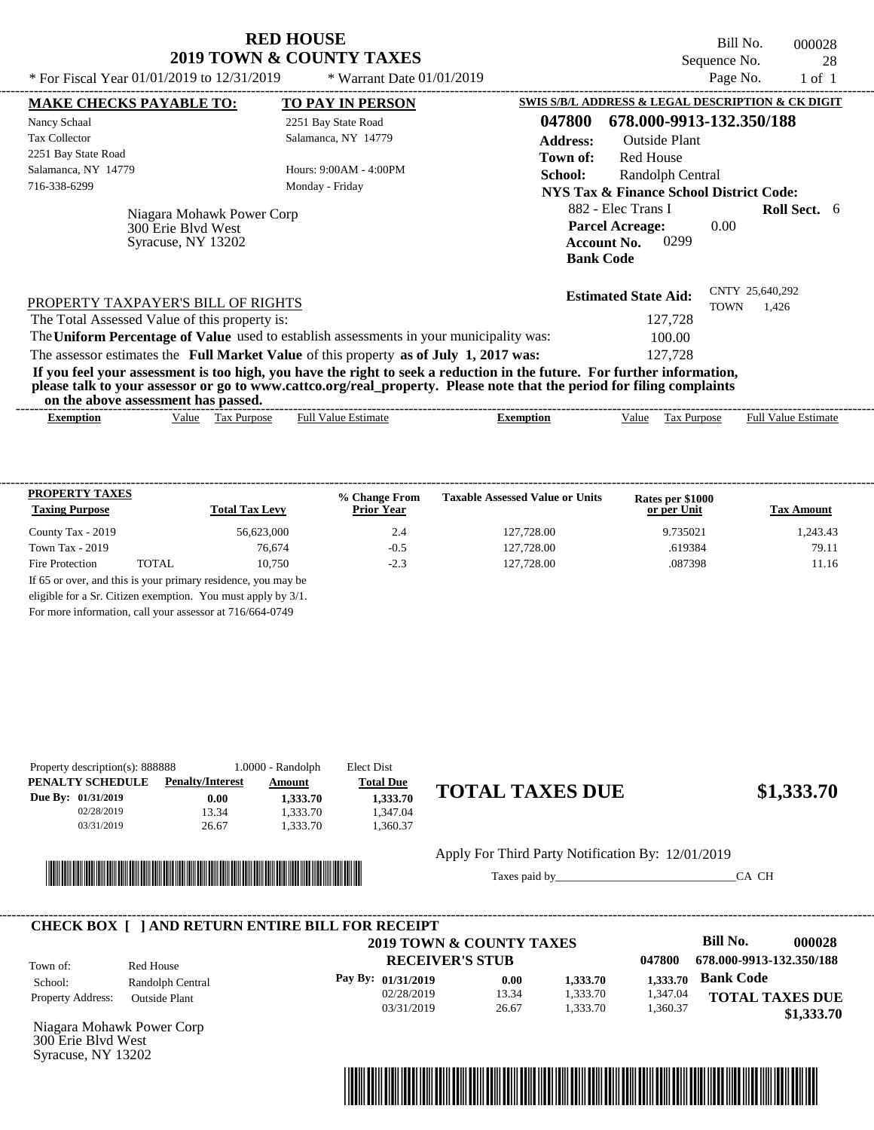| <b>RED HOUSE</b>                    |  |  |  |  |  |  |
|-------------------------------------|--|--|--|--|--|--|
| <b>2019 TOWN &amp; COUNTY TAXES</b> |  |  |  |  |  |  |

Bill No. 000028 Sequence No. 28

| * For Fiscal Year 01/01/2019 to 12/31/2019                                                                                                                                                                                                                                              | * Warrant Date $01/01/2019$               |                  |                                                                                                | Page No.    | $1$ of $1$                 |  |
|-----------------------------------------------------------------------------------------------------------------------------------------------------------------------------------------------------------------------------------------------------------------------------------------|-------------------------------------------|------------------|------------------------------------------------------------------------------------------------|-------------|----------------------------|--|
| <b>MAKE CHECKS PAYABLE TO:</b>                                                                                                                                                                                                                                                          | <b>TO PAY IN PERSON</b>                   |                  | SWIS S/B/L ADDRESS & LEGAL DESCRIPTION & CK DIGIT                                              |             |                            |  |
| Nancy Schaal                                                                                                                                                                                                                                                                            | 2251 Bay State Road                       | 047800           | 678.000-9913-132.350/188                                                                       |             |                            |  |
| <b>Tax Collector</b>                                                                                                                                                                                                                                                                    | Salamanca, NY 14779                       | <b>Address:</b>  | <b>Outside Plant</b>                                                                           |             |                            |  |
| 2251 Bay State Road                                                                                                                                                                                                                                                                     |                                           | Town of:         | <b>Red House</b>                                                                               |             |                            |  |
| Salamanca, NY 14779                                                                                                                                                                                                                                                                     | Hours: 9:00AM - 4:00PM                    | School:          | Randolph Central                                                                               |             |                            |  |
| 716-338-6299                                                                                                                                                                                                                                                                            | Monday - Friday                           |                  | NYS Tax & Finance School District Code:                                                        |             |                            |  |
| Niagara Mohawk Power Corp<br>300 Erie Blvd West<br>Syracuse, NY 13202                                                                                                                                                                                                                   |                                           |                  | 882 - Elec Trans I<br><b>Parcel Acreage:</b><br>0299<br><b>Account No.</b><br><b>Bank Code</b> | 0.00        | <b>Roll Sect.</b> 6        |  |
| PROPERTY TAXPAYER'S BILL OF RIGHTS                                                                                                                                                                                                                                                      |                                           |                  | <b>Estimated State Aid:</b>                                                                    | <b>TOWN</b> | CNTY 25,640,292<br>1,426   |  |
| The Total Assessed Value of this property is:                                                                                                                                                                                                                                           |                                           |                  | 127,728                                                                                        |             |                            |  |
| The Uniform Percentage of Value used to establish assessments in your municipality was:                                                                                                                                                                                                 |                                           |                  | 100.00                                                                                         |             |                            |  |
| The assessor estimates the Full Market Value of this property as of July 1, 2017 was:                                                                                                                                                                                                   |                                           |                  | 127.728                                                                                        |             |                            |  |
| If you feel your assessment is too high, you have the right to seek a reduction in the future. For further information,<br>please talk to your assessor or go to www.cattco.org/real_property. Please note that the period for filing complaints<br>on the above assessment has passed. |                                           |                  |                                                                                                |             |                            |  |
|                                                                                                                                                                                                                                                                                         | <b>Full Value Estimate</b><br>Tax Purpose | <b>Exemption</b> |                                                                                                | Tax Purpose | <b>Full Value Estimate</b> |  |

| <b>PROPERTY TAXES</b><br><b>Taxing Purpose</b> |       | <b>Total Tax Levy</b> | % Change From<br><b>Prior Year</b> | <b>Taxable Assessed Value or Units</b> | Rates per \$1000<br>or per Unit | <b>Tax Amount</b> |
|------------------------------------------------|-------|-----------------------|------------------------------------|----------------------------------------|---------------------------------|-------------------|
| County Tax - 2019                              |       | 56.623,000            | 2.4                                | 127,728.00                             | 9.735021                        | 1.243.43          |
| Town Tax $-2019$                               |       | 76,674                | $-0.5$                             | 127,728.00                             | .619384                         | 79.11             |
| Fire Protection                                | TOTAL | 10.750                | $-2.3$                             | 127,728.00                             | .087398                         | 11.16             |

For more information, call your assessor at 716/664-0749

| Property description(s): 888888 |            |                         | $1.0000 - Random$ | Elect Dist       |                        |            |
|---------------------------------|------------|-------------------------|-------------------|------------------|------------------------|------------|
| PENALTY SCHEDULE                |            | <b>Penalty/Interest</b> | Amount            | <b>Total Due</b> |                        |            |
| Due By: 01/31/2019              |            | 0.00                    | 1.333.70          | 1.333.70         | <b>TOTAL TAXES DUE</b> | \$1,333.70 |
|                                 | 02/28/2019 | 13.34                   | 1.333.70          | .347.04          |                        |            |
|                                 | 03/31/2019 | 26.67                   | 1.333.70          | .360.37          |                        |            |
|                                 |            |                         |                   |                  |                        |            |



Apply For Third Party Notification By: 12/01/2019

Taxes paid by\_\_\_\_\_\_\_\_\_\_\_\_\_\_\_\_\_\_\_\_\_\_\_\_\_\_\_\_\_\_\_CA CH



Niagara Mohawk Power Corp 300 Erie Blvd West Syracuse, NY 13202

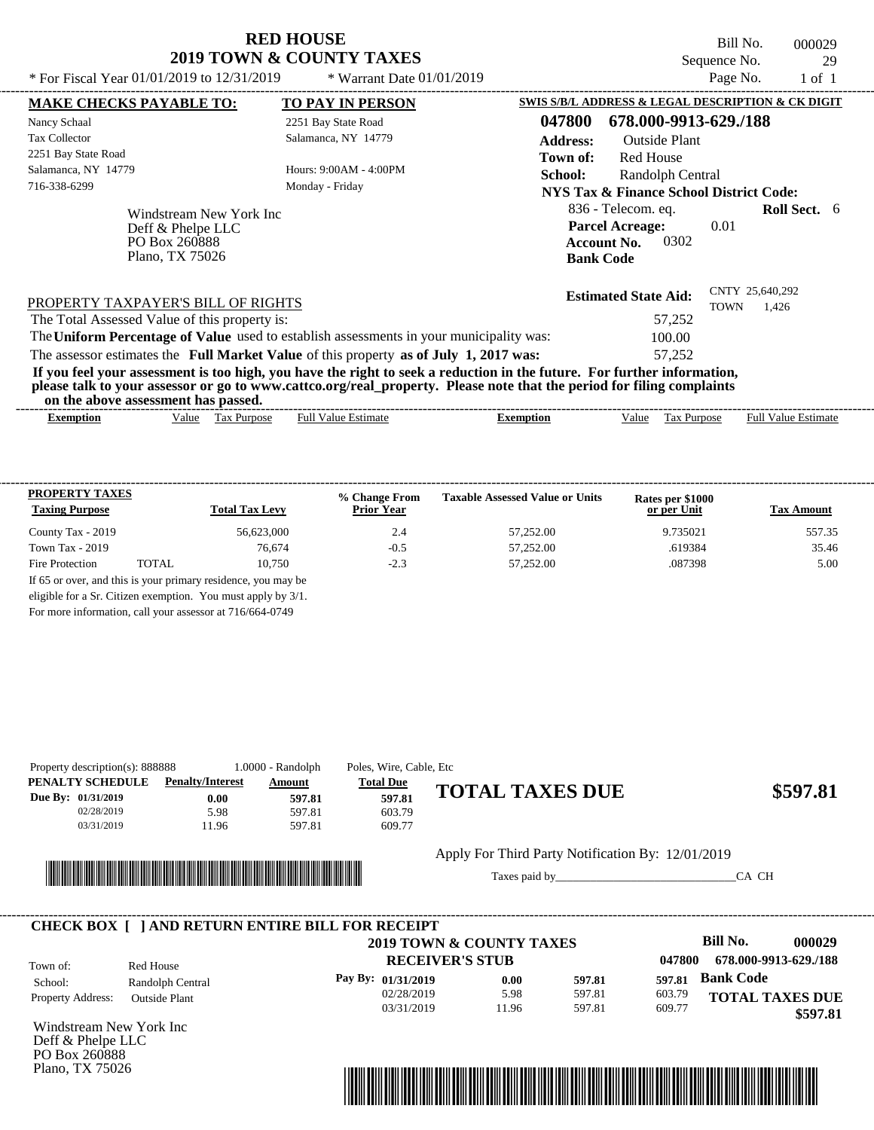Bill No. 000029 Sequence No. 29<br>Page No. 29<br>1 of 1

| * For Fiscal Year 01/01/2019 to 12/31/2019                                       | * Warrant Date 01/01/2019                                                               |                                                                                                                                                                                                                                                  | Page No.                       | $1$ of $1$                 |
|----------------------------------------------------------------------------------|-----------------------------------------------------------------------------------------|--------------------------------------------------------------------------------------------------------------------------------------------------------------------------------------------------------------------------------------------------|--------------------------------|----------------------------|
| <b>MAKE CHECKS PAYABLE TO:</b>                                                   | <b>TO PAY IN PERSON</b>                                                                 | SWIS S/B/L ADDRESS & LEGAL DESCRIPTION & CK DIGIT                                                                                                                                                                                                |                                |                            |
| Nancy Schaal                                                                     | 2251 Bay State Road                                                                     | 678.000-9913-629./188<br>047800                                                                                                                                                                                                                  |                                |                            |
| <b>Tax Collector</b>                                                             | Salamanca, NY 14779                                                                     | <b>Address:</b><br>Outside Plant                                                                                                                                                                                                                 |                                |                            |
| 2251 Bay State Road                                                              |                                                                                         | Red House<br>Town of:                                                                                                                                                                                                                            |                                |                            |
| Salamanca, NY 14779                                                              | Hours: $9:00AM - 4:00PM$                                                                | School:<br>Randolph Central                                                                                                                                                                                                                      |                                |                            |
| 716-338-6299                                                                     | Monday - Friday                                                                         | NYS Tax & Finance School District Code:                                                                                                                                                                                                          |                                |                            |
| Windstream New York Inc<br>Deff & Phelpe LLC<br>PO Box 260888<br>Plano, TX 75026 |                                                                                         | 836 - Telecom. eq.<br><b>Parcel Acreage:</b><br>0302<br><b>Account No.</b><br><b>Bank Code</b>                                                                                                                                                   | 0.01                           | <b>Roll Sect.</b> 6        |
| PROPERTY TAXPAYER'S BILL OF RIGHTS                                               |                                                                                         | <b>Estimated State Aid:</b>                                                                                                                                                                                                                      | CNTY 25,640,292<br><b>TOWN</b> | 1.426                      |
| The Total Assessed Value of this property is:                                    |                                                                                         | 57,252                                                                                                                                                                                                                                           |                                |                            |
|                                                                                  | The Uniform Percentage of Value used to establish assessments in your municipality was: | 100.00                                                                                                                                                                                                                                           |                                |                            |
|                                                                                  | The assessor estimates the Full Market Value of this property as of July 1, 2017 was:   | 57,252                                                                                                                                                                                                                                           |                                |                            |
| on the above assessment has passed.                                              |                                                                                         | If you feel your assessment is too high, you have the right to seek a reduction in the future. For further information,<br>please talk to your assessor or go to www.cattco.org/real_property. Please note that the period for filing complaints |                                |                            |
| Value Tax Purpose<br>Exemption                                                   | <b>Full Value Estimate</b>                                                              | Tax Purpose<br><b>Exemption</b><br>Value                                                                                                                                                                                                         |                                | <b>Full Value Estimate</b> |

| <b>PROPERTY TAXES</b><br><b>Taxing Purpose</b> |       | <b>Total Tax Levy</b>                                         | % Change From<br><b>Prior Year</b> | <b>Taxable Assessed Value or Units</b> | Rates per \$1000<br>or per Unit | <b>Tax Amount</b> |
|------------------------------------------------|-------|---------------------------------------------------------------|------------------------------------|----------------------------------------|---------------------------------|-------------------|
| County Tax - 2019                              |       | 56,623,000                                                    | 2.4                                | 57,252.00                              | 9.735021                        | 557.35            |
| Town Tax $-2019$                               |       | 76.674                                                        | $-0.5$                             | 57,252.00                              | .619384                         | 35.46             |
| Fire Protection                                | TOTAL | 10.750                                                        | $-2.3$                             | 57.252.00                              | .087398                         | 5.00              |
|                                                |       | If 65 or over, and this is your primary residence, you may be |                                    |                                        |                                 |                   |
|                                                |       | eligible for a Sr. Citizen exemption. You must apply by 3/1.  |                                    |                                        |                                 |                   |

For more information, call your assessor at 716/664-0749

| Property description(s): 888888 |                         | $1.0000 - Random$ | Poles, Wire, Cable, Etc |                        |          |
|---------------------------------|-------------------------|-------------------|-------------------------|------------------------|----------|
| PENALTY SCHEDULE                | <b>Penalty/Interest</b> | Amount            | <b>Total Due</b>        |                        |          |
| Due By: $01/31/2019$            | $0.00\,$                | 597.81            | 597.81                  | <b>TOTAL TAXES DUE</b> | \$597.81 |
| 02/28/2019                      | 5.98                    | 597.81            | 603.79                  |                        |          |
| 03/31/2019                      | 11.96                   | 597.81            | 609.77                  |                        |          |
|                                 |                         |                   |                         |                        |          |



#### Apply For Third Party Notification By: 12/01/2019

Taxes paid by\_\_\_\_\_\_\_\_\_\_\_\_\_\_\_\_\_\_\_\_\_\_\_\_\_\_\_\_\_\_\_CA CH

|                          |                      | 2019 TOWN & COUNTY TAXES |       |        |        | Bill No.<br>000029     |
|--------------------------|----------------------|--------------------------|-------|--------|--------|------------------------|
| Town of:                 | Red House            | <b>RECEIVER'S STUB</b>   |       |        | 047800 | 678.000-9913-629./188  |
| School:                  | Randolph Central     | Pay By: $01/31/2019$     | 0.00  | 597.81 | 597.81 | <b>Bank Code</b>       |
| <b>Property Address:</b> | <b>Outside Plant</b> | 02/28/2019               | 5.98  | 597.81 | 603.79 | <b>TOTAL TAXES DUE</b> |
|                          |                      | 03/31/2019               | 11.96 | 597.81 | 609.77 | \$597.81               |

Windstream New York Inc Deff & Phelpe LLC PO Box 260888 Plano, TX 75026

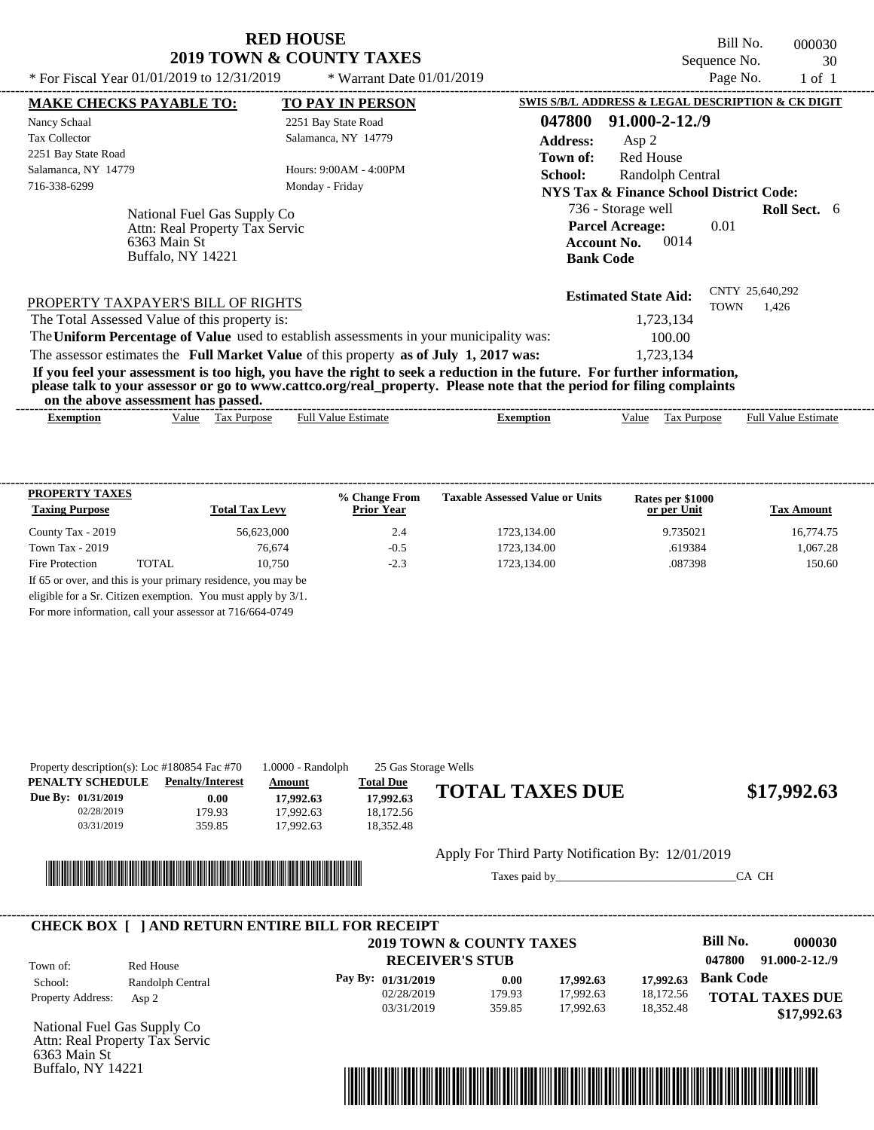Bill No. 000030 Sequence No. 30<br>Page No. 1 of 1

| * For Fiscal Year 01/01/2019 to 12/31/2019                                          | * Warrant Date $01/01/2019$                                                                                                                                                                                                                      |                 |                                                                          | Page No.    | $1$ of $1$               |  |
|-------------------------------------------------------------------------------------|--------------------------------------------------------------------------------------------------------------------------------------------------------------------------------------------------------------------------------------------------|-----------------|--------------------------------------------------------------------------|-------------|--------------------------|--|
| <b>MAKE CHECKS PAYABLE TO:</b>                                                      | <b>TO PAY IN PERSON</b>                                                                                                                                                                                                                          |                 | SWIS S/B/L ADDRESS & LEGAL DESCRIPTION & CK DIGIT                        |             |                          |  |
| Nancy Schaal                                                                        | 2251 Bay State Road                                                                                                                                                                                                                              | 047800          | $91,000 - 2 - 12,79$                                                     |             |                          |  |
| <b>Tax Collector</b>                                                                | Salamanca, NY 14779                                                                                                                                                                                                                              | <b>Address:</b> | Asp 2                                                                    |             |                          |  |
| 2251 Bay State Road                                                                 |                                                                                                                                                                                                                                                  | Town of:        | Red House                                                                |             |                          |  |
| Salamanca, NY 14779                                                                 | Hours: 9:00AM - 4:00PM                                                                                                                                                                                                                           | School:         | Randolph Central                                                         |             |                          |  |
| 716-338-6299                                                                        | Monday - Friday                                                                                                                                                                                                                                  |                 | <b>NYS Tax &amp; Finance School District Code:</b>                       |             |                          |  |
| National Fuel Gas Supply Co                                                         |                                                                                                                                                                                                                                                  |                 | 736 - Storage well                                                       |             | <b>Roll Sect.</b> 6      |  |
| Attn: Real Property Tax Servic<br>6363 Main St<br><b>Buffalo, NY 14221</b>          |                                                                                                                                                                                                                                                  |                 | <b>Parcel Acreage:</b><br>0014<br><b>Account No.</b><br><b>Bank Code</b> | 0.01        |                          |  |
| PROPERTY TAXPAYER'S BILL OF RIGHTS<br>The Total Assessed Value of this property is: |                                                                                                                                                                                                                                                  |                 | <b>Estimated State Aid:</b><br>1,723,134                                 | <b>TOWN</b> | CNTY 25,640,292<br>1.426 |  |
|                                                                                     | The Uniform Percentage of Value used to establish assessments in your municipality was:                                                                                                                                                          |                 | 100.00                                                                   |             |                          |  |
|                                                                                     | The assessor estimates the Full Market Value of this property as of July 1, 2017 was:                                                                                                                                                            |                 | 1,723,134                                                                |             |                          |  |
|                                                                                     | If you feel your assessment is too high, you have the right to seek a reduction in the future. For further information,<br>please talk to your assessor or go to www.cattco.org/real_property. Please note that the period for filing complaints |                 |                                                                          |             |                          |  |
| on the above assessment has passed.                                                 |                                                                                                                                                                                                                                                  |                 |                                                                          |             |                          |  |

| <b>PROPERTY TAXES</b><br><b>Taxing Purpose</b> |       | <b>Total Tax Levy</b>                                         | % Change From<br><b>Prior Year</b> | <b>Taxable Assessed Value or Units</b> | Rates per \$1000<br>or per Unit | <b>Tax Amount</b> |
|------------------------------------------------|-------|---------------------------------------------------------------|------------------------------------|----------------------------------------|---------------------------------|-------------------|
| County Tax - 2019                              |       | 56.623,000                                                    | 2.4                                | 1723.134.00                            | 9.735021                        | 16,774.75         |
| Town Tax - 2019                                |       | 76.674                                                        | $-0.5$                             | 1723.134.00                            | .619384                         | 1,067.28          |
| Fire Protection                                | TOTAL | 10.750                                                        | $-2.3$                             | 1723.134.00                            | .087398                         | 150.60            |
|                                                |       | If 65 or over, and this is your primary residence, you may be |                                    |                                        |                                 |                   |
|                                                |       | eligible for a Sr. Citizen exemption. You must apply by 3/1.  |                                    |                                        |                                 |                   |

For more information, call your assessor at 716/664-0749

|                                                                    | Property description(s): Loc #180854 Fac #70            | 1.0000 - Randolph                             | 25 Gas Storage Wells                                    |                                                   |                        |                        |                                       |
|--------------------------------------------------------------------|---------------------------------------------------------|-----------------------------------------------|---------------------------------------------------------|---------------------------------------------------|------------------------|------------------------|---------------------------------------|
| PENALTY SCHEDULE<br>Due By: 01/31/2019<br>02/28/2019<br>03/31/2019 | <b>Penalty/Interest</b><br>0.00<br>179.93<br>359.85     | Amount<br>17,992.63<br>17,992.63<br>17,992.63 | <b>Total Due</b><br>17,992.63<br>18,172.56<br>18,352.48 | <b>TOTAL TAXES DUE</b>                            |                        |                        | \$17,992.63                           |
|                                                                    |                                                         |                                               |                                                         | Apply For Third Party Notification By: 12/01/2019 |                        |                        | CA CH                                 |
|                                                                    | <b>CHECK BOX [ ] AND RETURN ENTIRE BILL FOR RECEIPT</b> |                                               |                                                         |                                                   |                        |                        |                                       |
|                                                                    |                                                         |                                               |                                                         |                                                   |                        |                        |                                       |
|                                                                    |                                                         |                                               |                                                         | 2019 TOWN & COUNTY TAXES                          |                        | Bill No.               | 000030                                |
| Town of:                                                           | Red House                                               |                                               |                                                         | <b>RECEIVER'S STUB</b>                            |                        | 047800                 | $91.000 - 2 - 12.79$                  |
| School:                                                            | Randolph Central                                        |                                               | Pay By: 01/31/2019                                      | 0.00                                              | 17,992.63              | 17,992.63              | <b>Bank Code</b>                      |
| Property Address:                                                  | Asp $2$                                                 |                                               | 02/28/2019<br>03/31/2019                                | 179.93<br>359.85                                  | 17,992.63<br>17.992.63 | 18,172.56<br>18,352.48 | <b>TOTAL TAXES DUE</b><br>\$17,992.63 |